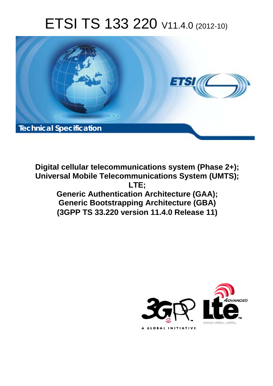# ETSI TS 133 220 V11.4.0 (2012-10)



**Digital cellular telecommunications system (Phase 2+); Universal Mobile Telecommunications System (UMTS); LTE; Generic Authentication Architecture (GAA); Generic Bootstrapping Architecture (GBA) (3GPP TS 33.220 version 11.4.0 Release 11)** 

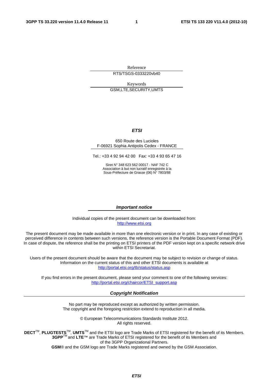Reference RTS/TSGS-0333220vb40

Keywords GSM,LTE,SECURITY,UMTS

#### *ETSI*

#### 650 Route des Lucioles F-06921 Sophia Antipolis Cedex - FRANCE

Tel.: +33 4 92 94 42 00 Fax: +33 4 93 65 47 16

Siret N° 348 623 562 00017 - NAF 742 C Association à but non lucratif enregistrée à la Sous-Préfecture de Grasse (06) N° 7803/88

#### *Important notice*

Individual copies of the present document can be downloaded from: [http://www.etsi.org](http://www.etsi.org/)

The present document may be made available in more than one electronic version or in print. In any case of existing or perceived difference in contents between such versions, the reference version is the Portable Document Format (PDF). In case of dispute, the reference shall be the printing on ETSI printers of the PDF version kept on a specific network drive within ETSI Secretariat.

Users of the present document should be aware that the document may be subject to revision or change of status. Information on the current status of this and other ETSI documents is available at <http://portal.etsi.org/tb/status/status.asp>

If you find errors in the present document, please send your comment to one of the following services: [http://portal.etsi.org/chaircor/ETSI\\_support.asp](http://portal.etsi.org/chaircor/ETSI_support.asp)

#### *Copyright Notification*

No part may be reproduced except as authorized by written permission. The copyright and the foregoing restriction extend to reproduction in all media.

> © European Telecommunications Standards Institute 2012. All rights reserved.

DECT<sup>™</sup>, PLUGTESTS<sup>™</sup>, UMTS<sup>™</sup> and the ETSI logo are Trade Marks of ETSI registered for the benefit of its Members. **3GPP**TM and **LTE**™ are Trade Marks of ETSI registered for the benefit of its Members and of the 3GPP Organizational Partners.

**GSM**® and the GSM logo are Trade Marks registered and owned by the GSM Association.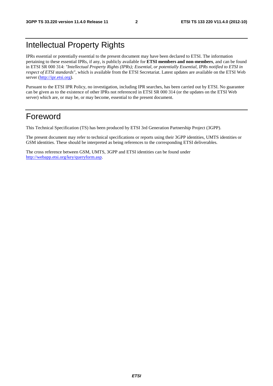## Intellectual Property Rights

IPRs essential or potentially essential to the present document may have been declared to ETSI. The information pertaining to these essential IPRs, if any, is publicly available for **ETSI members and non-members**, and can be found in ETSI SR 000 314: *"Intellectual Property Rights (IPRs); Essential, or potentially Essential, IPRs notified to ETSI in respect of ETSI standards"*, which is available from the ETSI Secretariat. Latest updates are available on the ETSI Web server [\(http://ipr.etsi.org](http://webapp.etsi.org/IPR/home.asp)).

Pursuant to the ETSI IPR Policy, no investigation, including IPR searches, has been carried out by ETSI. No guarantee can be given as to the existence of other IPRs not referenced in ETSI SR 000 314 (or the updates on the ETSI Web server) which are, or may be, or may become, essential to the present document.

## Foreword

This Technical Specification (TS) has been produced by ETSI 3rd Generation Partnership Project (3GPP).

The present document may refer to technical specifications or reports using their 3GPP identities, UMTS identities or GSM identities. These should be interpreted as being references to the corresponding ETSI deliverables.

The cross reference between GSM, UMTS, 3GPP and ETSI identities can be found under [http://webapp.etsi.org/key/queryform.asp.](http://webapp.etsi.org/key/queryform.asp)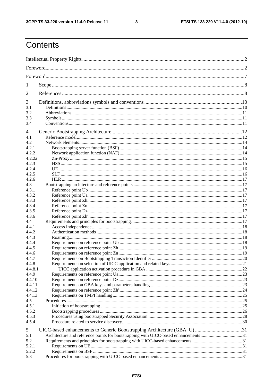$\mathbf{3}$ 

## Contents

| 1                |                                                                                    |  |
|------------------|------------------------------------------------------------------------------------|--|
| 2                |                                                                                    |  |
| 3                |                                                                                    |  |
| 3.1              |                                                                                    |  |
| 3.2<br>3.3       |                                                                                    |  |
| 3.4              |                                                                                    |  |
|                  |                                                                                    |  |
| 4                |                                                                                    |  |
| 4.1<br>4.2       |                                                                                    |  |
| 4.2.1            |                                                                                    |  |
| 4.2.2            |                                                                                    |  |
| 4.2.2a           |                                                                                    |  |
| 4.2.3            |                                                                                    |  |
| 4.2.4            |                                                                                    |  |
| 4.2.5            |                                                                                    |  |
| 4.2.6            |                                                                                    |  |
| 4.3              |                                                                                    |  |
| 4.3.1            |                                                                                    |  |
| 4.3.2            |                                                                                    |  |
| 4.3.3            |                                                                                    |  |
| 4.3.4            |                                                                                    |  |
| 4.3.5<br>4.3.6   |                                                                                    |  |
| 4.4              |                                                                                    |  |
| 4.4.1            |                                                                                    |  |
| 4.4.2            |                                                                                    |  |
| 4.4.3            |                                                                                    |  |
| 4.4.4            |                                                                                    |  |
| 4.4.5            |                                                                                    |  |
| 4.4.6            |                                                                                    |  |
| 4.4.7            |                                                                                    |  |
| 4.4.8            |                                                                                    |  |
| 4.4.8.1          |                                                                                    |  |
| 4.4.9            |                                                                                    |  |
| 4.4.10           |                                                                                    |  |
| 4.4.11<br>4.4.12 |                                                                                    |  |
| 4.4.13           |                                                                                    |  |
| 4.5              |                                                                                    |  |
| 4.5.1            |                                                                                    |  |
| 4.5.2            |                                                                                    |  |
| 4.5.3            |                                                                                    |  |
| 4.5.4            |                                                                                    |  |
| 5                | UICC-based enhancements to Generic Bootstrapping Architecture (GBA_U) 31           |  |
| 5.1              | Architecture and reference points for bootstrapping with UICC-based enhancements31 |  |
| 5.2              |                                                                                    |  |
| 5.2.1            |                                                                                    |  |
| 5.2.2            |                                                                                    |  |
| 5.3              |                                                                                    |  |
|                  |                                                                                    |  |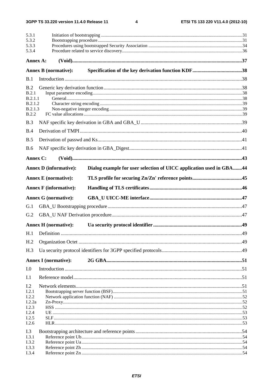$\overline{\mathbf{4}}$ 

| 5.3.1<br>5.3.2     |                               |                                                                     |  |
|--------------------|-------------------------------|---------------------------------------------------------------------|--|
| 5.3.3              |                               |                                                                     |  |
| 5.3.4              |                               |                                                                     |  |
| Annex A:           |                               |                                                                     |  |
|                    | <b>Annex B</b> (normative):   |                                                                     |  |
| B.1                |                               |                                                                     |  |
| B.2                |                               |                                                                     |  |
| B.2.1              |                               |                                                                     |  |
| B.2.1.1<br>B.2.1.2 |                               |                                                                     |  |
| B.2.1.3            |                               |                                                                     |  |
| <b>B.2.2</b>       |                               |                                                                     |  |
| B.3                |                               |                                                                     |  |
| B.4                |                               |                                                                     |  |
| B.5                |                               |                                                                     |  |
| <b>B.6</b>         |                               |                                                                     |  |
| Annex C:           |                               |                                                                     |  |
|                    | <b>Annex D</b> (informative): | Dialog example for user selection of UICC application used in GBA44 |  |
|                    | <b>Annex E</b> (normative):   |                                                                     |  |
|                    | <b>Annex F</b> (informative): |                                                                     |  |
|                    | <b>Annex G</b> (normative):   |                                                                     |  |
| G.1                |                               |                                                                     |  |
| G.2                |                               |                                                                     |  |
|                    |                               |                                                                     |  |
|                    | <b>Annex H</b> (normative):   |                                                                     |  |
| H.1                |                               |                                                                     |  |
| H <sub>.2</sub>    |                               |                                                                     |  |
| H.3                |                               |                                                                     |  |
|                    | <b>Annex I</b> (normative):   |                                                                     |  |
| I.0                |                               |                                                                     |  |
| I.1                |                               |                                                                     |  |
| I.2                |                               |                                                                     |  |
| I.2.1              |                               |                                                                     |  |
| I.2.2              |                               |                                                                     |  |
| I.2.2a<br>I.2.3    |                               |                                                                     |  |
| I.2.4              |                               |                                                                     |  |
| I.2.5              |                               |                                                                     |  |
| I.2.6              |                               |                                                                     |  |
| I.3                |                               |                                                                     |  |
| I.3.1              |                               |                                                                     |  |
| I.3.2              |                               |                                                                     |  |
| I.3.3<br>I.3.4     |                               |                                                                     |  |
|                    |                               |                                                                     |  |

#### **ETSI**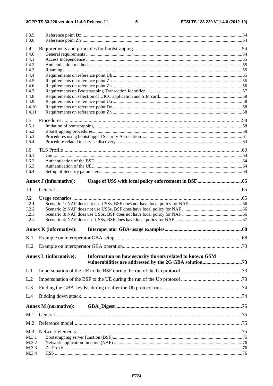#### $5\phantom{a}$

| I.3.5<br>I.3.6 |                                                                                           |  |
|----------------|-------------------------------------------------------------------------------------------|--|
| I.4            |                                                                                           |  |
| I.4.0          |                                                                                           |  |
| I.4.1          |                                                                                           |  |
| I.4.2<br>I.4.3 |                                                                                           |  |
| I.4.4          |                                                                                           |  |
| I.4.5          |                                                                                           |  |
| I.4.6          |                                                                                           |  |
| I.4.7          |                                                                                           |  |
| I.4.8<br>I.4.9 |                                                                                           |  |
| I.4.10         |                                                                                           |  |
| I.4.11         |                                                                                           |  |
| I.5            |                                                                                           |  |
| I.5.1          |                                                                                           |  |
| I.5.2          |                                                                                           |  |
| I.5.3          |                                                                                           |  |
| I.5.4          |                                                                                           |  |
| I.6            |                                                                                           |  |
| I.6.1          |                                                                                           |  |
| I.6.2          |                                                                                           |  |
| I.6.3<br>I.6.4 |                                                                                           |  |
|                |                                                                                           |  |
|                | <b>Annex J</b> (informative):                                                             |  |
| J.1            |                                                                                           |  |
| J.2            |                                                                                           |  |
| J.2.1          |                                                                                           |  |
| J.2.2          |                                                                                           |  |
| J.2.3          |                                                                                           |  |
| J.2.4          |                                                                                           |  |
|                | <b>Annex K</b> (informative):                                                             |  |
|                |                                                                                           |  |
| K.2            |                                                                                           |  |
|                | Information on how security threats related to known GSM<br><b>Annex L</b> (informative): |  |
| L.1            |                                                                                           |  |
| L.2            |                                                                                           |  |
| L.3            |                                                                                           |  |
| L.4            |                                                                                           |  |
|                | <b>Annex M</b> (normative):                                                               |  |
| M.1            |                                                                                           |  |
| M.2            |                                                                                           |  |
|                |                                                                                           |  |
| M.3<br>M.3.1   |                                                                                           |  |
| M.3.2          |                                                                                           |  |
| M.3.3          |                                                                                           |  |
| M.3.4          |                                                                                           |  |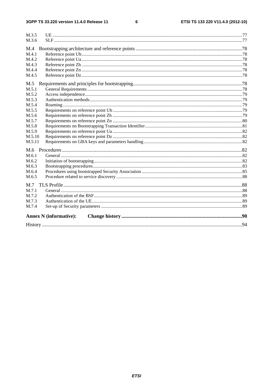#### $\bf 6$

| M.3.5  |                               |  |
|--------|-------------------------------|--|
| M.3.6  |                               |  |
| M.4    |                               |  |
| M.4.1  |                               |  |
| M.4.2  |                               |  |
| M.4.3  |                               |  |
| M.4.4  |                               |  |
| M.4.5  |                               |  |
| M.5    |                               |  |
| M.5.1  |                               |  |
| M.5.2  |                               |  |
| M.5.3  |                               |  |
| M.5.4  |                               |  |
| M.5.5  |                               |  |
| M.5.6  |                               |  |
| M.5.7  |                               |  |
| M.5.8  |                               |  |
| M.5.9  |                               |  |
| M.5.10 |                               |  |
| M.5.11 |                               |  |
| M.6    |                               |  |
| M.6.1  |                               |  |
| M.6.2  |                               |  |
| M.6.3  |                               |  |
| M.6.4  |                               |  |
| M.6.5  |                               |  |
| M.7    |                               |  |
| M.7.1  |                               |  |
| M.7.2  |                               |  |
| M.7.3  |                               |  |
| M.7.4  |                               |  |
|        | <b>Annex N</b> (informative): |  |
|        |                               |  |
|        |                               |  |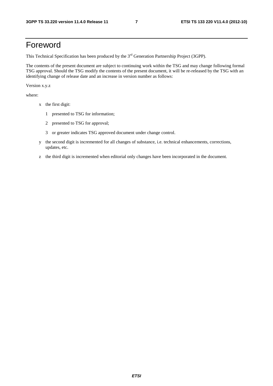## Foreword

This Technical Specification has been produced by the 3<sup>rd</sup> Generation Partnership Project (3GPP).

The contents of the present document are subject to continuing work within the TSG and may change following formal TSG approval. Should the TSG modify the contents of the present document, it will be re-released by the TSG with an identifying change of release date and an increase in version number as follows:

Version x.y.z

where:

- x the first digit:
	- 1 presented to TSG for information;
	- 2 presented to TSG for approval;
	- 3 or greater indicates TSG approved document under change control.
- y the second digit is incremented for all changes of substance, i.e. technical enhancements, corrections, updates, etc.
- z the third digit is incremented when editorial only changes have been incorporated in the document.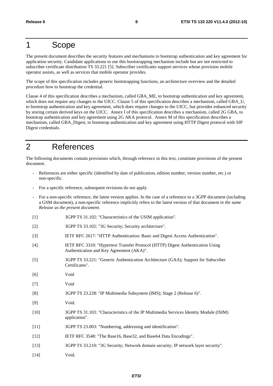## 1 Scope

The present document describes the security features and mechanisms to bootstrap authentication and key agreement for application security. Candidate applications to use this bootstrapping mechanism include but are not restricted to subscriber certificate distribution TS 33.221 [5]. Subscriber certificates support services whose provision mobile operator assists, as well as services that mobile operator provides.

The scope of this specification includes generic bootstrapping functions, an architecture overview and the detailed procedure how to bootstrap the credential.

Clause 4 of this specification describes a mechanism, called GBA\_ME, to bootstrap authentication and key agreement, which does not require any changes to the UICC. Clause 5 of this specification describes a mechanism, called GBA\_U, to bootstrap authentication and key agreement, which does require changes to the UICC, but provides enhanced security by storing certain derived keys on the UICC. Annex I of this specification describes a mechanism, called 2G GBA, to bootstrap authentication and key agreement using 2G AKA protocol. Annex M of this specification describes a mechanism, called GBA\_Digest, to bootstrap authentication and key agreement using HTTP Digest protocol with SIP Digest credentials.

## 2 References

The following documents contain provisions which, through reference in this text, constitute provisions of the present document.

- References are either specific (identified by date of publication, edition number, version number, etc.) or non-specific.
- For a specific reference, subsequent revisions do not apply.
- For a non-specific reference, the latest version applies. In the case of a reference to a 3GPP document (including a GSM document), a non-specific reference implicitly refers to the latest version of that document *in the same Release as the present document*.
- [1] 3GPP TS 31.102: "Characteristics of the USIM application".
- [2] 3GPP TS 33.102: "3G Security; Security architecture".
- [3] IETF RFC 2617: "HTTP Authentication: Basic and Digest Access Authentication".
- [4] IETF RFC 3310: "Hypertext Transfer Protocol (HTTP) Digest Authentication Using Authentication and Key Agreement (AKA)".
- [5] 3GPP TS 33.221: "Generic Authentication Architecture (GAA); Support for Subscriber Certificates".
- [6] Void
- [7] Void
- [8] 3GPP TS 23.228: "IP Multimedia Subsystem (IMS); Stage 2 (Release 6)".
- [9] Void.
- [10] 3GPP TS 31.103: "Characteristics of the IP Multimedia Services Identity Module (ISIM) application".
- [11] 3GPP TS 23.003: "Numbering, addressing and identification".
- [12] IETF RFC 3548: "The Base16, Base32, and Base64 Data Encodings".
- [13] 3GPP TS 33.210: "3G Security; Network domain security; IP network layer security".
- [14] Void.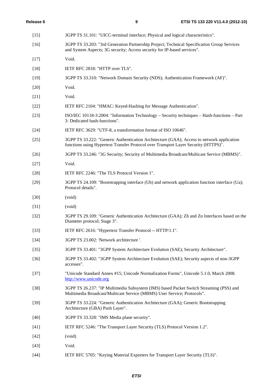| $[15]$ | 3GPP TS 31.101: "UICC-terminal interface; Physical and logical characteristics".                                                                                                 |
|--------|----------------------------------------------------------------------------------------------------------------------------------------------------------------------------------|
| $[16]$ | 3GPP TS 33.203: "3rd Generation Partnership Project; Technical Specification Group Services<br>and System Aspects; 3G security; Access security for IP-based services".          |
| $[17]$ | Void.                                                                                                                                                                            |
| $[18]$ | IETF RFC 2818: "HTTP over TLS".                                                                                                                                                  |
| $[19]$ | 3GPP TS 33.310: "Network Domain Security (NDS); Authentication Framework (AF)".                                                                                                  |
| $[20]$ | Void.                                                                                                                                                                            |
| $[21]$ | Void.                                                                                                                                                                            |
| $[22]$ | IETF RFC 2104: "HMAC: Keyed-Hashing for Message Authentication".                                                                                                                 |
| $[23]$ | ISO/IEC 10118-3:2004: "Information Technology – Security techniques – Hash-functions – Part<br>3: Dedicated hash-functions".                                                     |
| $[24]$ | IETF RFC 3629: "UTF-8, a transformation format of ISO 10646".                                                                                                                    |
| $[25]$ | 3GPP TS 33.222: "Generic Authentication Architecture (GAA); Access to network application<br>functions using Hypertext Transfer Protocol over Transport Layer Security (HTTPS)". |
| $[26]$ | 3GPP TS 33.246: "3G Security; Security of Multimedia Broadcast/Multicast Service (MBMS)".                                                                                        |
| $[27]$ | Void.                                                                                                                                                                            |
| $[28]$ | IETF RFC 2246: "The TLS Protocol Version 1".                                                                                                                                     |
| $[29]$ | 3GPP TS 24.109: "Bootstrapping interface (Ub) and network application function interface (Ua);<br>Protocol details".                                                             |
| $[30]$ | (void)                                                                                                                                                                           |
| $[31]$ | (void)                                                                                                                                                                           |
| $[32]$ | 3GPP TS 29.109: "Generic Authentication Architecture (GAA); Zh and Zn Interfaces based on the<br>Diameter protocol; Stage 3".                                                    |
| $[33]$ | IETF RFC 2616: "Hypertext Transfer Protocol -- HTTP/1.1".                                                                                                                        |
| $[34]$ | 3GPP TS 23.002: 'Network architecture '.                                                                                                                                         |
| $[35]$ | 3GPP TS 33.401: "3GPP System Architecture Evolution (SAE); Security Architecture".                                                                                               |
| $[36]$ | 3GPP TS 33.402: "3GPP System Architecture Evolution (SAE); Security aspects of non-3GPP<br>accesses".                                                                            |
| $[37]$ | "Unicode Standard Annex #15; Unicode Normalization Forms", Unicode 5.1.0, March 2008.<br>http://www.unicode.org                                                                  |
| $[38]$ | 3GPP TS 26.237: "IP Multimedia Subsystem (IMS) based Packet Switch Streaming (PSS) and<br>Multimedia Broadcast/Multicast Service (MBMS) User Service; Protocols".                |
| $[39]$ | 3GPP TS 33.224: "Generic Authentication Architecture (GAA); Generic Bootstrapping<br>Architecture (GBA) Push Layer".                                                             |
| $[40]$ | 3GPP TS 33.328: "IMS Media plane security".                                                                                                                                      |
| $[41]$ | IETF RFC 5246: "The Transport Layer Security (TLS) Protocol Version 1.2".                                                                                                        |
| $[42]$ | (void)                                                                                                                                                                           |
| $[43]$ | Void.                                                                                                                                                                            |
| $[44]$ | IETF RFC 5705: "Keying Material Exporters for Transport Layer Security (TLS)".                                                                                                   |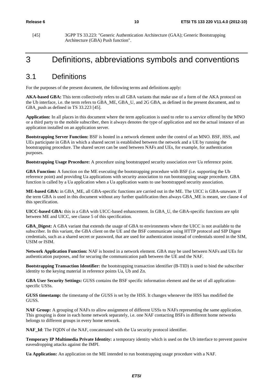[45] 3GPP TS 33.223: "Generic Authentication Architecture (GAA); Generic Bootstrapping Architecture (GBA) Push function".

## 3 Definitions, abbreviations symbols and conventions

### 3.1 Definitions

For the purposes of the present document, the following terms and definitions apply:

**AKA-based GBA:** This term collectively refers to all GBA variants that make use of a form of the AKA protocol on the Ub interface, i.e. the term refers to GBA\_ME, GBA\_U, and 2G GBA, as defined in the present document, and to GBA\_push as defined in TS 33.223 [45].

**Application:** In all places in this document where the term application is used to refer to a service offered by the MNO or a third party to the mobile subscriber, then it always denotes the type of application and not the actual instance of an application installed on an application server.

**Bootstrapping Server Function:** BSF is hosted in a network element under the control of an MNO. BSF, HSS, and UEs participate in GBA in which a shared secret is established between the network and a UE by running the bootstrapping procedure. The shared secret can be used between NAFs and UEs, for example, for authentication purposes.

**Bootstrapping Usage Procedure:** A procedure using bootstrapped security association over Ua reference point.

**GBA Function:** A function on the ME executing the bootstrapping procedure with BSF (i.e. supporting the Ub reference point) and providing Ua applications with security association to run bootstrapping usage procedure. GBA function is called by a Ua application when a Ua application wants to use bootstrapped security association.

**ME-based GBA:** in GBA\_ME, all GBA-specific functions are carried out in the ME. The UICC is GBA-unaware. If the term GBA is used in this document without any further qualification then always GBA\_ME is meant, see clause 4 of this specification.

**UICC-based GBA:** this is a GBA with UICC-based enhancement. In GBA\_U, the GBA-specific functions are split between ME and UICC, see clause 5 of this specification.

**GBA\_Digest:** A GBA variant that extends the usage of GBA to environments where the UICC is not available to the subscriber. In this variant, the GBA client on the UE and the BSF communicate using HTTP protocol and SIP Digest credentials, such as a shared secret or password, that are used for authentication instead of credentials stored in the SIM, USIM or ISIM.

**Network Application Function:** NAF is hosted in a network element. GBA may be used between NAFs and UEs for authentication purposes, and for securing the communication path between the UE and the NAF.

**Bootstrapping Transaction Identifier:** the bootstrapping transaction identifier (B-TID) is used to bind the subscriber identity to the keying material in reference points Ua, Ub and Zn.

**GBA User Security Settings:** GUSS contains the BSF specific information element and the set of all applicationspecific USSs.

**GUSS timestamp:** the timestamp of the GUSS is set by the HSS. It changes whenever the HSS has modified the GUSS.

**NAF Group:** A grouping of NAFs to allow assignment of different USSs to NAFs representing the same application. This grouping is done in each home network separately, i.e. one NAF contacting BSFs in different home networks belongs to different groups in every home network.

**NAF\_Id**: The FQDN of the NAF, concatenated with the Ua security protocol identifier.

**Temporary IP Multimedia Private Identity:** a temporary identity which is used on the Ub interface to prevent passive eavesdropping attacks against the IMPI.

**Ua Application:** An application on the ME intended to run bootstrapping usage procedure with a NAF.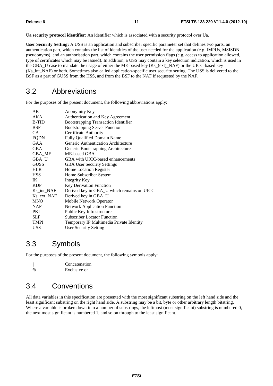**Ua security protocol identifier**: An identifier which is associated with a security protocol over Ua.

**User Security Setting:** A USS is an application and subscriber specific parameter set that defines two parts, an authentication part, which contains the list of identities of the user needed for the application (e.g. IMPUs, MSISDN, pseudonyms), and an authorisation part, which contains the user permission flags (e.g. access to application allowed, type of certificates which may be issued). In addition, a USS may contain a key selection indication, which is used in the GBA\_U case to mandate the usage of either the ME-based key (Ks\_(ext)\_NAF) or the UICC-based key (Ks\_int\_NAF) or both. Sometimes also called application-specific user security setting. The USS is delivered to the BSF as a part of GUSS from the HSS, and from the BSF to the NAF if requested by the NAF.

### 3.2 Abbreviations

For the purposes of the present document, the following abbreviations apply:

| AK           | Anonymity Key                               |
|--------------|---------------------------------------------|
| <b>AKA</b>   | Authentication and Key Agreement            |
| <b>B-TID</b> | <b>Bootstrapping Transaction Identifier</b> |
| <b>BSF</b>   | <b>Bootstrapping Server Function</b>        |
| CA.          | <b>Certificate Authority</b>                |
| <b>FQDN</b>  | <b>Fully Qualified Domain Name</b>          |
| GAA          | Generic Authentication Architecture         |
| <b>GBA</b>   | Generic Bootstrapping Architecture          |
| GBA_ME       | ME-based GBA                                |
| GBA_U        | GBA with UICC-based enhancements            |
| <b>GUSS</b>  | <b>GBA User Security Settings</b>           |
| <b>HLR</b>   | Home Location Register                      |
| <b>HSS</b>   | Home Subscriber System                      |
| IK           | Integrity Key                               |
| <b>KDF</b>   | <b>Key Derivation Function</b>              |
| Ks_int_NAF   | Derived key in GBA_U which remains on UICC  |
| Ks_ext_NAF   | Derived key in GBA_U                        |
| <b>MNO</b>   | Mobile Network Operator                     |
| <b>NAF</b>   | <b>Network Application Function</b>         |
| PKI          | Public Key Infrastructure                   |
| <b>SLF</b>   | <b>Subscriber Locator Function</b>          |
| <b>TMPI</b>  | Temporary IP Multimedia Private Identity    |
| <b>USS</b>   | <b>User Security Setting</b>                |
|              |                                             |

### 3.3 Symbols

For the purposes of the present document, the following symbols apply:

|          | Concatenation |
|----------|---------------|
| $\oplus$ | Exclusive or  |

### 3.4 Conventions

All data variables in this specification are presented with the most significant substring on the left hand side and the least significant substring on the right hand side. A substring may be a bit, byte or other arbitrary length bitstring. Where a variable is broken down into a number of substrings, the leftmost (most significant) substring is numbered 0, the next most significant is numbered 1, and so on through to the least significant.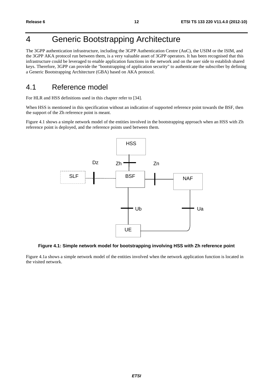## 4 Generic Bootstrapping Architecture

The 3GPP authentication infrastructure, including the 3GPP Authentication Centre (AuC), the USIM or the ISIM, and the 3GPP AKA protocol run between them, is a very valuable asset of 3GPP operators. It has been recognised that this infrastructure could be leveraged to enable application functions in the network and on the user side to establish shared keys. Therefore, 3GPP can provide the "bootstrapping of application security" to authenticate the subscriber by defining a Generic Bootstrapping Architecture (GBA) based on AKA protocol.

## 4.1 Reference model

For HLR and HSS definitions used in this chapter refer to [34].

When HSS is mentioned in this specification without an indication of supported reference point towards the BSF, then the support of the Zh reference point is meant.

Figure 4.1 shows a simple network model of the entities involved in the bootstrapping approach when an HSS with Zh reference point is deployed, and the reference points used between them.



#### **Figure 4.1: Simple network model for bootstrapping involving HSS with Zh reference point**

Figure 4.1a shows a simple network model of the entities involved when the network application function is located in the visited network.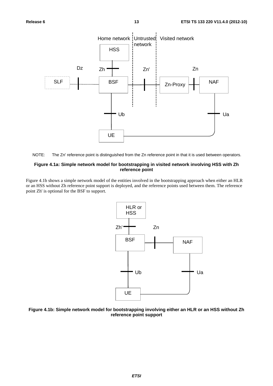



#### **Figure 4.1a: Simple network model for bootstrapping in visited network involving HSS with Zh reference point**

Figure 4.1b shows a simple network model of the entities involved in the bootstrapping approach when either an HLR or an HSS without Zh reference point support is deployed, and the reference points used between them. The reference point Zh' is optional for the BSF to support.



#### **Figure 4.1b: Simple network model for bootstrapping involving either an HLR or an HSS without Zh reference point support**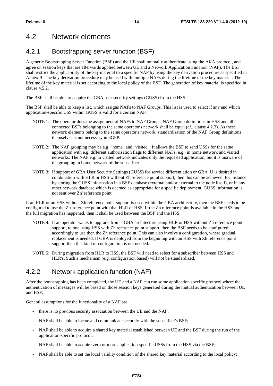## 4.2 Network elements

### 4.2.1 Bootstrapping server function (BSF)

A generic Bootstrapping Server Function (BSF) and the UE shall mutually authenticate using the AKA protocol, and agree on session keys that are afterwards applied between UE and a Network Application Function (NAF). The BSF shall restrict the applicability of the key material to a specific NAF by using the key derivation procedure as specified in Annex B. The key derivation procedure may be used with multiple NAFs during the lifetime of the key material. The lifetime of the key material is set according to the local policy of the BSF. The generation of key material is specified in clause 4.5.2.

The BSF shall be able to acquire the GBA user security settings (GUSS) from the HSS.

The BSF shall be able to keep a list, which assigns NAFs to NAF Groups. This list is used to select if any and which application-specific USS within GUSS is valid for a certain NAF.

- NOTE 1: The operator does the assignment of NAFs to NAF Groups. NAF Group definitions in HSS and all connected BSFs belonging to the same operator's network shall be equal (cf., clause 4.2.3). As these network elements belong to the same operator's network, standardisation of the NAF Group definitions themselves is not necessary in 3GPP.
- NOTE 2: The NAF grouping may be e.g. "home" and "visited". It allows the BSF to send USSs for the same application with e.g. different authorization flags to different NAFs, e.g., in home network and visited networks. The NAF e.g. in visited network indicates only the requested application, but it is unaware of the grouping in home network of the subscriber.
- NOTE 3: If support of GBA User Security Settings (GUSS) for service differentiation or GBA\_U is desired in combination with HLR or HSS without Zh reference point support, then this can be achieved, for instance by storing the GUSS information in a BSF database (external and/or external to the node itself), or in any other network database which is deemed as appropriate for a specific deployment. GUSS information is not sent over Zh' reference point.

If an HLR or an HSS without Zh reference point support is used within the GBA architecture, then the BSF needs to be configured to use the Zh' reference point with that HLR or HSS. If the Zh reference point is available in the HSS and the full migration has happened, then it shall be used between the BSF and the HSS.

- NOTE 4: If an operator wants to upgrade from a GBA architecture using HLR or HSS without Zh reference point support, to one using HSS with Zh reference point support, then the BSF needs to be configured accordingly to use then the Zh reference point. This can also involve a configuration, where gradual replacement is needed. If GBA is deployed from the beginning with an HSS with Zh reference point support then this kind of configuration is not needed.
- NOTE 5: During migration from HLR to HSS, the BSF will need to select for a subscriber between HSS and HLR's. Such a mechanism (e.g. configuration based) will not be standardized.

### 4.2.2 Network application function (NAF)

After the bootstrapping has been completed, the UE and a NAF can run some application specific protocol where the authentication of messages will be based on those session keys generated during the mutual authentication between UE and BSF.

General assumptions for the functionality of a NAF are:

- there is no previous security association between the UE and the NAF;
- NAF shall be able to locate and communicate securely with the subscriber's BSF;
- NAF shall be able to acquire a shared key material established between UE and the BSF during the run of the application-specific protocol;
- NAF shall be able to acquire zero or more application-specific USSs from the HSS via the BSF;
- NAF shall be able to set the local validity condition of the shared key material according to the local policy;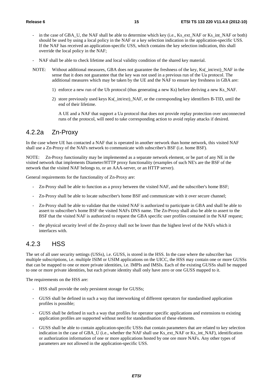- in the case of GBA\_U, the NAF shall be able to determine which key (i.e., Ks\_ext\_NAF or Ks\_int\_NAF or both) should be used by using a local policy in the NAF or a key selection indication in the application-specific USS. If the NAF has received an application-specific USS, which contains the key selection indication, this shall override the local policy in the NAF;
- NAF shall be able to check lifetime and local validity condition of the shared key material.
- NOTE: Without additional measures, GBA does not guarantee the freshness of the key, Ks( int/ext) NAF in the sense that it does not guarantee that the key was not used in a previous run of the Ua protocol. The additional measures which may be taken by the UE and the NAF to ensure key freshness in GBA are:
	- 1) enforce a new run of the Ub protocol (thus generating a new Ks) before deriving a new Ks\_NAF.
	- 2) store previously used keys Ks(\_int/ext)\_NAF, or the corresponding key identifiers B-TID, until the end of their lifetime.

 A UE and a NAF that support a Ua protocol that does not provide replay protection over unconnected runs of the protocol, will need to take corresponding action to avoid replay attacks if desired.

#### 4.2.2a Zn-Proxy

In the case where UE has contacted a NAF that is operated in another network than home network, this visited NAF shall use a Zn-Proxy of the NAFs network to communicate with subscriber's BSF (i.e. home BSF).

NOTE: Zn-Proxy functionality may be implemented as a separate network element, or be part of any NE in the visited network that implements Diameter/HTTP proxy functionality (examples of such NE's are the BSF of the network that the visited NAF belongs to, or an AAA-server, or an HTTP server).

General requirements for the functionality of Zn-Proxy are:

- Zn-Proxy shall be able to function as a proxy between the visited NAF, and the subscriber's home BSF;
- Zn-Proxy shall be able to locate subscriber's home BSF and communicate with it over secure channel;
- Zn-Proxy shall be able to validate that the visited NAF is authorized to participate in GBA and shall be able to assert to subscriber's home BSF the visited NAFs DNS name. The Zn-Proxy shall also be able to assert to the BSF that the visited NAF is authorized to request the GBA specific user profiles contained in the NAF request;
- the physical security level of the Zn-proxy shall not be lower than the highest level of the NAFs which it interfaces with.

#### 4.2.3 HSS

The set of all user security settings (USSs), i.e. GUSS, is stored in the HSS. In the case where the subscriber has multiple subscriptions, i.e. multiple ISIM or USIM applications on the UICC, the HSS may contain one or more GUSSs that can be mapped to one or more private identities, i.e. IMPIs and IMSIs. Each of the existing GUSSs shall be mapped to one or more private identities, but each private identity shall only have zero or one GUSS mapped to it.

The requirements on the HSS are:

- HSS shall provide the only persistent storage for GUSSs;
- GUSS shall be defined in such a way that interworking of different operators for standardised application profiles is possible;
- GUSS shall be defined in such a way that profiles for operator specific applications and extensions to existing application profiles are supported without need for standardisation of these elements.
- GUSS shall be able to contain application-specific USSs that contain parameters that are related to key selection indication in the case of GBA\_U (i.e., whether the NAF shall use Ks\_ext\_NAF or Ks\_int\_NAF), identification or authorization information of one or more applications hosted by one ore more NAFs. Any other types of parameters are not allowed in the application-specific USS.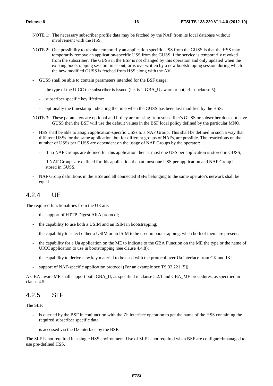- NOTE 1: The necessary subscriber profile data may be fetched by the NAF from its local database without involvement with the HSS.
- NOTE 2: One possibility to revoke temporarily an application specific USS from the GUSS is that the HSS may temporarily remove an application-specific USS from the GUSS if the service is temporarily revoked from the subscriber. The GUSS in the BSF is not changed by this operation and only updated when the existing bootstrapping session times out, or is overwritten by a new bootstrapping session during which the new modified GUSS is fetched from HSS along with the AV.
- GUSS shall be able to contain parameters intended for the BSF usage:
	- the type of the UICC the subscriber is issued (i.e. is it GBA\_U aware or not, cf. subclause 5);
	- subscriber specific key lifetime:
	- optionally the timestamp indicating the time when the GUSS has been last modified by the HSS.
- NOTE 3: These parameters are optional and if they are missing from subscriber's GUSS or subscriber does not have GUSS then the BSF will use the default values in the BSF local policy defined by the particular MNO.
- HSS shall be able to assign application-specific USSs to a NAF Group. This shall be defined in such a way that different USSs for the same application, but for different groups of NAFs, are possible. The restrictions on the number of USSs per GUSS are dependent on the usage of NAF Groups by the operator:
	- if no NAF Groups are defined for this application then at most one USS per application is stored in GUSS;
	- if NAF Groups are defined for this application then at most one USS per application and NAF Group is stored in GUSS.
- NAF Group definitions in the HSS and all connected BSFs belonging to the same operator's network shall be equal.

#### 4.2.4 UE

The required functionalities from the UE are:

- the support of HTTP Digest AKA protocol;
- the capability to use both a USIM and an ISIM in bootstrapping;
- the capability to select either a USIM or an ISIM to be used in bootstrapping, when both of them are present;
- the capability for a Ua application on the ME to indicate to the GBA Function on the ME the type or the name of UICC application to use in bootstrapping (see clause 4.4.8);
- the capability to derive new key material to be used with the protocol over Ua interface from CK and IK;
- support of NAF-specific application protocol (For an example see TS 33.221 [5]).

A GBA-aware ME shall support both GBA\_U, as specified in clause 5.2.1 and GBA\_ME procedures, as specified in clause 4.5.

### 4.2.5 SLF

The SLF:

- is queried by the BSF in conjunction with the Zh interface operation to get the name of the HSS containing the required subscriber specific data.
- is accessed via the Dz interface by the BSF.

The SLF is not required in a single HSS environment. Use of SLF is not required when BSF are configured/managed to use pre-defined HSS.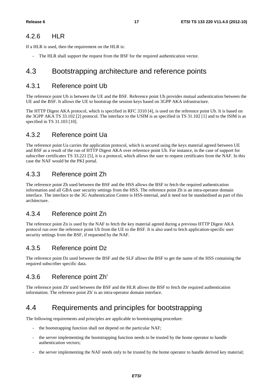#### 4.2.6 HLR

If a HLR is used, then the requirement on the HLR is:

- The HLR shall support the request from the BSF for the required authentication vector.

### 4.3 Bootstrapping architecture and reference points

#### 4.3.1 Reference point Ub

The reference point Ub is between the UE and the BSF. Reference point Ub provides mutual authentication between the UE and the BSF. It allows the UE to bootstrap the session keys based on 3GPP AKA infrastructure.

The HTTP Digest AKA protocol, which is specified in RFC 3310 [4], is used on the reference point Ub. It is based on the 3GPP AKA TS 33.102 [2] protocol. The interface to the USIM is as specified in TS 31.102 [1] and to the ISIM is as specified in TS 31.103 [10].

### 4.3.2 Reference point Ua

The reference point Ua carries the application protocol, which is secured using the keys material agreed between UE and BSF as a result of the run of HTTP Digest AKA over reference point Ub. For instance, in the case of support for subscriber certificates TS 33.221 [5], it is a protocol, which allows the user to request certificates from the NAF. In this case the NAF would be the PKI portal.

### 4.3.3 Reference point Zh

The reference point Zh used between the BSF and the HSS allows the BSF to fetch the required authentication information and all GBA user security settings from the HSS. The reference point Zh is an intra-operator domain interface. The interface to the 3G Authentication Centre is HSS-internal, and it need not be standardised as part of this architecture.

### 4.3.4 Reference point Zn

The reference point Zn is used by the NAF to fetch the key material agreed during a previous HTTP Digest AKA protocol run over the reference point Ub from the UE to the BSF. It is also used to fetch application-specific user security settings from the BSF, if requested by the NAF.

### 4.3.5 Reference point Dz

The reference point Dz used between the BSF and the SLF allows the BSF to get the name of the HSS containing the required subscriber specific data.

### 4.3.6 Reference point Zh'

The reference point Zh' used between the BSF and the HLR allows the BSF to fetch the required authentication information. The reference point Zh' is an intra-operator domain interface.

## 4.4 Requirements and principles for bootstrapping

The following requirements and principles are applicable to bootstrapping procedure:

- the bootstrapping function shall not depend on the particular NAF;
- the server implementing the bootstrapping function needs to be trusted by the home operator to handle authentication vectors;
- the server implementing the NAF needs only to be trusted by the home operator to handle derived key material;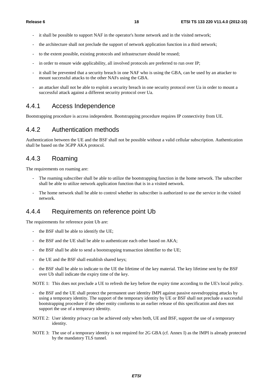- it shall be possible to support NAF in the operator's home network and in the visited network;
- the architecture shall not preclude the support of network application function in a third network;
- to the extent possible, existing protocols and infrastructure should be reused;
- in order to ensure wide applicability, all involved protocols are preferred to run over IP;
- it shall be prevented that a security breach in one NAF who is using the GBA, can be used by an attacker to mount successful attacks to the other NAFs using the GBA.
- an attacker shall not be able to exploit a security breach in one security protocol over Ua in order to mount a successful attack against a different security protocol over Ua.

#### 4.4.1 Access Independence

Bootstrapping procedure is access independent. Bootstrapping procedure requires IP connectivity from UE.

#### 4.4.2 Authentication methods

Authentication between the UE and the BSF shall not be possible without a valid cellular subscription. Authentication shall be based on the 3GPP AKA protocol.

#### 4.4.3 Roaming

The requirements on roaming are:

- The roaming subscriber shall be able to utilize the bootstrapping function in the home network. The subscriber shall be able to utilize network application function that is in a visited network.
- The home network shall be able to control whether its subscriber is authorized to use the service in the visited network.

#### 4.4.4 Requirements on reference point Ub

The requirements for reference point Ub are:

- the BSF shall be able to identify the UE;
- the BSF and the UE shall be able to authenticate each other based on AKA;
- the BSF shall be able to send a bootstrapping transaction identifier to the UE;
- the UE and the BSF shall establish shared keys:
- the BSF shall be able to indicate to the UE the lifetime of the key material. The key lifetime sent by the BSF over Ub shall indicate the expiry time of the key.

NOTE 1: This does not preclude a UE to refresh the key before the expiry time according to the UE's local policy.

- the BSF and the UE shall protect the permanent user identity IMPI against passive eavesdropping attacks by using a temporary identity. The support of the temporary identity by UE or BSF shall not preclude a successful bootstrapping procedure if the other entity conforms to an earlier release of this specification and does not support the use of a temporary identity.
- NOTE 2: User identity privacy can be achieved only when both, UE and BSF, support the use of a temporary identity.
- NOTE 3: The use of a temporary identity is not required for 2G GBA (cf. Annex I) as the IMPI is already protected by the mandatory TLS tunnel.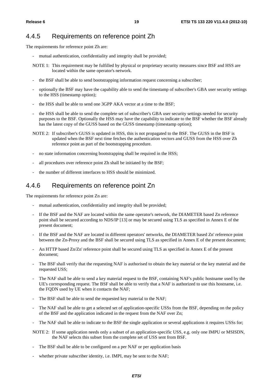#### 4.4.5 Requirements on reference point Zh

The requirements for reference point Zh are:

- mutual authentication, confidentiality and integrity shall be provided;
- NOTE 1: This requirement may be fulfilled by physical or proprietary security measures since BSF and HSS are located within the same operator's network.
- the BSF shall be able to send bootstrapping information request concerning a subscriber;
- optionally the BSF may have the capability able to send the timestamp of subscriber's GBA user security settings to the HSS (timestamp option);
- the HSS shall be able to send one 3GPP AKA vector at a time to the BSF;
- the HSS shall be able to send the complete set of subscriber's GBA user security settings needed for security purposes to the BSF. Optionally the HSS may have the capability to indicate to the BSF whether the BSF already has the latest copy of the GUSS based on the GUSS timestamp (timestamp option);
- NOTE 2: If subscriber's GUSS is updated in HSS, this is not propagated to the BSF. The GUSS in the BSF is updated when the BSF next time fetches the authentication vectors and GUSS from the HSS over Zh reference point as part of the bootstrapping procedure.
- no state information concerning bootstrapping shall be required in the HSS;
- all procedures over reference point Zh shall be initiated by the BSF;
- the number of different interfaces to HSS should be minimized.

#### 4.4.6 Requirements on reference point Zn

The requirements for reference point Zn are:

- mutual authentication, confidentiality and integrity shall be provided;
- If the BSF and the NAF are located within the same operator's network, the DIAMETER based Zn reference point shall be secured according to NDS/IP [13] or may be secured using TLS as specified in Annex E of the present document;
- If the BSF and the NAF are located in different operators' networks, the DIAMETER based Zn' reference point between the Zn-Proxy and the BSF shall be secured using TLS as specified in Annex E of the present document;
- An HTTP based Zn/Zn' reference point shall be secured using TLS as specified in Annex E of the present document;
- The BSF shall verify that the requesting NAF is authorised to obtain the key material or the key material and the requested USS;
- The NAF shall be able to send a key material request to the BSF, containing NAF's public hostname used by the UE's corresponding request. The BSF shall be able to verify that a NAF is authorized to use this hostname, i.e. the FQDN used by UE when it contacts the NAF;
- The BSF shall be able to send the requested key material to the NAF;
- The NAF shall be able to get a selected set of application-specific USSs from the BSF, depending on the policy of the BSF and the application indicated in the request from the NAF over Zn;
- The NAF shall be able to indicate to the BSF the single application or several applications it requires USSs for;
- NOTE 2: If some application needs only a subset of an application-specific USS, e.g. only one IMPU or MSISDN, the NAF selects this subset from the complete set of USS sent from BSF.
- The BSF shall be able to be configured on a per NAF or per application basis
- whether private subscriber identity, i.e. IMPI, may be sent to the NAF;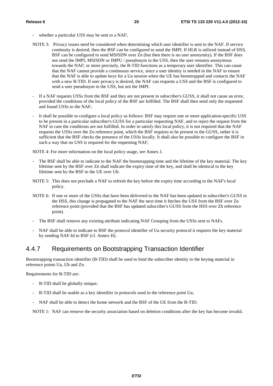- whether a particular USS may be sent to a NAF;
- NOTE 3: Privacy issues need be considered when determining which user identifier is sent to the NAF. If service continuity is desired, then the BSF can be configured to send the IMPI. If HLR is utilized instead of HSS, BSF can be configured to send MSISDN over Zn (but then there is no user anonymity). If the BSF does not send the IMPI, MSISDN or IMPU / pseudonym in the USS, then the user remains anonymous towards the NAF; or more precisely, the B-TID functions as a temporary user identifier. This can cause that the NAF cannot provide a continuous service, since a user identity is needed in the NAF to ensure that the NAF is able to update keys for a Ua session when the UE has bootstrapped and contacts the NAF with a new B-TID. If user privacy is desired, the NAF can requests a USS and the BSF is configured to send a user pseudonym in the USS, but not the IMPI.
- If a NAF requests USSs from the BSF and they are not present in subscriber's GUSS, it shall not cause an error, provided the conditions of the local policy of the BSF are fulfilled. The BSF shall then send only the requested and found USSs to the NAF;
- It shall be possible to configure a local policy as follows: BSF may require one or more application-specific USS to be present in a particular subscriber's GUSS for a particular requesting NAF, and to reject the request from the NAF in case the conditions are not fulfilled. In order to satisfy this local policy, it is not required that the NAF requests the USSs over the Zn reference point, which the BSF requires to be present in the GUSS, rather it is sufficient that the BSF checks the presence of the USSs locally. It shall also be possible to configure the BSF in such a way that no USS is required for the requesting NAF;

NOTE 4: For more information on the local policy usage, see Annex J.

- The BSF shall be able to indicate to the NAF the bootstrapping time and the lifetime of the key material. The key lifetime sent by the BSF over Zn shall indicate the expiry time of the key, and shall be identical to the key lifetime sent by the BSF to the UE over Ub.
- NOTE 5: This does not preclude a NAF to refresh the key before the expiry time according to the NAF's local policy.
- NOTE 6: If one or more of the USSs that have been delivered to the NAF has been updated in subscriber's GUSS in the HSS, this change is propagated to the NAF the next time it fetches the USS from the BSF over Zn reference point (provided that the BSF has updated subscriber's GUSS from the HSS over Zh reference point).
- The BSF shall remove any existing attribute indicating NAF Grouping from the USSs sent to NAFs.
- NAF shall be able to indicate to BSF the protocol identifier of Ua security protocol it requires the key material by sending NAF-Id to BSF (cf. Annex H).

#### 4.4.7 Requirements on Bootstrapping Transaction Identifier

Bootstrapping transaction identifier (B-TID) shall be used to bind the subscriber identity to the keying material in reference points Ua, Ub and Zn.

Requirements for B-TID are:

- B-TID shall be globally unique;
- B-TID shall be usable as a key identifier in protocols used in the reference point Ua;
- NAF shall be able to detect the home network and the BSF of the UE from the B-TID.

NOTE 1: NAF can remove the security association based on deletion conditions after the key has become invalid.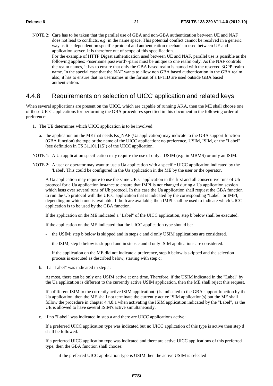NOTE 2: Care has to be taken that the parallel use of GBA and non-GBA authentication between UE and NAF does not lead to conflicts, e.g. in the name space. This potential conflict cannot be resolved in a generic way as it is dependent on specific protocol and authentication mechanism used between UE and application server. It is therefore out of scope of this specification. For the example of HTTP Digest authentication used between UE and NAF, parallel use is possible as the following applies: <username,password>-pairs must be unique to one realm only. As the NAF controls the realm names, it has to ensure that only the GBA based realm is named with the reserved 3GPP realm name. In the special case that the NAF wants to allow non GBA based authentication in the GBA realm also, it has to ensure that no usernames in the format of a B-TID are used outside GBA based authentication.

#### 4.4.8 Requirements on selection of UICC application and related keys

When several applications are present on the UICC, which are capable of running AKA, then the ME shall choose one of these UICC applications for performing the GBA procedures specified in this document in the following order of preference:

- 1. The UE determines which UICC application is to be involved:
	- a. the application on the ME that needs Ks\_NAF (Ua application) may indicate to the GBA support function (GBA function) the type or the name of the UICC application: no preference, USIM, ISIM, or the "Label" (see definition in TS 31.101 [15]) of the UICC application.
- NOTE 1: A Ua application specification may require the use of only a USIM (e.g. in MBMS) or only an ISIM.
- NOTE 2: A user or operator may want to use a Ua application with a specific UICC application indicated by the 'Label'. This could be configured in the Ua application in the ME by the user or the operator.

 A Ua application may require to use the same UICC application in the first and all consecutive runs of Ub protocol for a Ua application instance to ensure that IMPI is not changed during a Ua application session which lasts over several runs of Ub protocol. In this case the Ua application shall request the GBA function to run the Ub protocol with the UICC application that is indicated by the corresponding "Label" or IMPI, depending on which one is available. If both are available, then IMPI shall be used to indicate which UICC application is to be used by the GBA function.

If the application on the ME indicated a "Label" of the UICC application, step b below shall be executed.

If the application on the ME indicated that the UICC application type should be:

- the USIM; step b below is skipped and in steps c and d only USIM applications are considered.
- the ISIM; step b below is skipped and in steps c and d only ISIM applications are considered.

 if the application on the ME did not indicate a preference, step b below is skipped and the selection process is executed as described below, starting with step c;

b. if a "Label" was indicated in step a:

At most, there can be only one USIM active at one time. Therefore, if the USIM indicated in the "Label" by the Ua application is different to the currently active USIM application, then the ME shall reject this request.

If a different ISIM to the currently active ISIM application(s) is indicated to the GBA support function by the Ua application, then the ME shall not terminate the currently active ISIM application(s) but the ME shall follow the procedure in chapter 4.4.8.1 when activating the ISIM application indicated by the "Label", as the UE is allowed to have several ISIM's active simultaneously.

c. if no "Label" was indicated in step a and there are UICC applications active:

If a preferred UICC application type was indicated but no UICC application of this type is active then step d shall be followed.

If a preferred UICC application type was indicated and there are active UICC applications of this preferred type, then the GBA function shall choose:

- if the preferred UICC application type is USIM then the active USIM is selected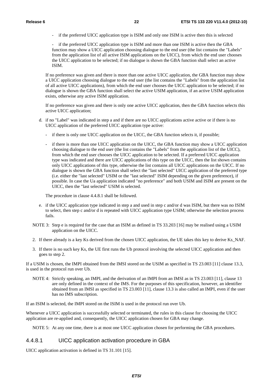- if the preferred UICC application type is ISIM and only one ISIM is active then this is selected

if the preferred UICC application type is ISIM and more than one ISIM is active then the GBA function may show a UICC application choosing dialogue to the end user (the list contains the "Labels" from the application list of all active ISIM applications on the UICC), from which the end user chooses the UICC application to be selected; if no dialogue is shown the GBA function shall select an active ISIM.

If no preference was given and there is more than one active UICC application, the GBA function may show a UICC application choosing dialogue to the end user (the list contains the "Labels" from the application list of all active UICC applications), from which the end user chooses the UICC application to be selected; if no dialogue is shown the GBA function shall select the active USIM application, if an active USIM application exists, otherwise any active ISIM application.

If no preference was given and there is only one active UICC application, then the GBA function selects this active UICC application;

- d. if no "Label" was indicated in step a and if there are no UICC applications active active or if there is no UICC application of the preferred UICC application type active:
	- if there is only one UICC application on the UICC, the GBA function selects it, if possible;
	- if there is more than one UICC application on the UICC, the GBA function may show a UICC application choosing dialogue to the end user (the list contains the "Labels" from the application list of the UICC), from which the end user chooses the UICC application to be selected. If a preferred UICC application type was indicated and there are UICC applications of this type on the UICC, then the list shown contains only UICC applications of this type, otherwise the list contains all UICC applications on the UICC. If no dialogue is shown the GBA function shall select the "last selected" UICC application of the preferred type (i.e. either the "last selected" USIM or the "last selected" ISIM depending on the given preference), if possible. In case the Ua application indicated "no preference" and both USIM and ISIM are present on the UICC, then the "last selected" USIM is selected.

The procedure in clause 4.4.8.1 shall be followed.

- e. if the UICC application type indicated in step a and used in step c and/or d was ISIM, but there was no ISIM to select, then step c and/or d is repeated with UICC application type USIM; otherwise the selection process fails.
- NOTE 3: Step e is required for the case that an ISIM as defined in TS 33.203 [16] may be realised using a USIM application on the UICC.
- 2. If there already is a key Ks derived from the chosen UICC application, the UE takes this key to derive Ks\_NAF.
- 3. If there is no such key Ks, the UE first runs the Ub protocol involving the selected UICC application and then goes to step 2.

If a USIM is chosen, the IMPI obtained from the IMSI stored on the USIM as specified in TS 23.003 [11] clause 13.3, is used in the protocol run over Ub.

NOTE 4: Strictly speaking, an IMPI, and the derivation of an IMPI from an IMSI as in TS 23.003 [11], clause 13 are only defined in the context of the IMS. For the purposes of this specification, however, an identifier obtained from an IMSI as specified in TS 23.003 [11], clause 13.3 is also called an IMPI, even if the user has no IMS subscription.

If an ISIM is selected, the IMPI stored on the ISIM is used in the protocol run over Ub.

Whenever a UICC application is successfully selected or terminated, the rules in this clause for choosing the UICC application are re-applied and, consequently, the UICC application chosen for GBA may change.

NOTE 5: At any one time, there is at most one UICC application chosen for performing the GBA procedures.

#### 4.4.8.1 UICC application activation procedure in GBA

UICC application activation is defined in TS 31.101 [15].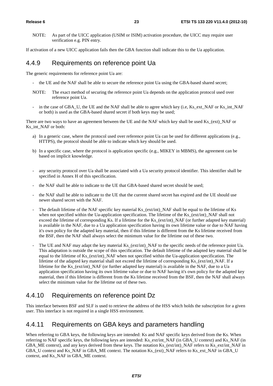NOTE: As part of the UICC application (USIM or ISIM) activation procedure, the UICC may require user verification e.g. PIN entry.

If activation of a new UICC application fails then the GBA function shall indicate this to the Ua application.

#### 4.4.9 Requirements on reference point Ua

The generic requirements for reference point Ua are:

- the UE and the NAF shall be able to secure the reference point Ua using the GBA-based shared secret;
- NOTE: The exact method of securing the reference point Ua depends on the application protocol used over reference point Ua.
- in the case of GBA\_U, the UE and the NAF shall be able to agree which key (i.e, Ks\_ext\_NAF or Ks\_int\_NAF or both) is used as the GBA-based shared secret if both keys may be used;

There are two ways to have an agreement between the UE and the NAF which key shall be used Ks\_(ext)\_NAF or Ks int\_NAF or both:

- a) In a generic case, where the protocol used over reference point Ua can be used for different applications (e.g., HTTPS), the protocol should be able to indicate which key should be used.
- b) In a specific case, where the protocol is application specific (e.g., MIKEY in MBMS), the agreement can be based on implicit knowledge.
- any security protocol over Ua shall be associated with a Ua security protocol identifier. This identifier shall be specified in Annex H of this specification.
- the NAF shall be able to indicate to the UE that GBA-based shared secret should be used;
- the NAF shall be able to indicate to the UE that the current shared secret has expired and the UE should use newer shared secret with the NAF.
- The default lifetime of the NAF specific key material Ks (ext/int) NAF shall be equal to the lifetime of Ks when not specified within the Ua-application specification. The lifetime of the Ks (ext/int) NAF shall not exceed the lifetime of corresponding Ks. If a lifetime for the Ks (ext/int) NAF (or further adapted key material) is available in the NAF, due to a Ua application specification having its own lifetime value or due to NAF having it's own policy for the adapted key material, then if this lifetime is different from the Ks lifetime received from the BSF, then the NAF shall always select the minimum value for the lifetime out of these two.
- The UE and NAF may adapt the key material Ks\_(ext/int)\_NAF to the specific needs of the reference point Ua. This adaptation is outside the scope of this specification. The default lifetime of the adapted key material shall be equal to the lifetime of Ks\_(ext/int)\_NAF when not specified within the Ua-application specification. The lifetime of the adapted key material shall not exceed the lifetime of corresponding Ks (ext/int) NAF. If a lifetime for the Ks (ext/int) NAF (or further adapted key material) is available in the NAF, due to a Ua application specification having its own lifetime value or due to NAF having it's own policy for the adapted key material, then if this lifetime is different from the Ks lifetime received from the BSF, then the NAF shall always select the minimum value for the lifetime out of these two.

### 4.4.10 Requirements on reference point Dz

This interface between BSF and SLF is used to retrieve the address of the HSS which holds the subscription for a given user. This interface is not required in a single HSS environment.

#### 4.4.11 Requirements on GBA keys and parameters handling

When referring to GBA keys, the following keys are intended: Ks and NAF specific keys derived from the Ks. When referring to NAF specific keys, the following keys are intended: Ks\_ext/int\_NAF (in GBA\_U context) and Ks\_NAF (in GBA\_ME context), and any keys derived from these keys. The notation Ks\_(ext/int)\_NAF refers to Ks\_ext/int\_NAF in GBA\_U context and Ks\_NAF in GBA\_ME context. The notation Ks\_(ext)\_NAF refers to Ks\_ext\_NAF in GBA\_U context, and Ks\_NAF in GBA\_ME context.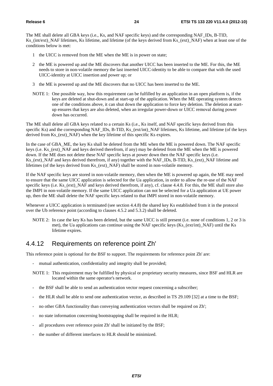The ME shall delete all GBA keys (i.e., Ks, and NAF specific keys) and the corresponding NAF\_IDs, B-TID, Ks\_(int/ext)\_NAF lifetimes, Ks lifetime, and lifetime (of the keys derived from Ks\_(ext)\_NAF) when at least one of the conditions below is met:

- 1 the UICC is removed from the ME when the ME is in power on state;
- 2 the ME is powered up and the ME discovers that another UICC has been inserted to the ME. For this, the ME needs to store in non-volatile memory the last inserted UICC-identity to be able to compare that with the used UICC-identity at UICC insertion and power up; or
- 3 the ME is powered up and the ME discovers that no UICC has been inserted to the ME.
- NOTE 1: One possible way, how this requirement can be fulfilled by an application in an open platform is, if the keys are deleted at shut-down and at start-up of the application. When the ME operating system detects one of the conditions above, it can shut down the application to force key deletion. The deletion at startup ensures that keys are also deleted, when an irregular power-down or UICC removal during power down has occurred.

The ME shall delete all GBA keys related to a certain Ks (i.e., Ks itself, and NAF specific keys derived from this specific Ks) and the corresponding NAF\_IDs, B-TID, Ks\_(ext/int)\_NAF lifetimes, Ks lifetime, and lifetime (of the keys derived from Ks (ext) NAF) when the key lifetime of this specific Ks expires.

In the case of GBA ME, the key Ks shall be deleted from the ME when the ME is powered down. The NAF specific keys (i.e. Ks (ext) NAF and keys derived therefrom, if any) may be deleted from the ME when the ME is powered down. If the ME does not delete these NAF specific keys at power down then the NAF specific keys (i.e. Ks\_(ext)\_NAF and keys derived therefrom, if any) together with the NAF\_IDs, B-TID, Ks\_(ext)\_NAF lifetime and lifetimes (of the keys derived from Ks\_(ext)\_NAF) shall be stored in non-volatile memory.

If the NAF specific keys are stored in non-volatile memory, then when the ME is powered up again, the ME may need to ensure that the same UICC application is selected for the Ua application, in order to allow the re-use of the NAF specific keys (i.e. Ks (ext) NAF and keys derived therefrom, if any), cf. clause 4.4.8. For this, the ME shall store also the IMPI in non-volatile memory. If the same UICC application can not be selected for a Ua application at UE power up, then the ME shall delete the NAF specific keys related to that IMPI stored in non-volatile memory.

Whenever a UICC application is terminated (see section 4.4.8) the shared key Ks established from it in the protocol over the Ub reference point (according to clauses 4.5.2 and 5.3.2) shall be deleted.

NOTE 2: In case the key Ks has been deleted, but the same UICC is still present (i.e. none of conditions 1, 2 or 3 is met), the Ua applications can continue using the NAF specific keys (Ks\_(ext/int)\_NAF) until the Ks lifetime expires.

#### 4.4.12 Requirements on reference point Zh'

This reference point is optional for the BSF to support. The requirements for reference point Zh' are:

- mutual authentication, confidentiality and integrity shall be provided;
- NOTE 1: This requirement may be fulfilled by physical or proprietary security measures, since BSF and HLR are located within the same operator's network.
- the BSF shall be able to send an authentication vector request concerning a subscriber;
- the HLR shall be able to send one authentication vector, as described in TS 29.109 [32] at a time to the BSF;
- no other GBA functionality than conveying authentication vectors shall be required on Zh';
- no state information concerning bootstrapping shall be required in the HLR;
- all procedures over reference point Zh' shall be initiated by the BSF;
- the number of different interfaces to HLR should be minimized.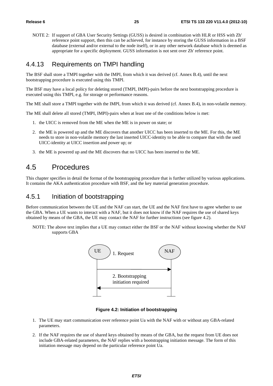NOTE 2: If support of GBA User Security Settings (GUSS) is desired in combination with HLR or HSS with Zh' reference point support, then this can be achieved, for instance by storing the GUSS information in a BSF database (external and/or external to the node itself), or in any other network database which is deemed as appropriate for a specific deployment. GUSS information is not sent over Zh' reference point.

#### 4.4.13 Requirements on TMPI handling

The BSF shall store a TMPI together with the IMPI, from which it was derived (cf. Annex B.4), until the next bootstrapping procedure is executed using this TMPI.

The BSF may have a local policy for deleting stored (TMPI, IMPI)-pairs before the next bootstrapping procedure is executed using this TMPI, e.g. for storage or performance reasons.

The ME shall store a TMPI together with the IMPI, from which it was derived (cf. Annex B.4), in non-volatile memory.

The ME shall delete all stored (TMPI, IMPI)-pairs when at least one of the conditions below is met:

- 1. the UICC is removed from the ME when the ME is in power on state; or
- 2. the ME is powered up and the ME discovers that another UICC has been inserted to the ME. For this, the ME needs to store in non-volatile memory the last inserted UICC-identity to be able to compare that with the used UICC-identity at UICC insertion and power up; or
- 3. the ME is powered up and the ME discovers that no UICC has been inserted to the ME.

### 4.5 Procedures

This chapter specifies in detail the format of the bootstrapping procedure that is further utilized by various applications. It contains the AKA authentication procedure with BSF, and the key material generation procedure.

#### 4.5.1 Initiation of bootstrapping

Before communication between the UE and the NAF can start, the UE and the NAF first have to agree whether to use the GBA. When a UE wants to interact with a NAF, but it does not know if the NAF requires the use of shared keys obtained by means of the GBA, the UE may contact the NAF for further instructions (see figure 4.2).

NOTE: The above text implies that a UE may contact either the BSF or the NAF without knowing whether the NAF supports GBA



**Figure 4.2: Initiation of bootstrapping** 

- 1. The UE may start communication over reference point Ua with the NAF with or without any GBA-related parameters.
- 2. If the NAF requires the use of shared keys obtained by means of the GBA, but the request from UE does not include GBA-related parameters, the NAF replies with a bootstrapping initiation message. The form of this initiation message may depend on the particular reference point Ua.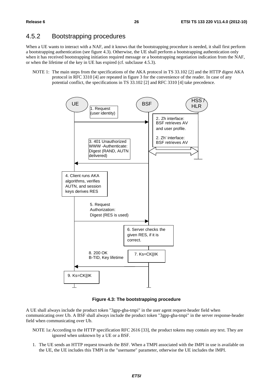#### 4.5.2 Bootstrapping procedures

When a UE wants to interact with a NAF, and it knows that the bootstrapping procedure is needed, it shall first perform a bootstrapping authentication (see figure 4.3). Otherwise, the UE shall perform a bootstrapping authentication only when it has received bootstrapping initiation required message or a bootstrapping negotiation indication from the NAF, or when the lifetime of the key in UE has expired (cf. subclause 4.5.3).

NOTE 1: The main steps from the specifications of the AKA protocol in TS 33.102 [2] and the HTTP digest AKA protocol in RFC 3310 [4] are repeated in figure 3 for the convenience of the reader. In case of any potential conflict, the specifications in TS 33.102 [2] and RFC 3310 [4] take precedence.



**Figure 4.3: The bootstrapping procedure** 

A UE shall always include the product token "3gpp-gba-tmpi" in the user agent request-header field when communicating over Ub. A BSF shall always include the product token "3gpp-gba-tmpi" in the server response-header field when communicating over Ub.

- NOTE 1a: According to the HTTP specification RFC 2616 [33], the product tokens may contain any text. They are ignored when unknown by a UE or a BSF.
- 1. The UE sends an HTTP request towards the BSF. When a TMPI associated with the IMPI in use is available on the UE, the UE includes this TMPI in the "username" parameter, otherwise the UE includes the IMPI.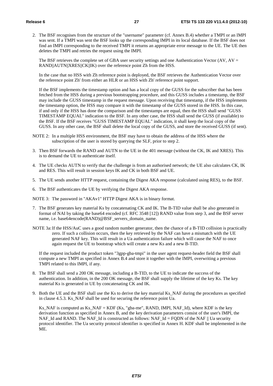2. The BSF recognises from the structure of the "username" parameter (cf. Annex B.4) whether a TMPI or an IMPI was sent. If a TMPI was sent the BSF looks up the corresponding IMPI in its local database. If the BSF does not find an IMPI corresponding to the received TMPI it returns an appropriate error message to the UE. The UE then deletes the TMPI and retries the request using the IMPI.

The BSF retrieves the complete set of GBA user security settings and one Authentication Vector (AV,  $AV =$ RAND||AUTN||XRES||CK||IK) over the reference point Zh from the HSS.

 In the case that no HSS with Zh reference point is deployed, the BSF retrieves the Authentication Vector over the reference point Zh' from either an HLR or an HSS with Zh' reference point support.

 If the BSF implements the timestamp option and has a local copy of the GUSS for the subscriber that has been fetched from the HSS during a previous bootstrapping procedure, and this GUSS includes a timestamp, the BSF may include the GUSS timestamp in the request message. Upon receiving that timestamp, if the HSS implements the timestamp option, the HSS may compare it with the timestamp of the GUSS stored in the HSS. In this case, if and only if the HSS has done the comparison and the timestamps are equal, then the HSS shall send "GUSS TIMESTAMP EQUAL" indication to the BSF. In any other case, the HSS shall send the GUSS (if available) to the BSF. If the BSF receives "GUSS TIMESTAMP EQUAL" indication, it shall keep the local copy of the GUSS. In any other case, the BSF shall delete the local copy of the GUSS, and store the received GUSS (if sent).

- NOTE 2: In a multiple HSS environment, the BSF may have to obtain the address of the HSS where the subscription of the user is stored by querying the SLF, prior to step 2.
- 3. Then BSF forwards the RAND and AUTN to the UE in the 401 message (without the CK, IK and XRES). This is to demand the UE to authenticate itself.
- 4. The UE checks AUTN to verify that the challenge is from an authorised network; the UE also calculates CK, IK and RES. This will result in session keys IK and CK in both BSF and UE.
- 5. The UE sends another HTTP request, containing the Digest AKA response (calculated using RES), to the BSF.
- 6. The BSF authenticates the UE by verifying the Digest AKA response.

NOTE 3: The password in "AKAv1" HTTP Digest AKA is in binary format.

- 7. The BSF generates key material Ks by concatenating CK and IK. The B-TID value shall be also generated in format of NAI by taking the base64 encoded (cf. RFC 3548 [12]) RAND value from step 3, and the BSF server name, i.e. base64encode(RAND)@BSF\_servers\_domain\_name.
- NOTE 3a: If the HSS/AuC uses a good random number generator, then the chance of a B-TID collision is practically zero. If such a collision occurs, then the key retrieved by the NAF can have a mismatch with the UE generated NAF key. This will result in a Ua authentication failure which will cause the NAF to once again request the UE to bootstrap which will create a new Ks and a new B-TID.

 If the request included the product token "3gpp-gba-tmpi" in the user agent request-header field the BSF shall compute a new TMPI as specified in Annex B.4 and store it together with the IMPI, overwriting a previous TMPI related to this IMPI, if any.

- 8. The BSF shall send a 200 OK message, including a B-TID, to the UE to indicate the success of the authentication. In addition, in the 200 OK message, the BSF shall supply the lifetime of the key Ks. The key material Ks is generated in UE by concatenating CK and IK.
- 9. Both the UE and the BSF shall use the Ks to derive the key material Ks\_NAF during the procedures as specified in clause 4.5.3. Ks\_NAF shall be used for securing the reference point Ua.

 Ks\_NAF is computed as Ks\_NAF = KDF (Ks, "gba-me", RAND, IMPI, NAF\_Id), where KDF is the key derivation function as specified in Annex B, and the key derivation parameters consist of the user's IMPI, the NAF\_Id and RAND. The NAF\_Id is constructed as follows: NAF\_Id = FQDN of the NAF  $\parallel$  Ua security protocol identifier. The Ua security protocol identifier is specified in Annex H. KDF shall be implemented in the ME.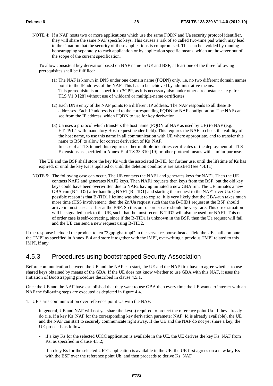NOTE 4: If a NAF hosts two or more applications which use the same FQDN and Ua security protocol identifier, they will share the same NAF specific keys. This causes a risk of so called two-time pad which may lead to the situation that the security of these applications is compromised. This can be avoided by running bootstrapping separately to each application or by application specific means, which are however out of the scope of the current specification.

To allow consistent key derivation based on NAF name in UE and BSF, at least one of the three following prerequisites shall be fulfilled:

- (1) The NAF is known in DNS under one domain name (FQDN) only, i.e. no two different domain names point to the IP address of the NAF. This has to be achieved by administrative means. This prerequisite is not specific to 3GPP, as it is necessary also under other circumstances, e.g. for TLS V1.0 [28] without use of wildcard or multiple-name certificates.
- (2) Each DNS entry of the NAF points to a different IP address. The NAF responds to all these IP addresses. Each IP address is tied to the corresponding FQDN by NAF configuration. The NAF can see from the IP address, which FQDN to use for key derivation.
- (3) Ua uses a protocol which transfers the host name (FQDN of NAF as used by UE) to NAF (e.g. HTTP/1.1 with mandatory Host request header field). This requires the NAF to check the validity of the host name, to use this name in all communication with UE where appropriate, and to transfer this name to BSF to allow for correct derivation of Ks\_NAF. In case of a TLS tunnel this requires either multiple-identities certificates or the deployment of TLS Extensions as specified in Annex E of TS 33.310 [19] or other protocol means with similar purpose.

 The UE and the BSF shall store the key Ks with the associated B-TID for further use, until the lifetime of Ks has expired, or until the key Ks is updated or until the deletion conditions are satisfied (see 4.4.11).

NOTE 5: The following case can occur. The UE contacts the NAF1 and generates keys for NAF1. Then the UE contacts NAF2 and generates NAF2 keys. Then NAF1 requests then keys from the BSF, but the old key keys could have been overwritten due to NAF2 having initiated a new GBA run. The UE initiates a new GBA-run (B-TID2) after handling NAF1 (B-TID1) and starting the request to the NAF1 over Ua. One possible reason is that B-TID1 lifetime was about to expire. It is very likely that the GBA-run takes much more time (HSS involvement) then the Zn/Ua request such that the B-TID1 request at the BSF should arrive in most cases earlier at the BSF. So this out-of-order case should be very rare. This error situation will be signalled back to the UE, such that the most recent B-TID2 will also be used for NAF1. This outof order case is self-correcting, since if the B-TID1 is unknown in the BSF, then the Ua request will fail and the UE can send a new request using B-TID2.

If the response included the product token "3gpp-gba-tmpi" in the server response-header field the UE shall compute the TMPI as specified in Annex B.4 and store it together with the IMPI, overwriting a previous TMPI related to this IMPI, if any.

#### 4.5.3 Procedures using bootstrapped Security Association

Before communication between the UE and the NAF can start, the UE and the NAF first have to agree whether to use shared keys obtained by means of the GBA. If the UE does not know whether to use GBA with this NAF, it uses the Initiation of Bootstrapping procedure described in clause 4.5.1.

Once the UE and the NAF have established that they want to use GBA then every time the UE wants to interact with an NAF the following steps are executed as depicted in figure 4.4.

- 1. UE starts communication over reference point Ua with the NAF:
	- in general, UE and NAF will not yet share the key(s) required to protect the reference point Ua. If they already do (i.e. if a key Ks\_NAF for the corresponding key derivation parameter NAF\_Id is already available), the UE and the NAF can start to securely communicate right away. If the UE and the NAF do not yet share a key, the UE proceeds as follows:
		- if a key Ks for the selected UICC application is available in the UE, the UE derives the key Ks\_NAF from Ks, as specified in clause 4.5.2;
		- if no key Ks for the selected UICC application is available in the UE, the UE first agrees on a new key Ks with the BSF over the reference point Ub, and then proceeds to derive Ks\_NAF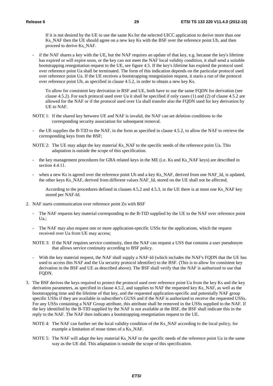If it is not desired by the UE to use the same Ks for the selected UICC application to derive more than one Ks\_NAF then the UE should agree on a new key Ks with the BSF over the reference point Ub, and then proceed to derive Ks\_NAF.

if the NAF shares a key with the UE, but the NAF requires an update of that key, e.g. because the key's lifetime has expired or will expire soon, or the key can not meet the NAF local validity condition, it shall send a suitable bootstrapping renegotiation request to the UE, see figure 4.5. If the key's lifetime has expired the protocol used over reference point Ua shall be terminated. The form of this indication depends on the particular protocol used over reference point Ua. If the UE receives a bootstrapping renegotiation request, it starts a run of the protocol over reference point Ub, as specified in clause 4.5.2, in order to obtain a new key Ks.

 To allow for consistent key derivation in BSF and UE, both have to use the same FQDN for derivation (see clause 4.5.2). For each protocol used over Ua it shall be specified if only cases (1) and (2) of clause 4.5.2 are allowed for the NAF or if the protocol used over Ua shall transfer also the FQDN used for key derivation by UE to NAF.

- NOTE 1: If the shared key between UE and NAF is invalid, the NAF can set deletion conditions to the corresponding security association for subsequent removal.
- the UE supplies the B-TID to the NAF, in the form as specified in clause 4.5.2, to allow the NAF to retrieve the corresponding keys from the BSF;
- NOTE 2: The UE may adapt the key material Ks\_NAF to the specific needs of the reference point Ua. This adaptation is outside the scope of this specification.
- the key management procedures for GBA related keys in the ME (i.e. Ks and Ks\_NAF keys) are described in section 4.4.11.
- when a new Ks is agreed over the reference point Ub and a key Ks\_NAF, derived from one NAF\_Id, is updated, the other keys Ks\_NAF, derived from different values NAF\_Id, stored on the UE shall not be affected;

According to the procedures defined in clauses 4.5.2 and 4.5.3, in the UE there is at most one Ks NAF key stored per NAF-Id.

- 2. NAF starts communication over reference point Zn with BSF
	- The NAF requests key material corresponding to the B-TID supplied by the UE to the NAF over reference point Ua.;
	- The NAF may also request one or more application-specific USSs for the applications, which the request received over Ua from UE may access;
	- NOTE 3: If the NAF requires service continuity, then the NAF can request a USS that contains a user pseudonym that allows service continuity according to BSF policy.
	- With the key material request, the NAF shall supply a NAF-Id (which includes the NAF's FQDN that the UE has used to access this NAF and the Ua security protocol identifier) to the BSF. (This is to allow for consistent key derivation in the BSF and UE as described above). The BSF shall verify that the NAF is authorized to use that FODN.
- 3. The BSF derives the keys required to protect the protocol used over reference point Ua from the key Ks and the key derivation parameters, as specified in clause 4.5.2, and supplies to NAF the requested key Ks\_NAF, as well as the bootstrapping time and the lifetime of that key, and the requested application-specific and potentially NAF group specific USSs if they are available in subscriber's GUSS and if the NAF is authorized to receive the requested USSs. For any USSs containing a NAF Group attribute, this attribute shall be removed in the USSs supplied to the NAF. If the key identified by the B-TID supplied by the NAF is not available at the BSF, the BSF shall indicate this in the reply to the NAF. The NAF then indicates a bootstrapping renegotiation request to the UE.
	- NOTE 4: The NAF can further set the local validity condition of the Ks\_NAF according to the local policy, for example a limitation of reuse times of a Ks\_NAF.
	- NOTE 5: The NAF will adapt the key material Ks\_NAF to the specific needs of the reference point Ua in the same way as the UE did. This adaptation is outside the scope of this specification.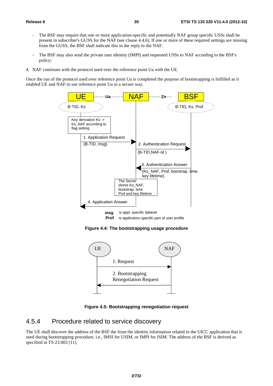- The BSF may require that one or more application-specific and potentially NAF group specific USSs shall be present in subscriber's GUSS for the NAF (see clause 4.4.6). If one or more of these required settings are missing from the GUSS, the BSF shall indicate this in the reply to the NAF.
- The BSF may also send the private user identity (IMPI) and requested USSs to NAF according to the BSF's policy;
- 4. NAF continues with the protocol used over the reference point Ua with the UE.

Once the run of the protocol used over reference point Ua is completed the purpose of bootstrapping is fulfilled as it enabled UE and NAF to use reference point Ua in a secure way.



**Figure 4.4: The bootstrapping usage procedure** 



**Figure 4.5: Bootstrapping renegotiation request** 

#### 4.5.4 Procedure related to service discovery

The UE shall discover the address of the BSF the from the identity information related to the UICC application that is used during bootstrapping procedure, i.e., IMSI for USIM, or IMPI for ISIM. The address of the BSF is derived as specified in TS 23.003 [11].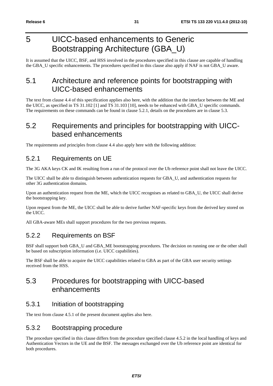## 5 UICC-based enhancements to Generic Bootstrapping Architecture (GBA\_U)

It is assumed that the UICC, BSF, and HSS involved in the procedures specified in this clause are capable of handling the GBA\_U specific enhancements. The procedures specified in this clause also apply if NAF is not GBA\_U aware.

## 5.1 Architecture and reference points for bootstrapping with UICC-based enhancements

The text from clause 4.4 of this specification applies also here, with the addition that the interface between the ME and the UICC, as specified in TS 31.102 [1] and TS 31.103 [10], needs to be enhanced with GBA\_U specific commands. The requirements on these commands can be found in clause 5.2.1, details on the procedures are in clause 5.3.

### 5.2 Requirements and principles for bootstrapping with UICCbased enhancements

The requirements and principles from clause 4.4 also apply here with the following addition:

### 5.2.1 Requirements on UE

The 3G AKA keys CK and IK resulting from a run of the protocol over the Ub reference point shall not leave the UICC.

The UICC shall be able to distinguish between authentication requests for GBA\_U, and authentication requests for other 3G authentication domains.

Upon an authentication request from the ME, which the UICC recognises as related to GBA\_U, the UICC shall derive the bootstrapping key.

Upon request from the ME, the UICC shall be able to derive further NAF-specific keys from the derived key stored on the UICC.

All GBA-aware MEs shall support procedures for the two previous requests.

### 5.2.2 Requirements on BSF

BSF shall support both GBA\_U and GBA\_ME bootstrapping procedures. The decision on running one or the other shall be based on subscription information (i.e. UICC capabilities).

The BSF shall be able to acquire the UICC capabilities related to GBA as part of the GBA user security settings received from the HSS.

### 5.3 Procedures for bootstrapping with UICC-based enhancements

### 5.3.1 Initiation of bootstrapping

The text from clause 4.5.1 of the present document applies also here.

### 5.3.2 Bootstrapping procedure

The procedure specified in this clause differs from the procedure specified clause 4.5.2 in the local handling of keys and Authentication Vectors in the UE and the BSF. The messages exchanged over the Ub reference point are identical for both procedures.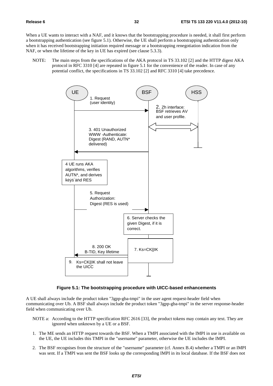When a UE wants to interact with a NAF, and it knows that the bootstrapping procedure is needed, it shall first perform a bootstrapping authentication (see figure 5.1). Otherwise, the UE shall perform a bootstrapping authentication only when it has received bootstrapping initiation required message or a bootstrapping renegotiation indication from the NAF, or when the lifetime of the key in UE has expired (see clause 5.3.3).

NOTE: The main steps from the specifications of the AKA protocol in TS 33.102 [2] and the HTTP digest AKA protocol in RFC 3310 [4] are repeated in figure 5.1 for the convenience of the reader. In case of any potential conflict, the specifications in TS 33.102 [2] and RFC 3310 [4] take precedence.



#### **Figure 5.1: The bootstrapping procedure with UICC-based enhancements**

A UE shall always include the product token "3gpp-gba-tmpi" in the user agent request-header field when communicating over Ub. A BSF shall always include the product token "3gpp-gba-tmpi" in the server response-header field when communicating over Ub.

- NOTE a: According to the HTTP specification RFC 2616 [33], the product tokens may contain any text. They are ignored when unknown by a UE or a BSF.
- 1. The ME sends an HTTP request towards the BSF. When a TMPI associated with the IMPI in use is available on the UE, the UE includes this TMPI in the "username" parameter, otherwise the UE includes the IMPI.
- 2. The BSF recognises from the structure of the "username" parameter (cf. Annex B.4) whether a TMPI or an IMPI was sent. If a TMPI was sent the BSF looks up the corresponding IMPI in its local database. If the BSF does not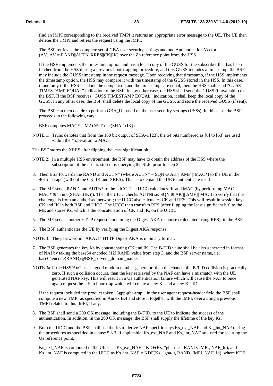find an IMPI corresponding to the received TMPI it returns an appropriate error message to the UE. The UE then deletes the TMPI and retries the request using the IMPI.

 The BSF retrieves the complete set of GBA user security settings and one Authentication Vector  $(AV, AV = RAND||AUTN||XRES||CK||IK)$  over the Zh reference point from the HSS.

 If the BSF implements the timestamp option and has a local copy of the GUSS for the subscriber that has been fetched from the HSS during a previous bootstrapping procedure, and this GUSS includes a timestamp, the BSF may include the GUSS timestamp in the request message. Upon receiving that timestamp, if the HSS implements the timestamp option, the HSS may compare it with the timestamp of the GUSS stored in the HSS. In this case, if and only if the HSS has done the comparison and the timestamps are equal, then the HSS shall send "GUSS TIMESTAMP EQUAL" indication to the BSF. In any other case, the HSS shall send the GUSS (if available) to the BSF. If the BSF receives "GUSS TIMESTAMP EQUAL" indication, it shall keep the local copy of the GUSS. In any other case, the BSF shall delete the local copy of the GUSS, and store the received GUSS (if sent).

 The BSF can then decide to perform GBA\_U, based on the user security settings (USSs). In this case, the BSF proceeds in the following way:

- BSF computes  $MAC^* = MAC \oplus Trunc(SHA-1(IK))$
- NOTE 1: Trunc denotes that from the 160 bit output of SHA-1 [23], the 64 bits numbered as [0] to [63] are used within the \* operation to MAC.

The BSF stores the XRES after flipping the least significant bit.

- NOTE 2: In a multiple HSS environment, the BSF may have to obtain the address of the HSS where the subscription of the user is stored by querying the SLF, prior to step 2.
- 3. Then BSF forwards the RAND and AUTN\* (where AUTN\* = SON  $\oplus$  AK || AMF || MAC\*) to the UE in the 401 message (without the CK, IK and XRES). This is to demand the UE to authenticate itself.
- 4. The ME sends RAND and AUTN\* to the UICC. The UICC calculates IK and MAC (by performing MAC=  $MAC^* \oplus Trunc(SHA-1(IK))$ . Then the UICC checks AUTN(i.e. SON  $\oplus AK \parallel AMF \parallel MAC$ ) to verify that the challenge is from an authorised network; the UICC also calculates CK and RES. This will result in session keys CK and IK in both BSF and UICC. The UICC then transfers RES (after flipping the least significant bit) to the ME and stores Ks, which is the concatenation of CK and IK, on the UICC.
- 5. The ME sends another HTTP request, containing the Digest AKA response (calculated using RES), to the BSF.
- 6. The BSF authenticates the UE by verifying the Digest AKA response.

NOTE 3: The password in "AKAv1" HTTP Digest AKA is in binary format.

- 7. The BSF generates the key Ks by concatenating CK and IK. The B-TID value shall be also generated in format of NAI by taking the base64 encoded [12] RAND value from step 3, and the BSF server name, i.e. base64encode(RAND)@BSF\_servers\_domain\_name.
- NOTE 3a: If the HSS/AuC uses a good random number generator, then the chance of a B-TID collision is practically zero. If such a collision occurs, then the key retrieved by the NAF can have a mismatch with the UE generated NAF key. This will result in a Ua authentication failure which will cause the NAF to once again request the UE to bootstrap which will create a new Ks and a new B-TID.

 If the request included the product token "3gpp-gba-tmpi" in the user agent request-header field the BSF shall compute a new TMPI as specified in Annex B.4 and store it together with the IMPI, overwriting a previous TMPI related to this IMPI, if any.

- 8. The BSF shall send a 200 OK message, including the B-TID, to the UE to indicate the success of the authentication. In addition, in the 200 OK message, the BSF shall supply the lifetime of the key Ks.
- 9. Both the UICC and the BSF shall use the Ks to derive NAF-specific keys Ks\_ext\_NAF and Ks\_int\_NAF during the procedures as specified in clause 5.3.3, if applicable. Ks\_ext\_NAF and Ks\_int\_NAF are used for securing the Ua reference point.

 Ks\_ext\_NAF is computed in the UICC as Ks\_ext\_NAF = KDF(Ks, "gba-me", RAND, IMPI, NAF\_Id), and Ks\_int\_NAF is computed in the UICC as Ks\_int\_NAF = KDF(Ks, "gba-u, RAND, IMPI, NAF\_Id), where KDF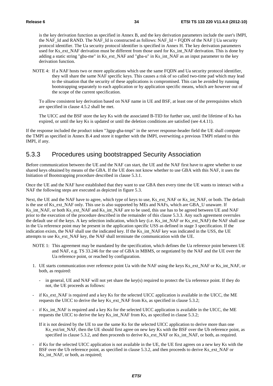is the key derivation function as specified in Annex B, and the key derivation parameters include the user's IMPI, the NAF\_Id and RAND. The NAF\_Id is constructed as follows: NAF\_Id = FQDN of the NAF || Ua security protocol identifier. The Ua security protocol identifier is specified in Annex H. The key derivation parameters used for Ks\_ext\_NAF derivation must be different from those used for Ks\_int\_NAF derivation. This is done by adding a static string "gba-me" in Ks\_ext\_NAF and "gba-u" in Ks\_int\_NAF as an input parameter to the key derivation function.

NOTE 4: If a NAF hosts two or more applications which use the same FQDN and Ua security protocol identifier, they will share the same NAF specific keys. This causes a risk of so called two-time pad which may lead to the situation that the security of these applications is compromised. This can be avoided by running bootstrapping separately to each application or by application specific means, which are however out of the scope of the current specification.

To allow consistent key derivation based on NAF name in UE and BSF, at least one of the prerequisites which are specified in clause 4.5.2 shall be met.

 The UICC and the BSF store the key Ks with the associated B-TID for further use, until the lifetime of Ks has expired, or until the key Ks is updated or until the deletion conditions are satisfied (see 4.4.11).

If the response included the product token "3gpp-gba-tmpi" in the server response-header field the UE shall compute the TMPI as specified in Annex B.4 and store it together with the IMPI, overwriting a previous TMPI related to this IMPI, if any.

#### 5.3.3 Procedures using bootstrapped Security Association

Before communication between the UE and the NAF can start, the UE and the NAF first have to agree whether to use shared keys obtained by means of the GBA. If the UE does not know whether to use GBA with this NAF, it uses the Initiation of Bootstrapping procedure described in clause 5.3.1.

Once the UE and the NAF have established that they want to use GBA then every time the UE wants to interact with a NAF the following steps are executed as depicted in figure 5.3.

Next, the UE and the NAF have to agree, which type of keys to use, Ks ext NAF or Ks int NAF, or both. The default is the use of Ks\_ext\_NAF only. This use is also supported by MEs and NAFs, which are GBA\_U unaware. If Ks\_int\_NAF, or both Ks\_ext\_NAF and Ks\_int\_NAF are to be used, this use has to be agreed between UE and NAF prior to the execution of the procedure described in the remainder of this clause 5.3.3. Any such agreement overrules the default use of the keys. A key selection indication, which key (i.e. Ks\_int\_NAF or Ks\_ext\_NAF) the NAF shall use in the Ua reference point may be present in the application specific USS as defined in stage 3 specification. If the indication exists, the NAF shall use the indicated key. If the Ks\_int\_NAF key was indicated in the USS, the UE attempts to use Ks\_ext\_NAF key, the NAF shall terminate the communication with the UE.

- NOTE 1: This agreement may be mandated by the specification, which defines the Ua reference point between UE and NAF, e.g. TS 33.246 for the use of GBA in MBMS, or negotiated by the NAF and the UE over the Ua reference point, or reached by configuration.
- 1. UE starts communication over reference point Ua with the NAF using the keys Ks\_ext\_NAF or Ks\_int\_NAF, or both, as required:
	- in general, UE and NAF will not yet share the key(s) required to protect the Ua reference point. If they do not, the UE proceeds as follows:
- if Ks\_ext\_NAF is required and a key Ks for the selected UICC application is available in the UICC, the ME requests the UICC to derive the key Ks\_ext\_NAF from Ks, as specified in clause 5.3.2;
- if Ks int NAF is required and a key Ks for the selected UICC application is available in the UICC, the ME requests the UICC to derive the key Ks\_int\_NAF from Ks, as specified in clause 5.3.2;

If it is not desired by the UE to use the same Ks for the selected UICC application to derive more than one Ks\_ext/int\_NAF, then the UE should first agree on new key Ks with the BSF over the Ub reference point, as specified in clause 5.3.2, and then proceeds to derive Ks\_ext\_NAF or Ks\_int\_NAF, or both, as required.

if Ks for the selected UICC application is not available in the UE, the UE first agrees on a new key Ks with the BSF over the Ub reference point, as specified in clause 5.3.2, and then proceeds to derive Ks ext NAF or Ks int NAF, or both, as required;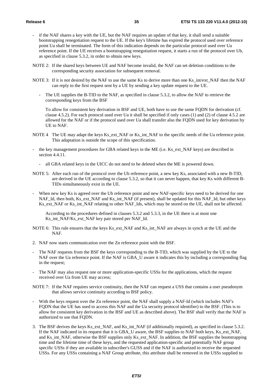- if the NAF shares a key with the UE, but the NAF requires an update of that key, it shall send a suitable bootstrapping renegotiation request to the UE. If the key's lifetime has expired the protocol used over reference point Ua shall be terminated. The form of this indication depends on the particular protocol used over Ua reference point. If the UE receives a bootstrapping renegotiation request, it starts a run of the protocol over Ub, as specified in clause 5.3.2, in order to obtain new keys.
- NOTE 2: If the shared keys between UE and NAF become invalid, the NAF can set deletion conditions to the corresponding security association for subsequent removal.
- NOTE 3: If it is not desired by the NAF to use the same Ks to derive more than one Ks\_int/ext\_NAF then the NAF can reply to the first request sent by a UE by sending a key update request to the UE.
	- The UE supplies the B-TID to the NAF, as specified in clause 5.3.2, to allow the NAF to retrieve the corresponding keys from the BSF

 To allow for consistent key derivation in BSF and UE, both have to use the same FQDN for derivation (cf. clause 4.5.2). For each protocol used over Ua it shall be specified if only cases (1) and (2) of clause 4.5.2 are allowed for the NAF or if the protocol used over Ua shall transfer also the FQDN used for key derivation by UE to NAF.

- NOTE 4 The UE may adapt the keys Ks\_ext\_NAF or Ks\_int\_NAF to the specific needs of the Ua reference point. This adaptation is outside the scope of this specification.
- the key management procedures for GBA related keys in the ME (i.e. Ks\_ext\_NAF keys) are described in section 4.4.11.
	- all GBA related keys in the UICC do not need to be deleted when the ME is powered down.
- NOTE 5: After each run of the protocol over the Ub reference point, a new key Ks, associated with a new B-TID, are derived in the UE according to clause 5.3.2, so that it can never happen, that key Ks with different B-TIDs simultaneously exist in the UE.
- When new key Ks is agreed over the Ub reference point and new NAF-specific keys need to be derived for one NAF\_Id, then both, Ks\_ext\_NAF and Ks\_int\_NAF (if present), shall be updated for this NAF\_Id, but other keys Ks\_ext\_NAF or Ks\_int\_NAF relating to other NAF\_Ids, which may be stored on the UE, shall not be affected.

 According to the procedures defined in clauses 5.3.2 and 5.3.3, in the UE there is at most one Ks\_int\_NAF/Ks\_ext\_NAF key pair stored per NAF\_Id.

- NOTE 6: This rule ensures that the keys Ks\_ext\_NAF and Ks\_int\_NAF are always in synch at the UE and the NAF.
- 2. NAF now starts communication over the Zn reference point with the BSF.
- The NAF requests from the BSF the keys corresponding to the B-TID, which was supplied by the UE to the NAF over the Ua reference point. If the NAF is GBA\_U aware it indicates this by including a corresponding flag in the request;
- The NAF may also request one or more application-specific USSs for the applications, which the request received over Ua from UE may access;
- NOTE 7: If the NAF requires service continuity, then the NAF can request a USS that contains a user pseudonym that allows service continuity according to BSF policy.
- With the keys request over the Zn reference point, the NAF shall supply a NAF-Id (which includes NAF's FQDN that the UE has used to access this NAF and the Ua security protocol identifier) to the BSF. (This is to allow for consistent key derivation in the BSF and UE as described above). The BSF shall verify that the NAF is authorized to use that FQDN.
- 3. The BSF derives the keys Ks\_ext\_NAF, and Ks\_int\_NAF (if additionally required), as specified in clause 5.3.2. If the NAF indicated in its request that it is GBA\_U aware, the BSF supplies to NAF both keys, Ks\_ext\_NAF, and Ks\_int\_NAF, otherwise the BSF supplies only Ks\_ext\_NAF. In addition, the BSF supplies the bootstrapping time and the lifetime time of these keys, and the requested application-specific and potentially NAF group specific USSs if they are available in subscriber's GUSS and if the NAF is authorized to receive the requested USSs. For any USSs containing a NAF Group attribute, this attribute shall be removed in the USSs supplied to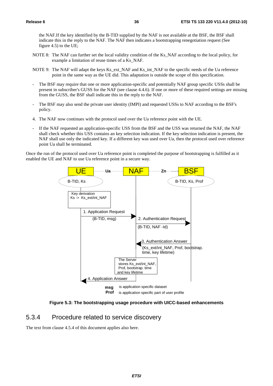the NAF.If the key identified by the B-TID supplied by the NAF is not available at the BSF, the BSF shall indicate this in the reply to the NAF. The NAF then indicates a bootstrapping renegotiation request (See figure 4.5) to the UE;

- NOTE 8: The NAF can further set the local validity condition of the Ks\_NAF according to the local policy, for example a limitation of reuse times of a Ks\_NAF.
- NOTE 9: The NAF will adapt the keys Ks\_ext\_NAF and Ks\_int\_NAF to the specific needs of the Ua reference point in the same way as the UE did. This adaptation is outside the scope of this specification.
- The BSF may require that one or more application-specific and potentially NAF group specific USSs shall be present in subscriber's GUSS for the NAF (see clause 4.4.6). If one or more of these required settings are missing from the GUSS, the BSF shall indicate this in the reply to the NAF.
- The BSF may also send the private user identity (IMPI) and requested USSs to NAF according to the BSF's policy.
- 4. The NAF now continues with the protocol used over the Ua reference point with the UE.
- If the NAF requested an application-specific USS from the BSF and the USS was returned the NAF, the NAF shall check whether this USS contains an key selection indication. If the key selection indication is present, the NAF shall use only the indicated key. If a different key was used over Ua, then the protocol used over reference point Ua shall be terminated.

Once the run of the protocol used over Ua reference point is completed the purpose of bootstrapping is fulfilled as it enabled the UE and NAF to use Ua reference point in a secure way.



**Figure 5.3: The bootstrapping usage procedure with UICC-based enhancements** 

#### 5.3.4 Procedure related to service discovery

The text from clause 4.5.4 of this document applies also here.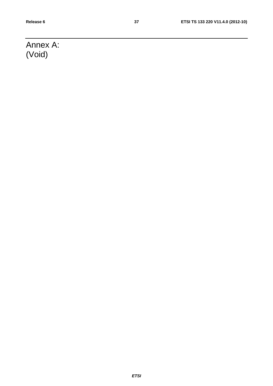# Annex A: (Void)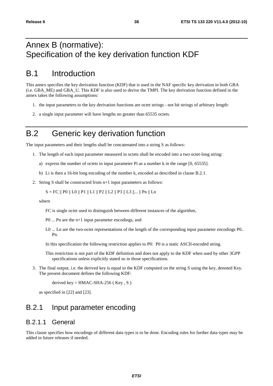## Annex B (normative): Specification of the key derivation function KDF

## B.1 Introduction

This annex specifies the key derivation function (KDF) that is used in the NAF specific key derivation in both GBA (i.e. GBA\_ME) and GBA\_U. This KDF is also used to derive the TMPI. The key derivation function defined in the annex takes the following assumptions:

- 1. the input parameters to the key derivation functions are octet strings not bit strings of arbitrary length:
- 2. a single input parameter will have lengths no greater than 65535 octets.

## B.2 Generic key derivation function

The input parameters and their lengths shall be concatenated into a string S as follows:

- 1. The length of each input parameter measured in octets shall be encoded into a two octet-long string:
	- a) express the number of octets in input parameter Pi as a number k in the range [0, 65535].
	- b) Li is then a 16-bit long encoding of the number k, encoded as described in clause B.2.1.
- 2. String S shall be constructed from n+1 input parameters as follows:

 $S = FC \parallel PO \parallel LO \parallel P1 \parallel L1 \parallel P2 \parallel L2 \parallel P3 \parallel L3 \parallel ... \parallel Pn \parallel Ln$ 

where

FC is single octet used to distinguish between different instances of the algorithm,

P0 ... Pn are the n+1 input parameter encodings, and

L0 ... Ln are the two-octet representations of the length of the corresponding input parameter encodings P0.. Pn.

In this specification the following restriction applies to P0: P0 is a static ASCII-encoded string.

This restriction is not part of the KDF definition and does not apply to the KDF when used by other 3GPP specifications unless explicitly stated so in those specifications.

3. The final output, i.e. the derived key is equal to the KDF computed on the string S using the key, denoted Key. The present document defines the following KDF:

derived key =  $HMAC-SHA-256$  (Key, S)

as specified in [22] and [23].

#### B.2.1 Input parameter encoding

#### B.2.1.1 General

This clause specifies how encodings of different data types is to be done. Encoding rules for further data types may be added in future releases if needed.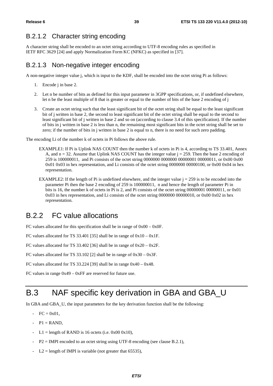#### B.2.1.2 Character string encoding

A character string shall be encoded to an octet string according to UTF-8 encoding rules as specified in IETF RFC 3629 [24] and apply Normalization Form KC (NFKC) as specified in [37].

#### B.2.1.3 Non-negative integer encoding

A non-negative integer value j, which is input to the KDF, shall be encoded into the octet string Pi as follows:

- 1. Encode j in base 2.
- 2. Let n be number of bits as defined for this input parameter in 3GPP specifications, or, if undefined elsewhere, let n be the least multiple of 8 that is greater or equal to the number of bits of the base 2 encoding of j
- 3. Create an octet string such that the least significant bit of the octet string shall be equal to the least significant bit of j written in base 2, the second to least significant bit of the octet string shall be equal to the second to least significant bit of j written in base 2 and so on (according to clause 3.4 of this specification). If the number of bits in j written in base 2 is less than n, the remaining most significant bits in the octet string shall be set to zero; if the number of bits in j written in base 2 is equal to n, there is no need for such zero padding.

The encoding Li of the number k of octets in Pi follows the above rule.

- EXAMPLE1: If Pi is Uplink NAS COUNT then the number k of octets in Pi is 4, according to TS 33.401, Annex A, and  $n = 32$ . Assume that Uplink NAS COUNT has the integer value  $j = 259$ . Then the base 2 encoding of 259 is 100000011, and Pi consists of the octet string 0000000 0000000 00000001 00000011, or 0x00 0x00 0x01 0x03 in hex representation, and Li consists of the octet string 0000000 00000100, or 0x00 0x04 in hex representation.
- EXAMPLE2: If the length of Pi is undefined elsewhere, and the integer value  $j = 259$  is to be encoded into the parameter Pi then the base 2 encoding of 259 is 100000011, n and hence the length of parameter Pi in bits is 16, the number k of octets in Pi is 2, and Pi consists of the octet string 00000001 00000011, or 0x01 0x03 in hex representation, and Li consists of the octet string 0000000 00000010, or 0x00 0x02 in hex representation.

#### B.2.2 FC value allocations

FC values allocated for this specification shall be in range of 0x00 – 0x0F.

FC values allocated for TS 33.401 [35] shall be in range of  $0x10 - 0x1F$ .

FC values allocated for TS 33.402 [36] shall be in range of  $0x20 - 0x2F$ .

FC values allocated for TS 33.102 [2] shall be in range of 0x30 – 0x3F.

FC values allocated for TS 33.224 [39] shall be in range  $0x40 - 0x48$ .

FC values in range 0x49 – 0xFF are reserved for future use.

## B.3 NAF specific key derivation in GBA and GBA\_U

In GBA and GBA\_U, the input parameters for the key derivation function shall be the following:

- $FC = 0x01$ .
- $-P1 =$ RAND,
- L1 = length of RAND is 16 octets (i.e.  $0x000x10$ ),
- $P2 = \text{IMPI encoded to an octet string using UTF-8 encoding (see clause B.2.1),}$
- $L2 =$  length of IMPI is variable (not greater that 65535),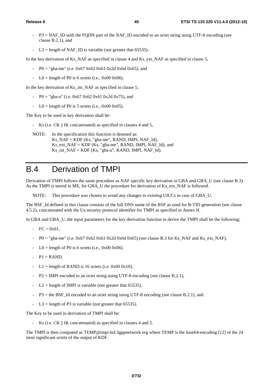- $P3 = NAF$  ID with the FODN part of the NAF\_ID encoded to an octet string using UTF-8 encoding (see clause B.2.1), and
- L3 = length of NAF\_ID is variable (not greater that 65535).

In the key derivation of Ks\_NAF as specified in clause 4 and Ks\_ext\_NAF as specified in clause 5,

- P0 = "gba-me" (i.e.  $0x670x620x610x2d0x6d0x65$ ), and
- $LO =$  length of P0 is 6 octets (i.e., 0x00 0x06).

In the key derivation of Ks\_int\_NAF as specified in clause 5,

- P0 = "gba-u" (i.e.  $0 \times 67$  0x62 0x61 0x2d 0x75), and
- $LO =$  length of P0 is 5 octets (i.e., 0x00 0x05).

The Key to be used in key derivation shall be:

- Ks (i.e. CK || IK concatenated) as specified in clauses 4 and 5,

NOTE: In the specification this function is denoted as: Ks\_NAF = KDF (Ks, "gba-me", RAND, IMPI, NAF\_Id),  $Ks$ \_ext\_NAF = KDF (Ks, "gba-me", RAND, IMPI, NAF\_Id), and Ks int  $NAF = KDF$  (Ks, "gba-u", RAND, IMPI, NAF Id).

## B.4 Derivation of TMPI

Derivation of TMPI follows the same procedure as NAF specific key derivation in GBA and GBA\_U (see clause B.3). As the TMPI is stored in ME, for GBA\_U the procedure for derivation of Ks\_ext\_NAF is followed.

NOTE: This procedure was chosen to avoid any changes to existing UICCs in case of GBA\_U.

The BSF\_Id defined in this clause consists of the full DNS name of the BSF as used for B-TID generation (see clause 4.5.2), concatenated with the Ua security protocol identifier for TMPI as specified in Annex H.

In GBA and GBA\_U, the input parameters for the key derivation function to derive the TMPI shall be the following:

- $-$  FC = 0x01.
- $P0 =$  "gba-me" (i.e. 0x67 0x62 0x61 0x2d 0x6d 0x65) (see clause B.3 for Ks\_NAF and Ks\_ext\_NAF),
- $LO = length of P0 is 6 octets (i.e.,  $0x000x06$ ).$
- $-P1 =$ RAND.
- L1 = length of RAND is 16 octets (i.e.  $0x000x10$ ),
- $P2 = IMPI$  encoded to an octet string using UTF-8 encoding (see clause B.2.1),
- $L2 =$  length of IMPI is variable (not greater that 65535),
- $-$  P3 = the BSF. Id encoded to an octet string using UTF-8 encoding (see clause B.2.1), and
- $L3$  = length of P3 is variable (not greater that 65535).

The Key to be used in derivation of TMPI shall be:

Ks (i.e. CK || IK concatenated) as specified in clauses 4 and 5.

The TMPI is then computed as TEMP@tmpi.bsf.3gppnetwork.org where TEMP is the base64-encoding [12] of the 24 most significant octets of the output of KDF.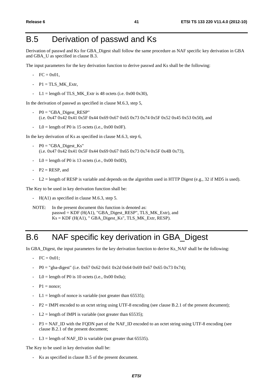## B.5 Derivation of passwd and Ks

Derivation of passwd and Ks for GBA\_Digest shall follow the same procedure as NAF specific key derivation in GBA and GBA\_U as specified in clause B.3.

The input parameters for the key derivation function to derive passwd and Ks shall be the following:

- $-$  FC = 0x01.
- $-$  P1 = TLS MK Extr,
- L1 = length of TLS MK Extr is 48 octets (i.e.  $0x00 0x30$ ),

In the derivation of passwd as specified in clause M.6.3, step 5,

- $P0 = "GBA_Digest\_RESP"$ (i.e. 0x47 0x42 0x41 0x5F 0x44 0x69 0x67 0x65 0x73 0x74 0x5F 0x52 0x45 0x53 0x50), and
- $LO =$  length of P0 is 15 octets (i.e., 0x00 0x0F).

In the key derivation of Ks as specified in clause M.6.3, step 6,

- $-$  P0 = "GBA\_Digest\_Ks" (i.e. 0x47 0x42 0x41 0x5F 0x44 0x69 0x67 0x65 0x73 0x74 0x5F 0x4B 0x73),
- $LO =$  length of P0 is 13 octets (i.e., 0x00 0x0D),
- $P2 = RESP$ , and
- $L2$  = length of RESP is variable and depends on the algorithm used in HTTP Digest (e.g., 32 if MD5 is used).

The Key to be used in key derivation function shall be:

- H(A1) as specified in clause M.6.3, step 5.

NOTE: In the present document this function is denoted as: passwd = KDF (H(A1), "GBA\_Digest\_RESP", TLS\_MK\_Extr), and  $Ks = KDF$  (H(A1), "GBA\_Digest\_Ks", TLS\_MK\_Extr, RESP).

## B.6 NAF specific key derivation in GBA\_Digest

In GBA\_Digest, the input parameters for the key derivation function to derive Ks\_NAF shall be the following:

- $FC = 0x01$ :
- P0 = "gba-digest" (i.e. 0x67 0x62 0x61 0x2d 0x64 0x69 0x67 0x65 0x73 0x74);
- $LO =$  length of P0 is 10 octets (i.e., 0x00 0x0a);
- $P1 =$  nonce:
- $L1 =$  length of nonce is variable (not greater than 65535);
- P2 = IMPI encoded to an octet string using UTF-8 encoding (see clause B.2.1 of the present document);
- $L2$  = length of IMPI is variable (not greater than 65535);
- $P3 = NAF$  ID with the FQDN part of the NAF\_ID encoded to an octet string using UTF-8 encoding (see clause B.2.1 of the present document;
- $L3 =$  length of NAF ID is variable (not greater that 65535).

The Key to be used in key derivation shall be:

Ks as specified in clause B.5 of the present document.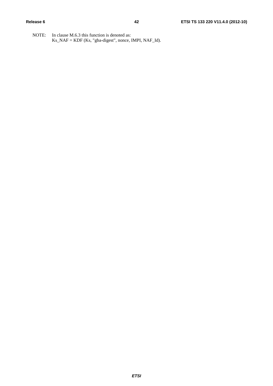NOTE: In clause M.6.3 this function is denoted as: Ks\_NAF = KDF (Ks, "gba-digest", nonce, IMPI, NAF\_Id).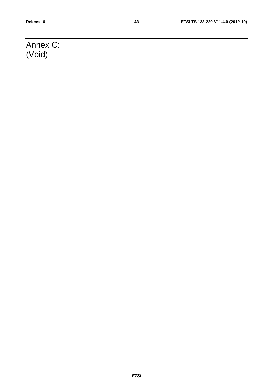# Annex C: (Void)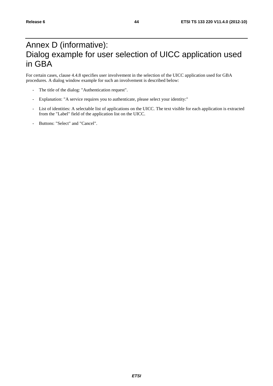## Annex D (informative): Dialog example for user selection of UICC application used in GBA

For certain cases, clause 4.4.8 specifies user involvement in the selection of the UICC application used for GBA procedures. A dialog window example for such an involvement is described below:

- The title of the dialog: "Authentication request".
- Explanation: "A service requires you to authenticate, please select your identity:"
- List of identities: A selectable list of applications on the UICC. The text visible for each application is extracted from the "Label" field of the application list on the UICC.
- Buttons: "Select" and "Cancel".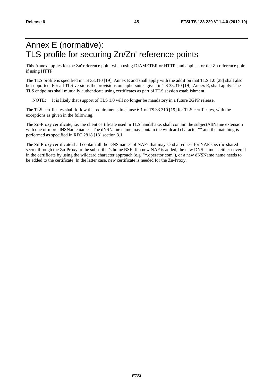# Annex E (normative): TLS profile for securing Zn/Zn' reference points

This Annex applies for the Zn' reference point when using DIAMETER or HTTP, and applies for the Zn reference point if using HTTP.

The TLS profile is specified in TS 33.310 [19], Annex E and shall apply with the addition that TLS 1.0 [28] shall also be supported. For all TLS versions the provisions on ciphersuites given in TS 33.310 [19], Annex E, shall apply. The TLS endpoints shall mutually authenticate using certificates as part of TLS session establishment.

NOTE: It is likely that support of TLS 1.0 will no longer be mandatory in a future 3GPP release.

The TLS certificates shall follow the requirements in clause 6.1 of TS 33.310 [19] for TLS certificates, with the exceptions as given in the following.

The Zn-Proxy certificate, i.e. the client certificate used in TLS handshake, shall contain the subjectAltName extension with one or more dNSName names. The dNSName name may contain the wildcard character '\*' and the matching is performed as specified in RFC 2818 [18] section 3.1.

The Zn-Proxy certificate shall contain all the DNS names of NAFs that may send a request for NAF specific shared secret through the Zn-Proxy to the subscriber's home BSF. If a new NAF is added, the new DNS name is either covered in the certificate by using the wildcard character approach (e.g. "\*.operator.com"), or a new dNSName name needs to be added to the certificate. In the latter case, new certificate is needed for the Zn-Proxy.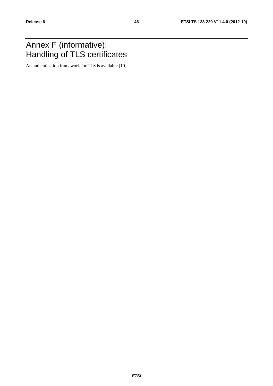## Annex F (informative): Handling of TLS certificates

An authentication framework for TLS is available [19].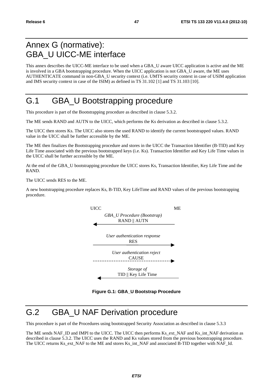## Annex G (normative): GBA\_U UICC-ME interface

This annex describes the UICC-ME interface to be used when a GBA\_U aware UICC application is active and the ME is involved in a GBA bootstrapping procedure. When the UICC application is not GBA\_U aware, the ME uses AUTHENTICATE command in non-GBA\_U security context (i.e. UMTS security context in case of USIM application and IMS security context in case of the ISIM) as defined in TS 31.102 [1] and TS 31.103 [10].

## G.1 GBA\_U Bootstrapping procedure

This procedure is part of the Bootstrapping procedure as described in clause 5.3.2.

The ME sends RAND and AUTN to the UICC, which performs the Ks derivation as described in clause 5.3.2.

The UICC then stores Ks. The UICC also stores the used RAND to identify the current bootstrapped values. RAND value in the UICC shall be further accessible by the ME.

The ME then finalizes the Bootstrapping procedure and stores in the UICC the Transaction Identifier (B-TID) and Key Life Time associated with the previous bootstrapped keys (i.e. Ks). Transaction Identifier and Key Life Time values in the UICC shall be further accessible by the ME.

At the end of the GBA\_U bootstrapping procedure the UICC stores Ks, Transaction Identifier, Key Life Time and the RAND.

The UICC sends RES to the ME.

A new bootstrapping procedure replaces Ks, B-TID, Key LifeTime and RAND values of the previous bootstrapping procedure.



**Figure G.1: GBA\_U Bootstrap Procedure** 

# G.2 GBA\_U NAF Derivation procedure

This procedure is part of the Procedures using bootstrapped Security Association as described in clause 5.3.3

The ME sends NAF\_ID and IMPI to the UICC. The UICC then performs Ks\_ext\_NAF and Ks\_int\_NAF derivation as described in clause 5.3.2. The UICC uses the RAND and Ks values stored from the previous bootstrapping procedure. The UICC returns Ks\_ext\_NAF to the ME and stores Ks\_int\_NAF and associated B-TID together with NAF\_Id.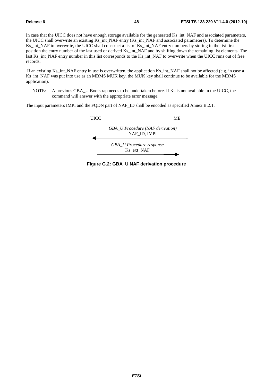In case that the UICC does not have enough storage available for the generated Ks int NAF and associated parameters, the UICC shall overwrite an existing Ks\_int\_NAF entry (Ks\_int\_NAF and associated parameters). To determine the Ks\_int\_NAF to overwrite, the UICC shall construct a list of Ks\_int\_NAF entry numbers by storing in the list first position the entry number of the last used or derived Ks\_int\_NAF and by shifting down the remaining list elements. The last Ks\_int\_NAF entry number in this list corresponds to the Ks\_int\_NAF to overwrite when the UICC runs out of free records.

 If an existing Ks\_int\_NAF entry in use is overwritten, the application Ks\_int\_NAF shall not be affected (e.g. in case a Ks\_int\_NAF was put into use as an MBMS MUK key, the MUK key shall continue to be available for the MBMS application).

NOTE: A previous GBA\_U Bootstrap needs to be undertaken before. If Ks is not available in the UICC, the command will answer with the appropriate error message.

The input parameters IMPI and the FQDN part of NAF\_ID shall be encoded as specified Annex B.2.1.



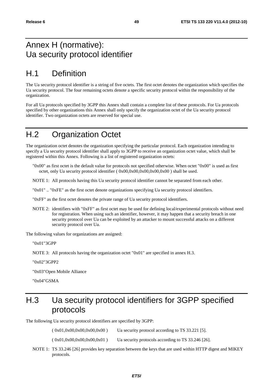## Annex H (normative): Ua security protocol identifier

# H.1 Definition

The Ua security protocol identifier is a string of five octets. The first octet denotes the organization which specifies the Ua security protocol. The four remaining octets denote a specific security protocol within the responsibility of the organization.

For all Ua protocols specified by 3GPP this Annex shall contain a complete list of these protocols. For Ua protocols specified by other organizations this Annex shall only specify the organization octet of the Ua security protocol identifier. Two organization octets are reserved for special use.

## H.2 Organization Octet

The organization octet denotes the organization specifying the particular protocol. Each organization intending to specify a Ua security protocol identifier shall apply to 3GPP to receive an organization octet value, which shall be registered within this Annex. Following is a list of registered organization octets:

"0x00" as first octet is the default value for protocols not specified otherwise. When octet "0x00" is used as first octet, only Ua security protocol identifier ( 0x00,0x00,0x00,0x00,0x00 ) shall be used.

NOTE 1: All protocols having this Ua security protocol identifier cannot be separated from each other.

"0x01" .. "0xFE" as the first octet denote organizations specifying Ua security protocol identifiers.

"0xFF" as the first octet denotes the private range of Ua security protocol identifiers.

NOTE 2: identifiers with "0xFF" as first octet may be used for defining local/experimental protocols without need for registration. When using such an identifier, however, it may happen that a security breach in one security protocol over Ua can be exploited by an attacker to mount successful attacks on a different security protocol over Ua.

The following values for organizations are assigned:

"0x01" 3GPP

NOTE 3: All protocols having the organization octet "0x01" are specified in annex H.3.

"0x02" 3GPP2

"0x03" Open Mobile Alliance

"0x04" GSMA

## H.3 Ua security protocol identifiers for 3GPP specified protocols

The following Ua security protocol identifiers are specified by 3GPP:

 $(0x01,0x00,0x00,0x00,0x00)$  Ua security protocol according to TS 33.221 [5].

 $( 0x01, 0x00, 0x00, 0x00, 0x01 )$  Ua security protocols according to TS 33.246 [26].

NOTE 1: TS 33.246 [26] provides key separation between the keys that are used within HTTP digest and MIKEY protocols.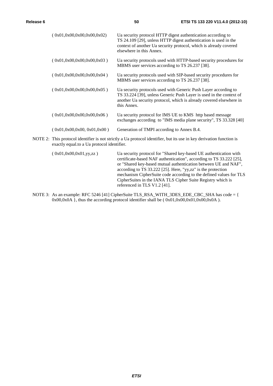| (0x01,0x00,0x00,0x00,0x02) | Ua security protocol HTTP digest authentication according to<br>TS 24.109 [29], unless HTTP digest authentication is used in the<br>context of another Ua security protocol, which is already covered<br>elsewhere in this Annex. |
|----------------------------|-----------------------------------------------------------------------------------------------------------------------------------------------------------------------------------------------------------------------------------|
| (0x01,0x00,0x00,0x00,0x03) | Ua security protocols used with HTTP-based security procedures for<br>MBMS user services according to TS 26.237 [38].                                                                                                             |
| (0x01.0x00.0x00.0x00.0x04) | Ua security protocols used with SIP-based security procedures for<br>MBMS user services according to TS 26.237 [38].                                                                                                              |
| (0x01,0x00,0x00,0x00,0x05) | Ua security protocols used with Generic Push Layer according to<br>TS 33.224 [39], unless Generic Push Layer is used in the context of<br>another Ua security protocol, which is already covered elsewhere in<br>this Annex.      |
| (0x01.0x00.0x00.0x00.0x06) | Ua security protocol for IMS UE to KMS http based message<br>exchanges according to "IMS media plane security", TS 33.328 [40]                                                                                                    |
| (0x01,0x00,0x00,0x01,0x00) | Generation of TMPI according to Annex B.4.                                                                                                                                                                                        |

NOTE 2: This protocol identifier is not strictly a Ua protocol identifier, but its use in key derivation function is exactly equal.to a Ua protocol identifier.

( 0x01,0x00,0x01,yy,zz ) Ua security protocol for "Shared key-based UE authentication with certificate-based NAF authentication", according to TS 33.222 [25], or "Shared key-based mutual authentication between UE and NAF", according to TS 33.222 [25]. Here, "yy,zz" is the protection mechanism CipherSuite code according to the defined values for TLS CipherSuites in the IANA TLS Cipher Suite Registry which is referenced in TLS V1.2 [41].

NOTE 3: As an example: RFC 5246 [41] CipherSuite TLS\_RSA\_WITH\_3DES\_EDE\_CBC\_SHA has code = { 0x00,0x0A }, thus the according protocol identifier shall be (  $0x01,0x00,0x01,0x00,0x0A$  ).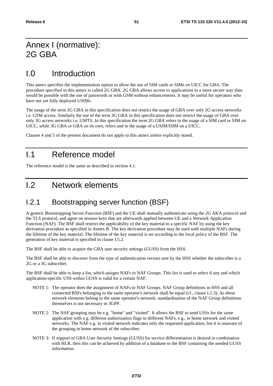## Annex I (normative): 2G GBA

## I.0 Introduction

This annex specifies the implementation option to allow the use of SIM cards or SIMs on UICC for GBA. The procedure specified in this annex is called 2G GBA. 2G GBA allows access to applications in a more secure way than would be possible with the use of passwords or with GSM without enhancements. It may be useful for operators who have not yet fully deployed USIMs.

The usage of the term 2G GBA in this specification does not restrict the usage of GBA over only 2G access networks i.e. GSM access. Similarly the use of the term 3G GBA in this specification does not restrict the usage of GBA over only 3G access networks i.e. UMTS. In this specification the term 2G GBA refers to the usage of a SIM card or SIM on UICC, while 3G GBA or GBA on its own, refers and to the usage of a USIM/ISIM on a UICC.

Clauses 4 and 5 of the present document do not apply to this annex unless explicitly stated.

## I.1 Reference model

The reference model is the same as described in section 4.1.

## I.2 Network elements

#### I.2.1 Bootstrapping server function (BSF)

A generic Bootstrapping Server Function (BSF) and the UE shall mutually authenticate using the 2G AKA protocol and the TLS protocol, and agree on session keys that are afterwards applied between UE and a Network Application Function (NAF). The BSF shall restrict the applicability of the key material to a specific NAF by using the key derivation procedure as specified in Annex B. The key derivation procedure may be used with multiple NAFs during the lifetime of the key material. The lifetime of the key material is set according to the local policy of the BSF. The generation of key material is specified in clause I.5.2.

The BSF shall be able to acquire the GBA user security settings (GUSS) from the HSS.

The BSF shall be able to discover from the type of authentication vectors sent by the HSS whether the subscriber is a 2G or a 3G subscriber.

The BSF shall be able to keep a list, which assigns NAFs to NAF Groups. This list is used to select if any and which application-specific USS within GUSS is valid for a certain NAF.

- NOTE 1: The operator does the assignment of NAFs to NAF Groups. NAF Group definitions in HSS and all connected BSFs belonging to the same operator's network shall be equal (cf., clause I.2.3). As these network elements belong to the same operator's network, standardisation of the NAF Group definitions themselves is not necessary in 3GPP.
- NOTE 2: The NAF grouping may be e.g. "home" and "visited". It allows the BSF to send USSs for the same application with e.g. different authorization flags to different NAFs, e.g., in home network and visited networks. The NAF e.g. in visited network indicates only the requested application, but it is unaware of the grouping in home network of the subscriber.
- NOTE 3: If support of GBA User Security Settings (GUSS) for service differentiation is desired in combination with HLR, then this can be achieved by addition of a database to the BSF containing the needed GUSS information.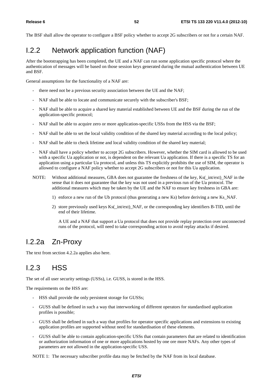The BSF shall allow the operator to configure a BSF policy whether to accept 2G subscribers or not for a certain NAF.

## I.2.2 Network application function (NAF)

After the bootstrapping has been completed, the UE and a NAF can run some application specific protocol where the authentication of messages will be based on those session keys generated during the mutual authentication between UE and BSF.

General assumptions for the functionality of a NAF are:

- there need not be a previous security association between the UE and the NAF;
- NAF shall be able to locate and communicate securely with the subscriber's BSF;
- NAF shall be able to acquire a shared key material established between UE and the BSF during the run of the application-specific protocol;
- NAF shall be able to acquire zero or more application-specific USSs from the HSS via the BSF;
- NAF shall be able to set the local validity condition of the shared key material according to the local policy;
- NAF shall be able to check lifetime and local validity condition of the shared key material;
- NAF shall have a policy whether to accept 2G subscribers. However, whether the SIM card is allowed to be used with a specific Ua application or not, is dependent on the relevant Ua application. If there is a specific TS for an application using a particular Ua protocol, and unless this TS explicitly prohibits the use of SIM, the operator is allowed to configure a NAF policy whether to accept 2G subscribers or not for this Ua application.
- NOTE: Without additional measures, GBA does not guarantee the freshness of the key, Ks(\_int/ext)\_NAF in the sense that it does not guarantee that the key was not used in a previous run of the Ua protocol. The additional measures which may be taken by the UE and the NAF to ensure key freshness in GBA are:
	- 1) enforce a new run of the Ub protocol (thus generating a new Ks) before deriving a new Ks\_NAF.
	- 2) store previously used keys Ks(\_int/ext)\_NAF, or the corresponding key identifiers B-TID, until the end of their lifetime.

 A UE and a NAF that support a Ua protocol that does not provide replay protection over unconnected runs of the protocol, will need to take corresponding action to avoid replay attacks if desired.

## I.2.2a Zn-Proxy

The text from section 4.2.2a applies also here.

## I.2.3 HSS

The set of all user security settings (USSs), i.e. GUSS, is stored in the HSS.

The requirements on the HSS are:

- HSS shall provide the only persistent storage for GUSSs;
- GUSS shall be defined in such a way that interworking of different operators for standardised application profiles is possible;
- GUSS shall be defined in such a way that profiles for operator specific applications and extensions to existing application profiles are supported without need for standardisation of these elements.
- GUSS shall be able to contain application-specific USSs that contain parameters that are related to identification or authorization information of one or more applications hosted by one ore more NAFs. Any other types of parameters are not allowed in the application-specific USS.

NOTE 1: The necessary subscriber profile data may be fetched by the NAF from its local database.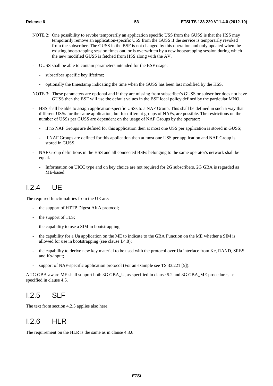- NOTE 2: One possibility to revoke temporarily an application specific USS from the GUSS is that the HSS may temporarily remove an application-specific USS from the GUSS if the service is temporarily revoked from the subscriber. The GUSS in the BSF is not changed by this operation and only updated when the existing bootstrapping session times out, or is overwritten by a new bootstrapping session during which the new modified GUSS is fetched from HSS along with the AV.
- GUSS shall be able to contain parameters intended for the BSF usage:
	- subscriber specific key lifetime;
	- optionally the timestamp indicating the time when the GUSS has been last modified by the HSS.
- NOTE 3: These parameters are optional and if they are missing from subscriber's GUSS or subscriber does not have GUSS then the BSF will use the default values in the BSF local policy defined by the particular MNO.
- HSS shall be able to assign application-specific USSs to a NAF Group. This shall be defined in such a way that different USSs for the same application, but for different groups of NAFs, are possible. The restrictions on the number of USSs per GUSS are dependent on the usage of NAF Groups by the operator:
	- if no NAF Groups are defined for this application then at most one USS per application is stored in GUSS;
	- if NAF Groups are defined for this application then at most one USS per application and NAF Group is stored in GUSS.
- NAF Group definitions in the HSS and all connected BSFs belonging to the same operator's network shall be equal.
	- Information on UICC type and on key choice are not required for 2G subscribers. 2G GBA is regarded as ME-based.

## I.2.4 UE

The required functionalities from the UE are:

- the support of HTTP Digest AKA protocol;
- the support of TLS;
- the capability to use a SIM in bootstrapping;
- the capability for a Ua application on the ME to indicate to the GBA Function on the ME whether a SIM is allowed for use in bootstrapping (see clause I.4.8);
- the capability to derive new key material to be used with the protocol over Ua interface from Kc, RAND, SRES and Ks-input;
- support of NAF-specific application protocol (For an example see TS 33.221 [5]).

A 2G GBA-aware ME shall support both 3G GBA\_U, as specified in clause 5.2 and 3G GBA\_ME procedures, as specified in clause 4.5.

#### $12.5$  SIF

The text from section 4.2.5 applies also here.

#### I.2.6 HLR

The requirement on the HLR is the same as in clause 4.3.6.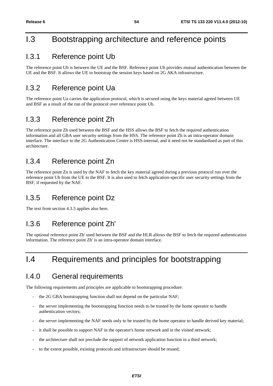## I.3 Bootstrapping architecture and reference points

#### I.3.1 Reference point Ub

The reference point Ub is between the UE and the BSF. Reference point Ub provides mutual authentication between the UE and the BSF. It allows the UE to bootstrap the session keys based on 2G AKA infrastructure.

### I.3.2 Reference point Ua

The reference point Ua carries the application protocol, which is secured using the keys material agreed between UE and BSF as a result of the run of the protocol over reference point Ub.

#### I.3.3 Reference point Zh

The reference point Zh used between the BSF and the HSS allows the BSF to fetch the required authentication information and all GBA user security settings from the HSS. The reference point Zh is an intra-operator domain interface. The interface to the 2G Authentication Centre is HSS-internal, and it need not be standardised as part of this architecture.

## I.3.4 Reference point Zn

The reference point Zn is used by the NAF to fetch the key material agreed during a previous protocol run over the reference point Ub from the UE to the BSF. It is also used to fetch application-specific user security settings from the BSF, if requested by the NAF.

#### I.3.5 Reference point Dz

The text from section 4.3.5 applies also here.

#### I.3.6 Reference point Zh'

The optional reference point Zh' used between the BSF and the HLR allows the BSF to fetch the required authentication information. The reference point Zh' is an intra-operator domain interface.

## I.4 Requirements and principles for bootstrapping

#### I.4.0 General requirements

The following requirements and principles are applicable to bootstrapping procedure:

- the 2G GBA bootstrapping function shall not depend on the particular NAF;
- the server implementing the bootstrapping function needs to be trusted by the home operator to handle authentication vectors;
- the server implementing the NAF needs only to be trusted by the home operator to handle derived key material;
- it shall be possible to support NAF in the operator's home network and in the visited network;
- the architecture shall not preclude the support of network application function in a third network;
- to the extent possible, existing protocols and infrastructure should be reused;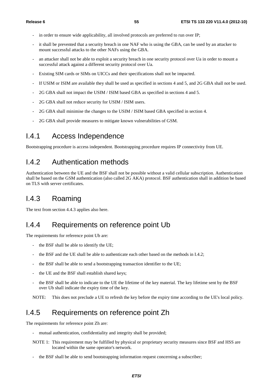- in order to ensure wide applicability, all involved protocols are preferred to run over IP;
- it shall be prevented that a security breach in one NAF who is using the GBA, can be used by an attacker to mount successful attacks to the other NAFs using the GBA.
- an attacker shall not be able to exploit a security breach in one security protocol over Ua in order to mount a successful attack against a different security protocol over Ua.
- Existing SIM cards or SIMs on UICCs and their specifications shall not be impacted.
- If USIM or ISIM are available they shall be used as specified in sections 4 and 5, and 2G GBA shall not be used.
- 2G GBA shall not impact the USIM / ISIM based GBA as specified in sections 4 and 5.
- 2G GBA shall not reduce security for USIM / ISIM users.
- 2G GBA shall minimise the changes to the USIM / ISIM based GBA specified in section 4.
- 2G GBA shall provide measures to mitigate known vulnerabilities of GSM.

#### I.4.1 Access Independence

Bootstrapping procedure is access independent. Bootstrapping procedure requires IP connectivity from UE.

#### I.4.2 Authentication methods

Authentication between the UE and the BSF shall not be possible without a valid cellular subscription. Authentication shall be based on the GSM authentication (also called 2G AKA) protocol. BSF authentication shall in addition be based on TLS with server certificates.

## I.4.3 Roaming

The text from section 4.4.3 applies also here.

#### I.4.4 Requirements on reference point Ub

The requirements for reference point Ub are:

- the BSF shall be able to identify the UE;
- the BSF and the UE shall be able to authenticate each other based on the methods in I.4.2;
- the BSF shall be able to send a bootstrapping transaction identifier to the UE;
- the UE and the BSF shall establish shared keys;
- the BSF shall be able to indicate to the UE the lifetime of the key material. The key lifetime sent by the BSF over Ub shall indicate the expiry time of the key.

NOTE: This does not preclude a UE to refresh the key before the expiry time according to the UE's local policy.

#### I.4.5 Requirements on reference point Zh

The requirements for reference point Zh are:

- mutual authentication, confidentiality and integrity shall be provided;
- NOTE 1: This requirement may be fulfilled by physical or proprietary security measures since BSF and HSS are located within the same operator's network.
- the BSF shall be able to send bootstrapping information request concerning a subscriber;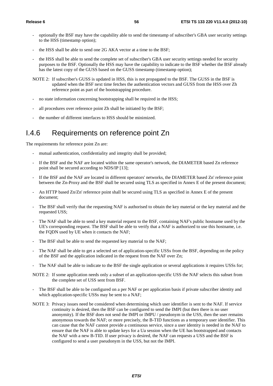- optionally the BSF may have the capability able to send the timestamp of subscriber's GBA user security settings to the HSS (timestamp option);
- the HSS shall be able to send one 2G AKA vector at a time to the BSF;
- the HSS shall be able to send the complete set of subscriber's GBA user security settings needed for security purposes to the BSF. Optionally the HSS may have the capability to indicate to the BSF whether the BSF already has the latest copy of the GUSS based on the GUSS timestamp (timestamp option);
- NOTE 2: If subscriber's GUSS is updated in HSS, this is not propagated to the BSF. The GUSS in the BSF is updated when the BSF next time fetches the authentication vectors and GUSS from the HSS over Zh reference point as part of the bootstrapping procedure.
- no state information concerning bootstrapping shall be required in the HSS;
- all procedures over reference point Zh shall be initiated by the BSF;
- the number of different interfaces to HSS should be minimized.

## I.4.6 Requirements on reference point Zn

The requirements for reference point Zn are:

- mutual authentication, confidentiality and integrity shall be provided;
- If the BSF and the NAF are located within the same operator's network, the DIAMETER based Zn reference point shall be secured according to NDS/IP [13];
- If the BSF and the NAF are located in different operators' networks, the DIAMETER based Zn' reference point between the Zn-Proxy and the BSF shall be secured using TLS as specified in Annex E of the present document;
- An HTTP based Zn/Zn' reference point shall be secured using TLS as specified in Annex E of the present document;
- The BSF shall verify that the requesting NAF is authorised to obtain the key material or the key material and the requested USS;
- The NAF shall be able to send a key material request to the BSF, containing NAF's public hostname used by the UE's corresponding request. The BSF shall be able to verify that a NAF is authorized to use this hostname, i.e. the FQDN used by UE when it contacts the NAF;
- The BSF shall be able to send the requested key material to the NAF;
- The NAF shall be able to get a selected set of application-specific USSs from the BSF, depending on the policy of the BSF and the application indicated in the request from the NAF over Zn;
- The NAF shall be able to indicate to the BSF the single application or several applications it requires USSs for;
- NOTE 2: If some application needs only a subset of an application-specific USS the NAF selects this subset from the complete set of USS sent from BSF.
- The BSF shall be able to be configured on a per NAF or per application basis if private subscriber identity and which application-specific USSs may be sent to a NAF;
- NOTE 3: Privacy issues need be considered when determining which user identifier is sent to the NAF. If service continuity is desired, then the BSF can be configured to send the IMPI (but then there is no user anonymity). If the BSF does not send the IMPI or IMPU / pseudonym in the USS, then the user remains anonymous towards the NAF; or more precisely, the B-TID functions as a temporary user identifier. This can cause that the NAF cannot provide a continuous service, since a user identity is needed in the NAF to ensure that the NAF is able to update keys for a Ua session when the UE has bootstrapped and contacts the NAF with a new B-TID. If user privacy is desired, the NAF can requests a USS and the BSF is configured to send a user pseudonym in the USS, but not the IMPI.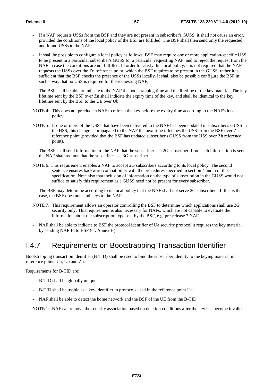- If a NAF requests USSs from the BSF and they are not present in subscriber's GUSS, it shall not cause an error, provided the conditions of the local policy of the BSF are fulfilled. The BSF shall then send only the requested and found USSs to the NAF;
- It shall be possible to configure a local policy as follows: BSF may require one or more application-specific USS to be present in a particular subscriber's GUSS for a particular requesting NAF, and to reject the request from the NAF in case the conditions are not fulfilled. In order to satisfy this local policy, it is not required that the NAF requests the USSs over the Zn reference point, which the BSF requires to be present in the GUSS, rather it is sufficient that the BSF checks the presence of the USSs locally. It shall also be possible configure the BSF in such a way that no USS is required for the requesting NAF;
- The BSF shall be able to indicate to the NAF the bootstrapping time and the lifetime of the key material. The key lifetime sent by the BSF over Zn shall indicate the expiry time of the key, and shall be identical to the key lifetime sent by the BSF to the UE over Ub.
- NOTE 4: This does not preclude a NAF to refresh the key before the expiry time according to the NAF's local policy.
- NOTE 5: If one or more of the USSs that have been delivered to the NAF has been updated in subscriber's GUSS in the HSS, this change is propagated to the NAF the next time it fetches the USS from the BSF over Zn reference point (provided that the BSF has updated subscriber's GUSS from the HSS over Zh reference point).
- The BSF shall send information to the NAF that the subscriber is a 2G subscriber. If no such information is sent the NAF shall assume that the subscriber is a 3G subscriber.
- NOTE 6: This requirement enables a NAF to accept 2G subscribers according to its local policy. The second sentence ensures backward compatibility with the procedures specified in section 4 and 5 of this specification. Note also that inclusion of information on the type of subscription in the GUSS would not suffice to satisfy this requirement as a GUSS need not be present for every subscriber.
- The BSF may determine according to its local policy that the NAF shall not serve 2G subscribers. If this is the case, the BSF does not send keys to the NAF.
- NOTE 7: This requirement allows an operator controlling the BSF to determine which applications shall use 3G security only. This requirement is also necessary for NAFs, which are not capable to evaluate the information about the subscription type sent by the BSF, e.g. pre-release 7 NAFs.
- NAF shall be able to indicate to BSF the protocol identifier of Ua security protocol it requires the key material by sending NAF-Id to BSF (cf. Annex H).

#### I.4.7 Requirements on Bootstrapping Transaction Identifier

Bootstrapping transaction identifier (B-TID) shall be used to bind the subscriber identity to the keying material in reference points Ua, Ub and Zn.

Requirements for B-TID are:

- B-TID shall be globally unique;
- B-TID shall be usable as a key identifier in protocols used in the reference point Ua;
- NAF shall be able to detect the home network and the BSF of the UE from the B-TID.

NOTE 1: NAF can remove the security association based on deletion conditions after the key has become invalid.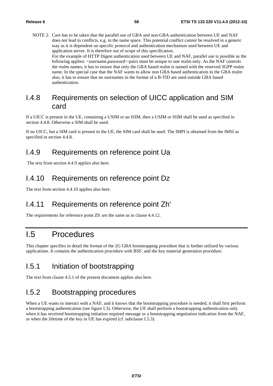NOTE 2: Care has to be taken that the parallel use of GBA and non-GBA authentication between UE and NAF does not lead to conflicts, e.g. in the name space. This potential conflict cannot be resolved in a generic way as it is dependent on specific protocol and authentication mechanism used between UE and application server. It is therefore out of scope of this specification. For the example of HTTP Digest authentication used between UE and NAF, parallel use is possible as the following applies:  $\langle$ username,password>-pairs must be unique to one realm only. As the NAF controls the realm names, it has to ensure that only the GBA based realm is named with the reserved 3GPP realm name. In the special case that the NAF wants to allow non GBA based authentication in the GBA realm also, it has to ensure that no usernames in the format of a B-TID are used outside GBA based authentication.

#### I.4.8 Requirements on selection of UICC application and SIM card

If a UICC is present in the UE, containing a USIM or an ISIM, then a USIM or ISIM shall be used as specified in section 4.4.8. Otherwise a SIM shall be used.

If no UICC, but a SIM card is present in the UE, the SIM card shall be used. The IMPI is obtained from the IMSI as specified in section 4.4.8.

#### I.4.9 Requirements on reference point Ua

The text from section 4.4.9 applies also here.

#### I.4.10 Requirements on reference point Dz

The text from section 4.4.10 applies also here.

## I.4.11 Requirements on reference point Zh'

The requirements for reference point Zh' are the same as in clause 4.4.12.

## I.5 Procedures

This chapter specifies in detail the format of the 2G GBA bootstrapping procedure that is further utilized by various applications. It contains the authentication procedure with BSF, and the key material generation procedure.

#### I.5.1 Initiation of bootstrapping

The text from clause 4.5.1 of the present document applies also here.

## I.5.2 Bootstrapping procedures

When a UE wants to interact with a NAF, and it knows that the bootstrapping procedure is needed, it shall first perform a bootstrapping authentication (see figure I.3). Otherwise, the UE shall perform a bootstrapping authentication only when it has received bootstrapping initiation required message or a bootstrapping negotiation indication from the NAF, or when the lifetime of the key in UE has expired (cf. subclause I.5.3).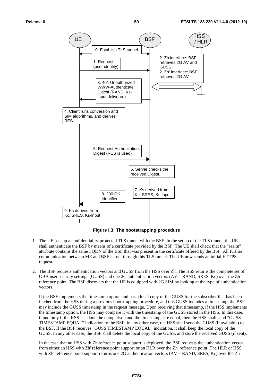

**Figure I.3: The bootstrapping procedure** 

- 1. The UE sets up a confidentiality-protected TLS tunnel with the BSF. In the set up of the TLS tunnel, the UE shall authenticate the BSF by means of a certificate provided by the BSF. The UE shall check that the "realm" attribute contains the same FQDN of the BSF that was present in the certificate offered by the BSF. All further communication between ME and BSF is sent through this TLS tunnel. The UE now sends an initial HTTPS request.
- 2. The BSF requests authentication vectors and GUSS from the HSS over Zh. The HSS returns the complete set of GBA user security settings (GUSS) and one 2G authentication vectors (AV = RAND, SRES, Kc) over the Zh reference point. The BSF discovers that the UE is equipped with 2G SIM by looking at the type of authentication vectors.

If the BSF implements the timestamp option and has a local copy of the GUSS for the subscriber that has been fetched from the HSS during a previous bootstrapping procedure, and this GUSS includes a timestamp, the BSF may include the GUSS timestamp in the request message. Upon receiving that timestamp, if the HSS implements the timestamp option, the HSS may compare it with the timestamp of the GUSS stored in the HSS. In this case, if and only if the HSS has done the comparison and the timestamps are equal, then the HSS shall send "GUSS TIMESTAMP EQUAL" indication to the BSF. In any other case, the HSS shall send the GUSS (if available) to the BSF. If the BSF receives "GUSS TIMESTAMP EQUAL" indication, it shall keep the local copy of the GUSS. In any other case, the BSF shall delete the local copy of the GUSS, and store the received GUSS (if sent).

 In the case that no HSS with Zh reference point support is deployed, the BSF requests the authentication vector from either an HSS with Zh' reference point support or an HLR over the Zh' reference point. The HLR or HSS with Zh' reference point support returns one 2G authentication vectors (AV = RAND, SRES, Kc) over the Zh'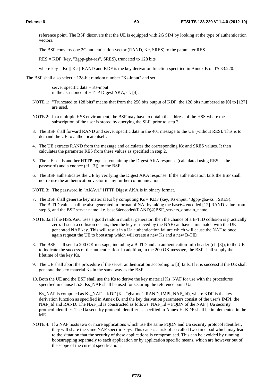reference point. The BSF discovers that the UE is equipped with 2G SIM by looking at the type of authentication vectors.

The BSF converts one 2G authentication vector (RAND, Kc, SRES) to the parameter RES.

RES = KDF (key, "3gpp-gba-res", SRES), truncated to 128 bits

where key = Kc  $\parallel$  Kc  $\parallel$  RAND and KDF is the key derivation function specified in Annex B of TS 33.220.

The BSF shall also select a 128-bit random number "Ks-input" and set

server specific data  $=$  Ks-input in the aka-nonce of HTTP Digest AKA, cf. [4].

- NOTE 1: "Truncated to 128 bits" means that from the 256 bits output of KDF, the 128 bits numbered as [0] to [127] are used.
- NOTE 2: In a multiple HSS environment, the BSF may have to obtain the address of the HSS where the subscription of the user is stored by querying the SLF, prior to step 2.
- 3. The BSF shall forward RAND and server specific data in the 401 message to the UE (without RES). This is to demand the UE to authenticate itself.
- 4. The UE extracts RAND from the message and calculates the corresponding Kc and SRES values. It then calculates the parameter RES from these values as specified in step 2.
- 5. The UE sends another HTTP request, containing the Digest AKA response (calculated using RES as the password) and a cnonce (cf. [3]), to the BSF.
- 6. The BSF authenticates the UE by verifying the Digest AKA response. If the authentication fails the BSF shall not re-use the authentication vector in any further communication.

NOTE 3: The password in "AKAv1" HTTP Digest AKA is in binary format.

- 7. The BSF shall generate key material Ks by computing Ks = KDF (key, Ks-input, "3gpp-gba-ks", SRES). The B-TID value shall be also generated in format of NAI by taking the base64 encoded [12] RAND value from step 3, and the BSF server name, i.e. base64encoded(RAND)@BSF\_servers\_domain\_name.
- NOTE 3a: If the HSS/AuC uses a good random number generator, then the chance of a B-TID collision is practically zero. If such a collision occurs, then the key retrieved by the NAF can have a mismatch with the UE generated NAF key. This will result in a Ua authentication failure which will cause the NAF to once again request the UE to bootstrap which will create a new Ks and a new B-TID.
- 8. The BSF shall send a 200 OK message, including a B-TID and an authentication-info header (cf. [3]), to the UE to indicate the success of the authentication. In addition, in the 200 OK message, the BSF shall supply the lifetime of the key Ks.
- 9. The UE shall abort the procedure if the server authentication according to [3] fails. If it is successful the UE shall generate the key material Ks in the same way as the BSF.
- 10. Both the UE and the BSF shall use the Ks to derive the key material Ks\_NAF for use with the procedures specified in clause I.5.3. Ks NAF shall be used for securing the reference point Ua.

Ks NAF is computed as Ks NAF = KDF (Ks, "gba-me", RAND, IMPI, NAF Id), where KDF is the key derivation function as specified in Annex B, and the key derivation parameters consist of the user's IMPI, the NAF\_Id and RAND. The NAF\_Id is constructed as follows: NAF\_Id = FQDN of the NAF || Ua security protocol identifier. The Ua security protocol identifier is specified in Annex H. KDF shall be implemented in the ME.

NOTE 4: If a NAF hosts two or more applications which use the same FQDN and Ua security protocol identifier, they will share the same NAF specific keys. This causes a risk of so called two-time pad which may lead to the situation that the security of these applications is compromised. This can be avoided by running bootstrapping separately to each application or by application specific means, which are however out of the scope of the current specification.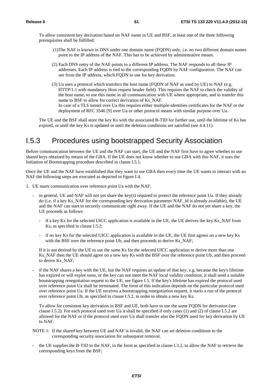To allow consistent key derivation based on NAF name in UE and BSF, at least one of the three following prerequisites shall be fulfilled:

- (1) The NAF is known in DNS under one domain name (FQDN) only, i.e. no two different domain names point to the IP address of the NAF. This has to be achieved by administrative means.
- (2) Each DNS entry of the NAF points to a different IP address. The NAF responds to all these IP addresses. Each IP address is tied to the corresponding FQDN by NAF configuration. The NAF can see from the IP address, which FQDN to use for key derivation.
- (3) Ua uses a protocol which transfers the host name (FQDN of NAF as used by UE) to NAF (e.g. HTTP/1.1 with mandatory Host request header field). This requires the NAF to check the validity of the host name, to use this name in all communication with UE where appropriate, and to transfer this name to BSF to allow for correct derivation of Ks\_NAF. In case of a TLS tunnel over Ua this requires either multiple-identities certificates for the NAF or the deployment of RFC 3546 [9] over Ua or other protocol means with similar purpose over Ua.

 The UE and the BSF shall store the key Ks with the associated B-TID for further use, until the lifetime of Ks has expired, or until the key Ks is updated or until the deletion conditions are satisfied (see 4.4.11).

#### I.5.3 Procedures using bootstrapped Security Association

Before communication between the UE and the NAF can start, the UE and the NAF first have to agree whether to use shared keys obtained by means of the GBA. If the UE does not know whether to use GBA with this NAF, it uses the Initiation of Bootstrapping procedure described in clause I.5.1.

Once the UE and the NAF have established that they want to use GBA then every time the UE wants to interact with an NAF the following steps are executed as depicted in figure I.4.

- 1. UE starts communication over reference point Ua with the NAF:
	- in general, UE and NAF will not yet share the key(s) required to protect the reference point Ua. If they already do (i.e. if a key Ks\_NAF for the corresponding key derivation parameter NAF\_Id is already available), the UE and the NAF can start to securely communicate right away. If the UE and the NAF do not yet share a key, the UE proceeds as follows:
		- if a key Ks for the selected UICC application is available in the UE, the UE derives the key Ks\_NAF from Ks, as specified in clause I.5.2;
		- if no key Ks for the selected UICC application is available in the UE, the UE first agrees on a new key Ks with the BSF over the reference point Ub, and then proceeds to derive Ks\_NAF;

If it is not desired by the UE to use the same Ks for the selected UICC application to derive more than one Ks\_NAF then the UE should agree on a new key Ks with the BSF over the reference point Ub, and then proceed to derive Ks\_NAF;

- if the NAF shares a key with the UE, but the NAF requires an update of that key, e.g. because the key's lifetime has expired or will expire soon, or the key can not meet the NAF local validity condition, it shall send a suitable bootstrapping renegotiation request to the UE, see figure I.5. If the key's lifetime has expired the protocol used over reference point Ua shall be terminated. The form of this indication depends on the particular protocol used over reference point Ua. If the UE receives a bootstrapping renegotiation request, it starts a run of the protocol over reference point Ub, as specified in clause I.5.2, in order to obtain a new key Ks.

To allow for consistent key derivation in BSF and UE, both have to use the same FQDN for derivation (see clause I.5.2). For each protocol used over Ua it shall be specified if only cases (1) and (2) of clause I.5.2 are allowed for the NAF or if the protocol used over Ua shall transfer also the FQDN used for key derivation by UE to NAF.

- NOTE 1: If the shared key between UE and NAF is invalid, the NAF can set deletion conditions to the corresponding security association for subsequent removal.
- the UE supplies the B-TID to the NAF, in the form as specified in clause I.3.2, to allow the NAF to retrieve the corresponding keys from the BSF;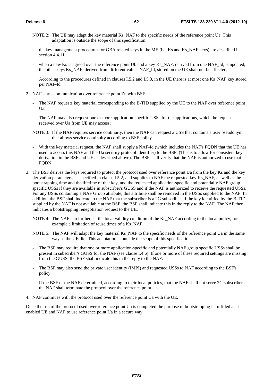- NOTE 2: The UE may adapt the key material Ks\_NAF to the specific needs of the reference point Ua. This adaptation is outside the scope of this specification.
- the key management procedures for GBA related keys in the ME (i.e. Ks and Ks\_NAF keys) are described in section 4.4.11.
- when a new Ks is agreed over the reference point Ub and a key Ks\_NAF, derived from one NAF\_Id, is updated, the other keys Ks\_NAF, derived from different values NAF\_Id, stored on the UE shall not be affected;

 According to the procedures defined in clauses I.5.2 and I.5.3, in the UE there is at most one Ks\_NAF key stored per NAF-Id.

- 2. NAF starts communication over reference point Zn with BSF
	- The NAF requests key material corresponding to the B-TID supplied by the UE to the NAF over reference point Ua.;
	- The NAF may also request one or more application-specific USSs for the applications, which the request received over Ua from UE may access;
	- NOTE 3: If the NAF requires service continuity, then the NAF can request a USS that contains a user pseudonym that allows service continuity according to BSF policy.
	- With the key material request, the NAF shall supply a NAF-Id (which includes the NAF's FQDN that the UE has used to access this NAF and the Ua security protocol identifier) to the BSF. (This is to allow for consistent key derivation in the BSF and UE as described above). The BSF shall verify that the NAF is authorized to use that FQDN.
- 3. The BSF derives the keys required to protect the protocol used over reference point Ua from the key Ks and the key derivation parameters, as specified in clause I.5.2, and supplies to NAF the requested key Ks\_NAF, as well as the bootstrapping time and the lifetime of that key, and the requested application-specific and potentially NAF group specific USSs if they are available in subscriber's GUSS and if the NAF is authorized to receive the requested USSs. For any USSs containing a NAF Group attribute, this attribute shall be removed in the USSs supplied to the NAF. In addition, the BSF shall indicate to the NAF that the subscriber is a 2G subscriber. If the key identified by the B-TID supplied by the NAF is not available at the BSF, the BSF shall indicate this in the reply to the NAF. The NAF then indicates a bootstrapping renegotiation request to the UE.
	- NOTE 4: The NAF can further set the local validity condition of the Ks\_NAF according to the local policy, for example a limitation of reuse times of a Ks\_NAF.
	- NOTE 5: The NAF will adapt the key material Ks\_NAF to the specific needs of the reference point Ua in the same way as the UE did. This adaptation is outside the scope of this specification.
	- The BSF may require that one or more application-specific and potentially NAF group specific USSs shall be present in subscriber's GUSS for the NAF (see clause I.4.6). If one or more of these required settings are missing from the GUSS, the BSF shall indicate this in the reply to the NAF.
	- The BSF may also send the private user identity (IMPI) and requested USSs to NAF according to the BSF's policy;
	- If the BSF or the NAF determined, according to their local policies, that the NAF shall not serve 2G subscribers, the NAF shall terminate the protocol over the reference point Ua.
- 4. NAF continues with the protocol used over the reference point Ua with the UE.

Once the run of the protocol used over reference point Ua is completed the purpose of bootstrapping is fulfilled as it enabled UE and NAF to use reference point Ua in a secure way.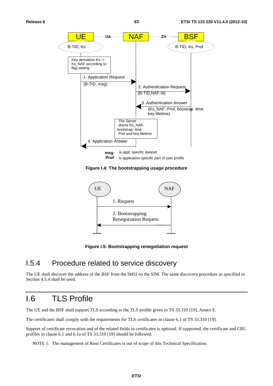

**Figure I.4: The bootstrapping usage procedure** 



**Figure I.5: Bootstrapping renegotiation request** 

#### I.5.4 Procedure related to service discovery

The UE shall discover the address of the BSF from the IMSI on the SIM. The same discovery procedure as specified in Section 4.5.4 shall be used.

## I.6 TLS Profile

The UE and the BSF shall support TLS according to the TLS profile given in TS 33.310 [19], Annex E.

The certificates shall comply with the requirements for TLS certificates in clause 6.1 of TS 33.310 [19].

Support of certificate revocation and of the related fields in certificates is optional. If supported, the certificate and CRL profiles in clause 6.1 and 6.1a of TS 33.310 [19] should be followed.

NOTE 1: The management of Root Certificates is out of scope of this Technical Specification.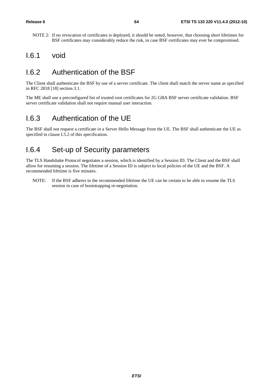NOTE 2: If no revocation of certificates is deployed, it should be noted, however, that choosing short lifetimes for BSF certificates may considerably reduce the risk, in case BSF certificates may ever be compromised.

#### I.6.1 void

## I.6.2 Authentication of the BSF

The Client shall authenticate the BSF by use of a server certificate. The client shall match the server name as specified in RFC 2818 [18] section 3.1.

The ME shall use a preconfigured list of trusted root certificates for 2G GBA BSF server certificate validation. BSF server certificate validation shall not require manual user interaction.

#### I.6.3 Authentication of the UE

The BSF shall not request a certificate in a Server Hello Message from the UE. The BSF shall authenticate the UE as specified in clause I.5.2 of this specification.

#### I.6.4 Set-up of Security parameters

The TLS Handshake Protocol negotiates a session, which is identified by a Session ID. The Client and the BSF shall allow for resuming a session. The lifetime of a Session ID is subject to local policies of the UE and the BSF. A recommended lifetime is five minutes.

NOTE: If the BSF adheres to the recommended lifetime the UE can be certain to be able to resume the TLS session in case of bootstrapping re-negotiation.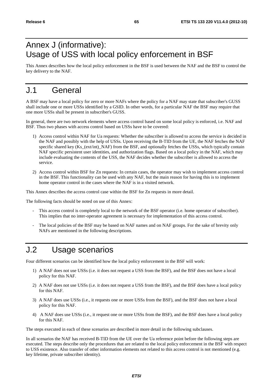# Annex J (informative): Usage of USS with local policy enforcement in BSF

This Annex describes how the local policy enforcement in the BSF is used between the NAF and the BSF to control the key delivery to the NAF.

## J.1 General

A BSF may have a local policy for zero or more NAFs where the policy for a NAF may state that subscriber's GUSS shall include one or more USSs identified by a GSID. In other words, for a particular NAF the BSF may require that one more USSs shall be present in subscriber's GUSS.

In general, there are two network elements where access control based on some local policy is enforced, i.e. NAF and BSF. Thus two phases with access control based on USSs have to be covered:

- 1) Access control within NAF for Ua requests: Whether the subscriber is allowed to access the service is decided in the NAF and possibly with the help of USSs. Upon receiving the B-TID from the UE, the NAF fetches the NAF specific shared key (Ks (ext/int) NAF) from the BSF, and optionally fetches the USSs, which typically contain NAF specific persistent user identities, and authorization flags. Based on a local policy in the NAF, which may include evaluating the contents of the USS, the NAF decides whether the subscriber is allowed to access the service.
- 2) Access control within BSF for Zn requests: In certain cases, the operator may wish to implement access control in the BSF. This functionality can be used with any NAF, but the main reason for having this is to implement home operator control in the cases where the NAF is in a visited network.

This Annex describes the access control case within the BSF for Zn requests in more detail.

The following facts should be noted on use of this Annex:

- This access control is completely local to the network of the BSF operator (i.e. home operator of subscriber). This implies that no inter-operator agreement is necessary for implementation of this access control.
- The local policies of the BSF may be based on NAF names and on NAF groups. For the sake of brevity only NAFs are mentioned in the following descriptions.

## J.2 Usage scenarios

Four different scenarios can be identified how the local policy enforcement in the BSF will work:

- 1) A NAF does not use USSs (i.e. it does not request a USS from the BSF), and the BSF does not have a local policy for this NAF.
- 2) A NAF does not use USSs (i.e. it does not request a USS from the BSF), and the BSF does have a local policy for this NAF.
- 3) A NAF does use USSs (i.e., it requests one or more USSs from the BSF), and the BSF does not have a local policy for this NAF.
- 4) A NAF does use USSs (i.e., it request one or more USSs from the BSF), and the BSF does have a local policy for this NAF.

The steps executed in each of these scenarios are described in more detail in the following subclauses.

In all scenarios the NAF has received B-TID from the UE over the Ua reference point before the following steps are executed. The steps describe only the procedures that are related to the local policy enforcement in the BSF with respect to USS existence. Also transfer of other information elements not related to this access control is not mentioned (e.g. key lifetime, private subscriber identity).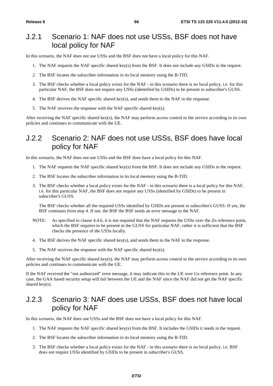#### J.2.1 Scenario 1: NAF does not use USSs, BSF does not have local policy for NAF

In this scenario, the NAF does not use USSs and the BSF does not have a local policy for this NAF.

- 1. The NAF requests the NAF specific shared key(s) from the BSF. It does not include any GSIDs in the request.
- 2. The BSF locates the subscriber information in its local memory using the B-TID.
- 3. The BSF checks whether a local policy exists for the NAF in this scenario there is no local policy, i.e. for this particular NAF, the BSF does not require any USSs (identified by GSIDs) to be present in subscriber's GUSS.
- 4. The BSF derives the NAF specific shared key(s), and sends them to the NAF in the response.
- 5. The NAF receives the response with the NAF specific shared key(s).

After receiving the NAF specific shared key(s), the NAF may perform access control to the service according to its own policies and continues to communicate with the UE.

#### J.2.2 Scenario 2: NAF does not use USSs, BSF does have local policy for NAF

In this scenario, the NAF does not use USSs and the BSF does have a local policy for this NAF.

- 1. The NAF requests the NAF specific shared key(s) from the BSF. It does not include any GSIDs in the request.
- 2. The BSF locates the subscriber information in its local memory using the B-TID.
- 3. The BSF checks whether a local policy exists for the NAF in this scenario there is a local policy for this NAF, i.e. for this particular NAF, the BSF does not require any USSs (identified by GSIDs) to be present in subscriber's GUSS.

 The BSF checks whether all the required USSs identified by GSIDs are present in subscriber's GUSS: If yes, the BSF continues from step 4. If not, the BSF the BSF sends an error message to the NAF.

- NOTE: As specified in clause 4.4.6, it is not required that the NAF requests the USSs over the Zn reference point, which the BSF requires to be present in the GUSS for particular NAF, rather it is sufficient that the BSF checks the presence of the USSs locally.
- 4. The BSF derives the NAF specific shared key(s), and sends them to the NAF in the response.
- 5. The NAF receives the response with the NAF specific shared key(s).

After receiving the NAF specific shared key(s), the NAF may perform access control to the service according to its own policies and continues to communicate with the UE.

If the NAF received the "not authorized" error message, it may indicate this to the UE over Ua reference point. In any case, the GAA based security setup will fail between the UE and the NAF since the NAF did not get the NAF specific shared key(s).

#### J.2.3 Scenario 3: NAF does use USSs, BSF does not have local policy for NAF

In this scenario, the NAF does use USSs and the BSF does not have a local policy for this NAF.

- 1. The NAF requests the NAF specific shared key(s) from the BSF. It includes the GSIDs it needs in the request.
- 2. The BSF locates the subscriber information in its local memory using the B-TID.
- 3. The BSF checks whether a local policy exists for the NAF in this scenario there is no local policy, i.e. BSF does not require USSs identified by GSIDs to be present in subscriber's GUSS.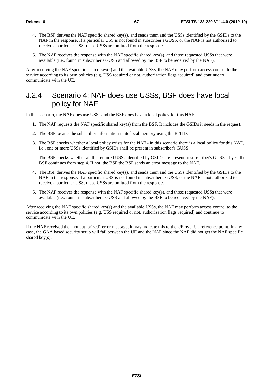- 4. The BSF derives the NAF specific shared key(s), and sends them and the USSs identified by the GSIDs to the NAF in the response. If a particular USS is not found in subscriber's GUSS, or the NAF is not authorized to receive a particular USS, these USSs are omitted from the response.
- 5. The NAF receives the response with the NAF specific shared key(s), and those requested USSs that were available (i.e., found in subscriber's GUSS and allowed by the BSF to be received by the NAF).

After receiving the NAF specific shared key(s) and the available USSs, the NAF may perform access control to the service according to its own policies (e.g. USS required or not, authorization flags required) and continue to communicate with the UE.

#### J.2.4 Scenario 4: NAF does use USSs, BSF does have local policy for NAF

In this scenario, the NAF does use USSs and the BSF does have a local policy for this NAF.

- 1. The NAF requests the NAF specific shared key(s) from the BSF. It includes the GSIDs it needs in the request.
- 2. The BSF locates the subscriber information in its local memory using the B-TID.
- 3. The BSF checks whether a local policy exists for the NAF in this scenario there is a local policy for this NAF, i.e., one or more USSs identified by GSIDs shall be present in subscriber's GUSS.

 The BSF checks whether all the required USSs identified by GSIDs are present in subscriber's GUSS: If yes, the BSF continues from step 4. If not, the BSF the BSF sends an error message to the NAF.

- 4. The BSF derives the NAF specific shared key(s), and sends them and the USSs identified by the GSIDs to the NAF in the response. If a particular USS is not found in subscriber's GUSS, or the NAF is not authorized to receive a particular USS, these USSs are omitted from the response.
- 5. The NAF receives the response with the NAF specific shared key(s), and those requested USSs that were available (i.e., found in subscriber's GUSS and allowed by the BSF to be received by the NAF).

After receiving the NAF specific shared key(s) and the available USSs, the NAF may perform access control to the service according to its own policies (e.g. USS required or not, authorization flags required) and continue to communicate with the UE.

If the NAF received the "not authorized" error message, it may indicate this to the UE over Ua reference point. In any case, the GAA based security setup will fail between the UE and the NAF since the NAF did not get the NAF specific shared key(s).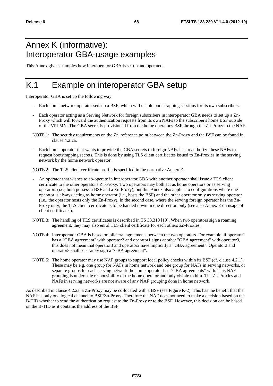## Annex K (informative): Interoperator GBA-usage examples

This Annex gives examples how interoperator GBA is set up and operated.

## K.1 Example on interoperator GBA setup

Interoperator GBA is set up the following way:

- Each home network operator sets up a BSF, which will enable bootstrapping sessions for its own subscribers.
- Each operator acting as a Serving Network for foreign subscribers in interoperator GBA needs to set up a Zn-Proxy which will forward the authentication requests from its own NAFs to the subscriber's home BSF outside of the VPLMN. The GBA secret is provisioned from the home operator's BSF through the Zn-Proxy to the NAF.
- NOTE 1: The security requirements on the Zn' reference point between the Zn-Proxy and the BSF can be found in clause 4.2.2a.
- Each home operator that wants to provide the GBA secrets to foreign NAFs has to authorize these NAFs to request bootstrapping secrets. This is done by using TLS client certificates issued to Zn-Proxies in the serving network by the home network operator.

NOTE 2: The TLS client certificate profile is specified in the normative Annex E.

- An operator that wishes to co-operate in interoperator GBA with another operator shall issue a TLS client certificate to the other operator's Zn-Proxy. Two operators may both act as home operators or as serving operators (i.e., both possess a BSF and a Zn-Proxy), but this Annex also applies to configurations where one operator is always acting as home operator (i.e., hosts the BSF) and the other operator only as serving operator (i.e., the operator hosts only the Zn-Proxy). In the second case, where the serving foreign operator has the Zn-Proxy only, the TLS client certificate is to be handed down in one direction only (see also Annex E on usage of client certificates).
- NOTE 3: The handling of TLS certificates is described in TS 33.310 [19]. When two operators sign a roaming agreement, they may also enrol TLS client certificate for each others Zn-Proxies.
- NOTE 4: Interoperator GBA is based on bilateral agreements between the two operators. For example, if operator1 has a "GBA agreement" with operator2 and operator1 signs another "GBA agreement" with operator3, this does not mean that operator3 and operator2 have implicitly a "GBA agreement". Operator2 and operator3 shall separately sign a "GBA agreement".
- NOTE 5: The home operator may use NAF groups to support local policy checks within its BSF (cf. clause 4.2.1). These may be e.g. one group for NAFs in home network and one group for NAFs in serving networks, or separate groups for each serving network the home operator has "GBA agreements" with. This NAF grouping is under sole responsibility of the home operator and only visible to him. The Zn-Proxies and NAFs in serving networks are not aware of any NAF grouping done in home network.

As described in clause 4.2.2a, a Zn-Proxy may be co-located with a BSF (see Figure K-2). This has the benefit that the NAF has only one logical channel to BSF/Zn-Proxy. Therefore the NAF does not need to make a decision based on the B-TID whether to send the authentication request to the Zn-Proxy or to the BSF. However, this decision can be based on the B-TID as it contains the address of the BSF.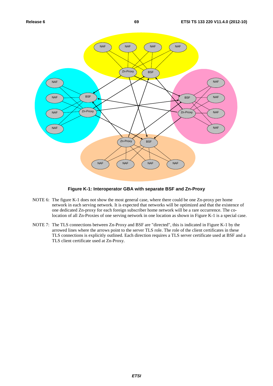

#### **Figure K-1: Interoperator GBA with separate BSF and Zn-Proxy**

- NOTE 6: The figure K-1 does not show the most general case, where there could be one Zn-proxy per home network in each serving network. It is expected that networks will be optimized and that the existence of one dedicated Zn-proxy for each foreign subscriber home network will be a rare occurrence. The colocation of all Zn-Proxies of one serving network in one location as shown in Figure K-1 is a special case.
- NOTE 7: The TLS connections between Zn-Proxy and BSF are "directed", this is indicated in Figure K-1 by the arrowed lines where the arrows point to the server TLS role. The role of the client certificates in these TLS connections is explicitly outlined. Each direction requires a TLS server certificate used at BSF and a TLS client certificate used at Zn-Proxy.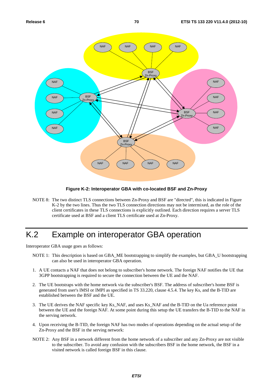

#### **Figure K-2: Interoperator GBA with co-located BSF and Zn-Proxy**

NOTE 8: The two distinct TLS connections between Zn-Proxy and BSF are "directed", this is indicated in Figure K-2 by the two lines. Thus the two TLS connection directions may not be intermixed, as the role of the client certificates in these TLS connections is explicitly outlined. Each direction requires a server TLS certificate used at BSF and a client TLS certificate used at Zn-Proxy.

## K.2 Example on interoperator GBA operation

Interoperator GBA usage goes as follows:

- NOTE 1: This description is based on GBA\_ME bootstrapping to simplify the examples, but GBA\_U bootstrapping can also be used in interoperator GBA operation.
- 1. A UE contacts a NAF that does not belong to subscriber's home network. The foreign NAF notifies the UE that 3GPP bootstrapping is required to secure the connection between the UE and the NAF.
- 2. The UE bootstraps with the home network via the subscriber's BSF. The address of subscriber's home BSF is generated from user's IMSI or IMPI as specified in TS 33.220, clause 4.5.4. The key Ks, and the B-TID are established between the BSF and the UE.
- 3. The UE derives the NAF specific key Ks\_NAF, and uses Ks\_NAF and the B-TID on the Ua reference point between the UE and the foreign NAF. At some point during this setup the UE transfers the B-TID to the NAF in the serving network.
- 4. Upon receiving the B-TID, the foreign NAF has two modes of operations depending on the actual setup of the Zn-Proxy and the BSF in the serving network:
- NOTE 2: Any BSF in a network different from the home network of a subscriber and any Zn-Proxy are not visible to the subscriber. To avoid any confusion with the subscribers BSF in the home network, the BSF in a visited network is called foreign BSF in this clause.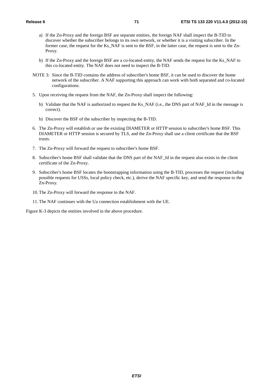- a) If the Zn-Proxy and the foreign BSF are separate entities, the foreign NAF shall inspect the B-TID to discover whether the subscriber belongs to its own network, or whether it is a visiting subscriber. In the former case, the request for the Ks\_NAF is sent to the BSF, in the latter case, the request is sent to the Zn-Proxy.
- b) If the Zn-Proxy and the foreign BSF are a co-located entity, the NAF sends the request for the Ks\_NAF to this co-located entity. The NAF does not need to inspect the B-TID.
- NOTE 3: Since the B-TID contains the address of subscriber's home BSF, it can be used to discover the home network of the subscriber. A NAF supporting this approach can work with both separated and co-located configurations.
- 5. Upon receiving the request from the NAF, the Zn-Proxy shall inspect the following:
	- b) Validate that the NAF is authorized to request the Ks\_NAF (i.e., the DNS part of NAF\_Id in the message is correct).
	- b) Discover the BSF of the subscriber by inspecting the B-TID.
- 6. The Zn-Proxy will establish or use the existing DIAMETER or HTTP session to subscriber's home BSF. This DIAMETER or HTTP session is secured by TLS, and the Zn-Proxy shall use a client certificate that the BSF trusts.
- 7. The Zn-Proxy will forward the request to subscriber's home BSF.
- 8. Subscriber's home BSF shall validate that the DNS part of the NAF\_Id in the request also exists in the client certificate of the Zn-Proxy.
- 9. Subscriber's home BSF locates the bootstrapping information using the B-TID, processes the request (including possible requests for USSs, local policy check, etc.), derive the NAF specific key, and send the response to the Zn-Proxy.
- 10. The Zn-Proxy will forward the response to the NAF.
- 11. The NAF continues with the Ua connection establishment with the UE.

Figure K-3 depicts the entities involved in the above procedure.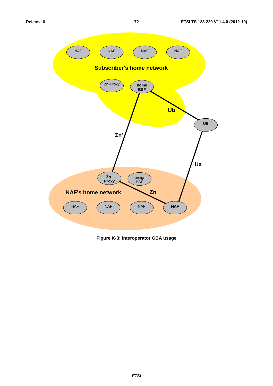

**Figure K-3: Interoperator GBA usage**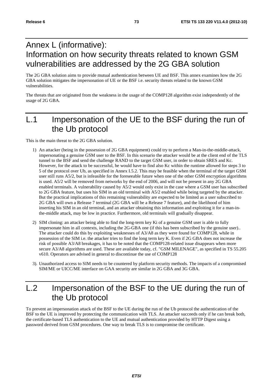# Annex L (informative): Information on how security threats related to known GSM vulnerabilities are addressed by the 2G GBA solution

The 2G GBA solution aims to provide mutual authentication between UE and BSF. This annex examines how the 2G GBA solution mitigates the impersonation of UE or the BSF i.e. security threats related to the known GSM vulnerabilities.

The threats that are originated from the weakness in the usage of the COMP128 algorithm exist independently of the usage of 2G GBA.

# L.1 Impersonation of the UE to the BSF during the run of the Ub protocol

This is the main threat to the 2G GBA solution.

- 1) An attacker (being in the possession of 2G GBA equipment) could try to perform a Man-in-the-middle-attack, impersonating a genuine GSM user to the BSF. In this scenario the attacker would be at the client end of the TLS tunnel to the BSF and send the challenge RAND to the target GSM user, in order to obtain SRES and Kc. However, for the attack to be successful, he would have to find also Kc within the runtime allowed for steps 3 to 5 of the protocol over Ub, as specified in Annex I.5.2. This may be feasible when the terminal of the target GSM user still runs A5/2, but is infeasible for the foreseeable future when one of the other GSM encryption algorithms is used. A5/2 will be removed from networks by the end of 2006, and will not be present in any 2G GBA enabled terminals. A vulnerability caused by A5/2 would only exist in the case where a GSM user has subscribed to 2G GBA feature, but uses his SIM in an old terminal with A5/2 enabled while being targeted by the attacker. But the practical implications of this remaining vulnerability are expected to be limited as a user subscribed to 2G GBA will own a Release 7 terminal (2G GBA will be a Release 7 feature), and the likelihood of him inserting his SIM in an old terminal, and an attacker obtaining this information and exploiting it for a man-inthe-middle attack, may be low in practice. Furthermore, old terminals will gradually disappear.
- 2) SIM cloning: an attacker being able to find the long-term key Ki of a genuine GSM user is able to fully impersonate him in all contexts, including the 2G-GBA one (if this has been subscribed by the genuine user).. The attacker could do this by exploiting weaknesses of A3/A8 as they were found for COMP128, while in possession of the SIM i.e. the attacker tries to find the long term key K. Even if 2G GBA does not increase the risk of possible A3/A8 breakages, it has to be noted that the COMP128-related issue disappears when more secure A3/A8 algorithms are used. These are available today, cf. "GSM MILENAGE", as specified in TS 55.205 v610. Operators are advised in general to discontinue the use of COMP128
- 3). Unauthorized access to SIM needs to be countered by platform security methods. The impacts of a compromised SIM/ME or UICC/ME interface on GAA security are similar in 2G GBA and 3G GBA.

# L.2 Impersonation of the BSF to the UE during the run of the Ub protocol

To prevent an impersonation attack of the BSF to the UE during the run of the Ub protocol the authentication of the BSF to the UE is improved by protecting the communication with TLS. An attacker succeeds only if he can break both, the certificate-based TLS authentication to the UE and mutual authentication provided by HTTP Digest using a password derived from GSM procedures. One way to break TLS is to compromise the certificate.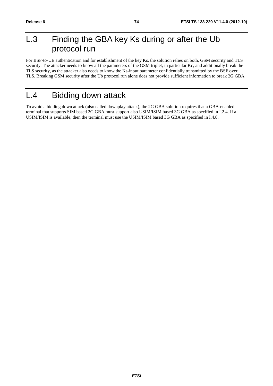# L.3 Finding the GBA key Ks during or after the Ub protocol run

For BSF-to-UE authentication and for establishment of the key Ks, the solution relies on both, GSM security and TLS security. The attacker needs to know all the parameters of the GSM triplet, in particular Kc, and additionally break the TLS security, as the attacker also needs to know the Ks-input parameter confidentially transmitted by the BSF over TLS. Breaking GSM security after the Ub protocol run alone does not provide sufficient information to break 2G GBA.

# L.4 Bidding down attack

To avoid a bidding down attack (also called downplay attack), the 2G GBA solution requires that a GBA-enabled terminal that supports SIM based 2G GBA must support also USIM/ISIM based 3G GBA as specified in I.2.4. If a USIM/ISIM is available, then the terminal must use the USIM/ISIM based 3G GBA as specified in I.4.8.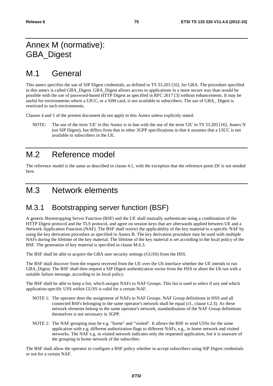# Annex M (normative): GBA\_Digest

# M.1 General

This annex specifies the use of SIP Digest credentials, as defined in TS 33.203 [16], for GBA. The procedure specified in this annex is called GBA\_Digest. GBA\_Digest allows access to applications in a more secure way than would be possible with the use of password-based HTTP Digest as specified in RFC 2617 [3] without enhancements. It may be useful for environments where a UICC, or a SIM card, is not available to subscribers. The use of GBA\_ Digest is restricted to such environments.

Clauses 4 and 5 of the present document do not apply to this Annex unless explicitly stated.

NOTE: The use of the term 'UE' in this Annex is in line with the use of the term 'UE' in TS 33.203 [16], Annex N (on SIP Digest), but differs from that in other 3GPP specifications in that it assumes that a UICC is not available to subscribers in the UE.

# M.2 Reference model

The reference model is the same as described in clause 4.1, with the exception that the reference point Zh' is not needed here.

# M.3 Network elements

## M.3.1 Bootstrapping server function (BSF)

A generic Bootstrapping Server Function (BSF) and the UE shall mutually authenticate using a combination of the HTTP Digest protocol and the TLS protocol, and agree on session keys that are afterwards applied between UE and a Network Application Function (NAF). The BSF shall restrict the applicability of the key material to a specific NAF by using the key derivation procedure as specified in Annex B. The key derivation procedure may be used with multiple NAFs during the lifetime of the key material. The lifetime of the key material is set according to the local policy of the BSF. The generation of key material is specified in clause M.6.3.

The BSF shall be able to acquire the GBA user security settings (GUSS) from the HSS.

The BSF shall discover from the request received from the UE over the Ub interface whether the UE intends to run GBA\_Digest. The BSF shall then request a SIP Digest authentication vector from the HSS or abort the Ub run with a suitable failure message, according to its local policy.

The BSF shall be able to keep a list, which assigns NAFs to NAF Groups. This list is used to select if any and which application-specific USS within GUSS is valid for a certain NAF.

- NOTE 1: The operator does the assignment of NAFs to NAF Groups. NAF Group definitions in HSS and all connected BSFs belonging to the same operator's network shall be equal (cf., clause I.2.3). As these network elements belong to the same operator's network, standardisation of the NAF Group definitions themselves is not necessary in 3GPP.
- NOTE 2: The NAF grouping may be e.g. "home" and "visited". It allows the BSF to send USSs for the same application with e.g. different authorization flags to different NAFs, e.g., in home network and visited networks. The NAF e.g. in visited network indicates only the requested application, but it is unaware of the grouping in home network of the subscriber.

The BSF shall allow the operator to configure a BSF policy whether to accept subscribers using SIP Digest credentials or not for a certain NAF.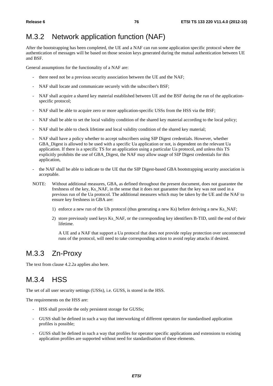## M.3.2 Network application function (NAF)

After the bootstrapping has been completed, the UE and a NAF can run some application specific protocol where the authentication of messages will be based on those session keys generated during the mutual authentication between UE and BSF.

General assumptions for the functionality of a NAF are:

- there need not be a previous security association between the UE and the NAF;
- NAF shall locate and communicate securely with the subscriber's BSF;
- NAF shall acquire a shared key material established between UE and the BSF during the run of the applicationspecific protocol;
- NAF shall be able to acquire zero or more application-specific USSs from the HSS via the BSF;
- NAF shall be able to set the local validity condition of the shared key material according to the local policy;
- NAF shall be able to check lifetime and local validity condition of the shared key material;
- NAF shall have a policy whether to accept subscribers using SIP Digest credentials. However, whether GBA Digest is allowed to be used with a specific Ua application or not, is dependent on the relevant Ua application. If there is a specific TS for an application using a particular Ua protocol, and unless this TS explicitly prohibits the use of GBA\_Digest, the NAF may allow usage of SIP Digest credentials for this application,
- the NAF shall be able to indicate to the UE that the SIP Digest-based GBA bootstrapping security association is acceptable.
- NOTE: Without additional measures, GBA, as defined throughout the present document, does not guarantee the freshness of the key, Ks\_NAF, in the sense that it does not guarantee that the key was not used in a previous run of the Ua protocol. The additional measures which may be taken by the UE and the NAF to ensure key freshness in GBA are:
	- 1) enforce a new run of the Ub protocol (thus generating a new Ks) before deriving a new Ks NAF;
	- 2) store previously used keys Ks\_NAF, or the corresponding key identifiers B-TID, until the end of their lifetime.

 A UE and a NAF that support a Ua protocol that does not provide replay protection over unconnected runs of the protocol, will need to take corresponding action to avoid replay attacks if desired.

### M.3.3 Zn-Proxy

The text from clause 4.2.2a applies also here.

### M.3.4 HSS

The set of all user security settings (USSs), i.e. GUSS, is stored in the HSS.

The requirements on the HSS are:

- HSS shall provide the only persistent storage for GUSSs;
- GUSS shall be defined in such a way that interworking of different operators for standardised application profiles is possible;
- GUSS shall be defined in such a way that profiles for operator specific applications and extensions to existing application profiles are supported without need for standardisation of these elements.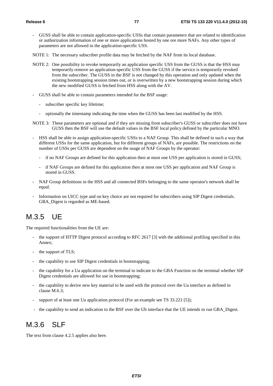- GUSS shall be able to contain application-specific USSs that contain parameters that are related to identification or authorization information of one or more applications hosted by one ore more NAFs. Any other types of parameters are not allowed in the application-specific USS.
- NOTE 1: The necessary subscriber profile data may be fetched by the NAF from its local database.
- NOTE 2: One possibility to revoke temporarily an application specific USS from the GUSS is that the HSS may temporarily remove an application-specific USS from the GUSS if the service is temporarily revoked from the subscriber. The GUSS in the BSF is not changed by this operation and only updated when the existing bootstrapping session times out, or is overwritten by a new bootstrapping session during which the new modified GUSS is fetched from HSS along with the AV.
- GUSS shall be able to contain parameters intended for the BSF usage:
	- subscriber specific key lifetime;
	- optionally the timestamp indicating the time when the GUSS has been last modified by the HSS.
- NOTE 3: These parameters are optional and if they are missing from subscriber's GUSS or subscriber does not have GUSS then the BSF will use the default values in the BSF local policy defined by the particular MNO.
- HSS shall be able to assign application-specific USSs to a NAF Group. This shall be defined in such a way that different USSs for the same application, but for different groups of NAFs, are possible. The restrictions on the number of USSs per GUSS are dependent on the usage of NAF Groups by the operator:
	- if no NAF Groups are defined for this application then at most one USS per application is stored in GUSS;
	- if NAF Groups are defined for this application then at most one USS per application and NAF Group is stored in GUSS.
- NAF Group definitions in the HSS and all connected BSFs belonging to the same operator's network shall be equal.
- Information on UICC type and on key choice are not required for subscribers using SIP Digest credentials. GBA\_Digest is regarded as ME-based.

### M.3.5 UE

The required functionalities from the UE are:

- the support of HTTP Digest protocol according to RFC 2617 [3] with the additional profiling specified in this Annex;
- the support of TLS;
- the capability to use SIP Digest credentials in bootstrapping;
- the capability for a Ua application on the terminal to indicate to the GBA Function on the terminal whether SIP Digest credentials are allowed for use in bootstrapping;
- the capability to derive new key material to be used with the protocol over the Ua interface as defined in clause M.6.3;
- support of at least one Ua application protocol (For an example see TS 33.221 [5]);
- the capability to send an indication to the BSF over the Ub interface that the UE intends to run GBA\_Digest.

### M.3.6 SLF

The text from clause 4.2.5 applies also here.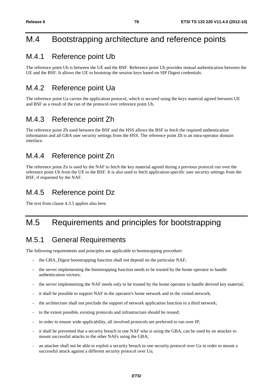# M.4 Bootstrapping architecture and reference points

### M.4.1 Reference point Ub

The reference point Ub is between the UE and the BSF. Reference point Ub provides mutual authentication between the UE and the BSF. It allows the UE to bootstrap the session keys based on SIP Digest credentials.

## M.4.2 Reference point Ua

The reference point Ua carries the application protocol, which is secured using the keys material agreed between UE and BSF as a result of the run of the protocol over reference point Ub.

### M.4.3 Reference point Zh

The reference point Zh used between the BSF and the HSS allows the BSF to fetch the required authentication information and all GBA user security settings from the HSS. The reference point Zh is an intra-operator domain interface.

### M.4.4 Reference point Zn

The reference point Zn is used by the NAF to fetch the key material agreed during a previous protocol run over the reference point Ub from the UE to the BSF. It is also used to fetch application-specific user security settings from the BSF, if requested by the NAF.

## M.4.5 Reference point Dz

The text from clause 4.3.5 applies also here.

# M.5 Requirements and principles for bootstrapping

### M.5.1 General Requirements

The following requirements and principles are applicable to bootstrapping procedure:

- the GBA\_Digest bootstrapping function shall not depend on the particular NAF;
- the server implementing the bootstrapping function needs to be trusted by the home operator to handle authentication vectors;
- the server implementing the NAF needs only to be trusted by the home operator to handle derived key material;
- it shall be possible to support NAF in the operator's home network and in the visited network;
- the architecture shall not preclude the support of network application function in a third network;
- to the extent possible, existing protocols and infrastructure should be reused;
- in order to ensure wide applicability, all involved protocols are preferred to run over IP;
- it shall be prevented that a security breach in one NAF who is using the GBA, can be used by an attacker to mount successful attacks to the other NAFs using the GBA;
- an attacker shall not be able to exploit a security breach in one security protocol over Ua in order to mount a successful attack against a different security protocol over Ua;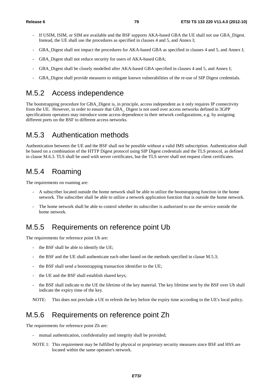- If USIM, ISIM, or SIM are available and the BSF supports AKA-based GBA the UE shall not use GBA Digest. Instead, the UE shall use the procedures as specified in clauses 4 and 5, and Annex I;
- GBA\_Digest shall not impact the procedures for AKA-based GBA as specified in clauses 4 and 5, and Annex I;
- GBA Digest shall not reduce security for users of AKA-based GBA;
- GBA Digest shall be closely modelled after AKA-based GBA specified in clauses 4 and 5, and Annex I;
- GBA\_Digest shall provide measures to mitigate known vulnerabilities of the re-use of SIP Digest credentials.

### M.5.2 Access independence

The bootstrapping procedure for GBA\_Digest is, in principle, access independent as it only requires IP connectivity from the UE. However, in order to ensure that GBA\_ Digest is not used over access networks defined in 3GPP specifications operators may introduce some access dependence in their network configurations, e.g. by assigning different ports on the BSF to different access networks.

### M.5.3 Authentication methods

Authentication between the UE and the BSF shall not be possible without a valid IMS subscription. Authentication shall be based on a combination of the HTTP Digest protocol using SIP Digest credentials and the TLS protocol, as defined in clause M.6.3. TLS shall be used with server certificates, but the TLS server shall not request client certificates.

## M.5.4 Roaming

The requirements on roaming are:

- A subscriber located outside the home network shall be able to utilize the bootstrapping function in the home network. The subscriber shall be able to utilize a network application function that is outside the home network.
- The home network shall be able to control whether its subscriber is authorized to use the service outside the home network.

### M.5.5 Requirements on reference point Ub

The requirements for reference point Ub are:

- the BSF shall be able to identify the UE;
- the BSF and the UE shall authenticate each other based on the methods specified in clasue M.5.3;
- the BSF shall send a bootstrapping transaction identifier to the UE;
- the UE and the BSF shall establish shared keys;
- the BSF shall indicate to the UE the lifetime of the key material. The key lifetime sent by the BSF over Ub shall indicate the expiry time of the key.

NOTE: This does not preclude a UE to refresh the key before the expiry time according to the UE's local policy.

### M.5.6 Requirements on reference point Zh

The requirements for reference point Zh are:

- mutual authentication, confidentiality and integrity shall be provided;
- NOTE 1: This requirement may be fulfilled by physical or proprietary security measures since BSF and HSS are located within the same operator's network.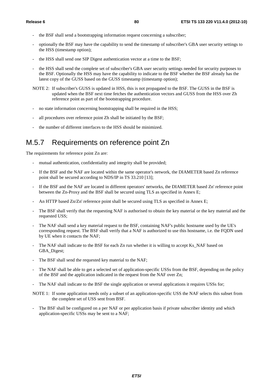- the BSF shall send a bootstrapping information request concerning a subscriber;
- optionally the BSF may have the capability to send the timestamp of subscriber's GBA user security settings to the HSS (timestamp option);
- the HSS shall send one SIP Digest authentication vector at a time to the BSF;
- the HSS shall send the complete set of subscriber's GBA user security settings needed for security purposes to the BSF. Optionally the HSS may have the capability to indicate to the BSF whether the BSF already has the latest copy of the GUSS based on the GUSS timestamp (timestamp option);
- NOTE 2: If subscriber's GUSS is updated in HSS, this is not propagated to the BSF. The GUSS in the BSF is updated when the BSF next time fetches the authentication vectors and GUSS from the HSS over Zh reference point as part of the bootstrapping procedure.
- no state information concerning bootstrapping shall be required in the HSS;
- all procedures over reference point Zh shall be initiated by the BSF;
- the number of different interfaces to the HSS should be minimized.

### M.5.7 Requirements on reference point Zn

The requirements for reference point Zn are:

- mutual authentication, confidentiality and integrity shall be provided;
- If the BSF and the NAF are located within the same operator's network, the DIAMETER based Zn reference point shall be secured according to NDS/IP in TS 33.210 [13];
- If the BSF and the NAF are located in different operators' networks, the DIAMETER based Zn' reference point between the Zn-Proxy and the BSF shall be secured using TLS as specified in Annex E;
- An HTTP based Zn/Zn' reference point shall be secured using TLS as specified in Annex E;
- The BSF shall verify that the requesting NAF is authorised to obtain the key material or the key material and the requested USS;
- The NAF shall send a key material request to the BSF, containing NAF's public hostname used by the UE's corresponding request. The BSF shall verify that a NAF is authorized to use this hostname, i.e. the FQDN used by UE when it contacts the NAF;
- The NAF shall indicate to the BSF for each Zn run whether it is willing to accept Ks\_NAF based on GBA\_Digest;
- The BSF shall send the requested key material to the NAF;
- The NAF shall be able to get a selected set of application-specific USSs from the BSF, depending on the policy of the BSF and the application indicated in the request from the NAF over Zn;
- The NAF shall indicate to the BSF the single application or several applications it requires USSs for;

NOTE 1: If some application needs only a subset of an application-specific USS the NAF selects this subset from the complete set of USS sent from BSF.

The BSF shall be configured on a per NAF or per application basis if private subscriber identity and which application-specific USSs may be sent to a NAF;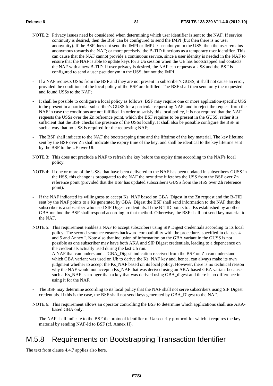- NOTE 2: Privacy issues need be considered when determining which user identifier is sent to the NAF. If service continuity is desired, then the BSF can be configured to send the IMPI (but then there is no user anonymity). If the BSF does not send the IMPI or IMPU / pseudonym in the USS, then the user remains anonymous towards the NAF; or more precisely, the B-TID functions as a temporary user identifier. This can cause that the NAF cannot provide a continuous service, since a user identity is needed in the NAF to ensure that the NAF is able to update keys for a Ua session when the UE has bootstrapped and contacts the NAF with a new B-TID. If user privacy is desired, the NAF can requests a USS and the BSF is configured to send a user pseudonym in the USS, but not the IMPI.
- If a NAF requests USSs from the BSF and they are not present in subscriber's GUSS, it shall not cause an error, provided the conditions of the local policy of the BSF are fulfilled. The BSF shall then send only the requested and found USSs to the NAF;
- It shall be possible to configure a local policy as follows: BSF may require one or more application-specific USS to be present in a particular subscriber's GUSS for a particular requesting NAF, and to reject the request from the NAF in case the conditions are not fulfilled. In order to satisfy this local policy, it is not required that the NAF requests the USSs over the Zn reference point, which the BSF requires to be present in the GUSS, rather it is sufficient that the BSF checks the presence of the USSs locally. It shall also be possible configure the BSF in such a way that no USS is required for the requesting NAF;
- The BSF shall indicate to the NAF the bootstrapping time and the lifetime of the key material. The key lifetime sent by the BSF over Zn shall indicate the expiry time of the key, and shall be identical to the key lifetime sent by the BSF to the UE over Ub.
- NOTE 3: This does not preclude a NAF to refresh the key before the expiry time according to the NAF's local policy.
- NOTE 4: If one or more of the USSs that have been delivered to the NAF has been updated in subscriber's GUSS in the HSS, this change is propagated to the NAF the next time it fetches the USS from the BSF over Zn reference point (provided that the BSF has updated subscriber's GUSS from the HSS over Zh reference point).
- If the NAF indicated its willingness to accept Ks\_NAF based on GBA\_Digest in the Zn request and the B-TID sent by the NAF points to a Ks generated by GBA\_Digest the BSF shall send information to the NAF that the subscriber is a subscriber who used SIP Digest credentials. If the B-TID points to a Ks established by another GBA method the BSF shall respond according to that method. Otherwise, the BSF shall not send key material to the NAF.
- NOTE 5: This requirement enables a NAF to accept subscribers using SIP Digest credentials according to its local policy. The second sentence ensures backward compatibility with the procedures specified in clauses 4 and 5 and Annex I. Note also that inclusion of information on the GBA variant in the GUSS is not possible as one subscriber may have both AKA and SIP Digest credentials, leading to a depencence on the credentials actually used during the last Ub run. A NAF that can understand a 'GBA\_Digest' indication received from the BSF on Zn can understand

which GBA variant was used on Ub to derive the Ks\_NAF key and, hence, can always make its own judgment whether to accept the Ks\_NAF based on its local policy. However, there is no technical reason why the NAF would not accept a Ks\_NAF that was derived using an AKA-based GBA variant because such a Ks\_NAF is stronger than a key that was derived using GBA\_digest and there is no difference in using it for the NAF.

- The BSF may determine according to its local policy that the NAF shall not serve subscribers using SIP Digest credentials. If this is the case, the BSF shall not send keys generated by GBA\_Digest to the NAF.
- NOTE 6: This requirement allows an operator controlling the BSF to determine which applications shall use AKAbased GBA only.
- The NAF shall indicate to the BSF the protocol identifier of Ua security protocol for which it requires the key material by sending NAF-Id to BSF (cf. Annex H).

### M.5.8 Requirements on Bootstrapping Transaction Identifier

The text from clause 4.4.7 applies also here.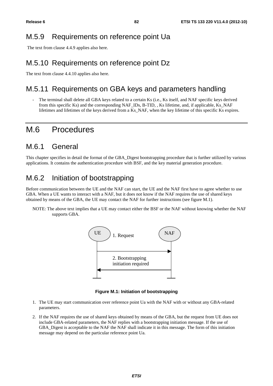### M.5.9 Requirements on reference point Ua

The text from clause 4.4.9 applies also here.

### M.5.10 Requirements on reference point Dz

The text from clause 4.4.10 applies also here.

### M.5.11 Requirements on GBA keys and parameters handling

The terminal shall delete all GBA keys related to a certain Ks (i.e., Ks itself, and NAF specific keys derived from this specific Ks) and the corresponding NAF\_IDs, B-TID, , Ks lifetime, and, if applicable, Ks\_NAF lifetimes and lifetimes of the keys derived from a Ks\_NAF, when the key lifetime of this specific Ks expires.

### M.6 Procedures

### M.6.1 General

This chapter specifies in detail the format of the GBA\_Digest bootstrapping procedure that is further utilized by various applications. It contains the authentication procedure with BSF, and the key material generation procedure.

### M.6.2 Initiation of bootstrapping

Before communication between the UE and the NAF can start, the UE and the NAF first have to agree whether to use GBA. When a UE wants to interact with a NAF, but it does not know if the NAF requires the use of shared keys obtained by means of the GBA, the UE may contact the NAF for further instructions (see figure M.1).

NOTE: The above text implies that a UE may contact either the BSF or the NAF without knowing whether the NAF supports GBA.



**Figure M.1: Initiation of bootstrapping** 

- 1. The UE may start communication over reference point Ua with the NAF with or without any GBA-related parameters.
- 2. If the NAF requires the use of shared keys obtained by means of the GBA, but the request from UE does not include GBA-related parameters, the NAF replies with a bootstrapping initiation message. If the use of GBA Digest is acceptable to the NAF the NAF shall indicate it in this message. The form of this initiation message may depend on the particular reference point Ua.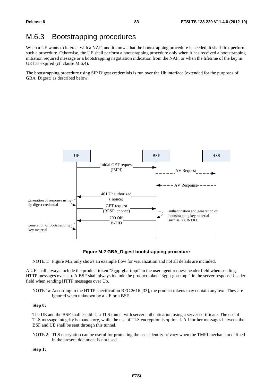## M.6.3 Bootstrapping procedures

When a UE wants to interact with a NAF, and it knows that the bootstrapping procedure is needed, it shall first perform such a procedure. Otherwise, the UE shall perform a bootstrapping procedure only when it has received a bootstrapping initiation required message or a bootstrapping negotiation indication from the NAF, or when the lifetime of the key in UE has expired (cf. clause M.6.4).

The bootstrapping procedure using SIP Digest credentials is run over the Ub interface (extended for the purposes of GBA Digest) as described below:



**Figure M.2 GBA\_Digest bootstrapping procedure** 

NOTE 1: Figure M.2 only shows an example flow for visualization and not all details are included.

A UE shall always include the product token "3gpp-gba-tmpi" in the user agent request-header field when sending HTTP messages over Ub. A BSF shall always include the product token "3gpp-gba-tmpi" in the server response-header field when sending HTTP messages over Ub.

NOTE 1a: According to the HTTP specification RFC 2616 [33], the product tokens may contain any text. They are ignored when unknown by a UE or a BSF.

### **Step 0:**

The UE and the BSF shall establish a TLS tunnel with server authentication using a server certificate. The use of TLS message integrity is mandatory, while the use of TLS encryption is optional. All further messages between the BSF and UE shall be sent through this tunnel.

NOTE 2: TLS encryption can be useful for protecting the user identity privacy when the TMPI mechanism defined in the present document is not used.

**Step 1:**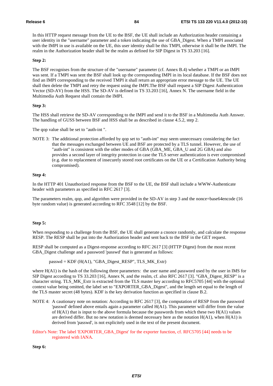In this HTTP request message from the UE to the BSF, the UE shall include an Authorization header containing a user identity in the "username" parameter and a token indicating the use of GBA\_Digest. When a TMPI associated with the IMPI in use is available on the UE, this user identity shall be this TMPI, otherwise it shall be the IMPI. The realm in the Authorization header shall be the realm as defined for SIP Digest in TS 33.203 [16].

### **Step 2:**

The BSF recognises from the structure of the "username" parameter (cf. Annex B.4) whether a TMPI or an IMPI was sent. If a TMPI was sent the BSF shall look up the corresponding IMPI in its local database. If the BSF does not find an IMPI corresponding to the received TMPI it shall return an appropriate error message to the UE. The UE shall then delete the TMPI and retry the request using the IMPI.The BSF shall request a SIP Digest Authentication Vector (SD-AV) from the HSS. The SD-AV is defined in TS 33.203 [16], Annex N. The username field in the Multimedia Auth Request shall contain the IMPI.

### **Step 3:**

The HSS shall retrieve the SD-AV corresponding to the IMPI and send it to the BSF in a Multimedia Auth Answer. The handling of GUSS between BSF and HSS shall be as described in clause 4.5.2, step 2.

The qop value shall be set to "auth-int ".

NOTE 3: The additional protection afforded by qop set to "auth-int" may seem unnecessary considering the fact that the messages exchanged between UE and BSF are protected by a TLS tunnel. However, the use of "auth-int" is consistent with the other modes of GBA (GBA\_ME, GBA\_U and 2G GBA) and also provides a second layer of integrity protection in case the TLS server authentication is ever compromised (e.g. due to replacement of insecurely stored root certificates on the UE or a Certification Authority being compromised).

### **Step 4:**

In the HTTP 401 Unauthorized response from the BSF to the UE, the BSF shall include a WWW-Authenticate header with parameters as specified in RFC 2617 [3].

The parameters realm, qop, and algorithm were provided in the SD-AV in step 3 and the nonce=base64encode (16 byte random value) is generated according to RFC 3548 [12] by the BSF.

### **Step 5:**

When responding to a challenge from the BSF, the UE shall generate a cnonce randomly, and calculate the response RESP. The RESP shall be put into the Authorization header and sent back to the BSF in the GET request.

RESP shall be computed as a Digest-response according to RFC 2617 [3] (HTTP Digest) from the most recent GBA\_Digest challenge and a password 'passwd' that is generated as follows:

 $passwd = KDF (H(A1), "GBA_Digest\_RESP", TLS_MK_Extr)$ 

where H(A1) is the hash of the following three parameters: the user name and password used by the user in IMS for SIP Digest according to TS 33.203 [16], Annex N, and the realm, cf. also RFC 2617 [3]. "GBA\_Digest\_RESP" is a character string. TLS\_MK\_Extr is extracted from the TLS master key according to RFC5705 [44] with the optional context value being omitted, the label set to "EXPORTER\_GBA\_Digest", and the length set equal to the length of the TLS master secret (48 bytes). KDF is the key derivation function as specified in clause B.2.

- NOTE 4: A cautionary note on notation: According to RFC 2617 [3], the computation of RESP from the password 'passwd' defined above entails again a parameter called H(A1). This parameter will differ from the value of  $H(A1)$  that is input to the above formula because the passwords from which these two  $H(A1)$  values are derived differ. But no new notation is deemed necessary here as the notation  $H(A1)$ , when  $H(A1)$  is derived from 'passwd', is not explicitely used in the text of the present document.
- Editor's Note: The label 'EXPORTER\_GBA\_Digest' for the exporter function, cf. RFC5705 [44] needs to be registered with IANA.

**Step 6:**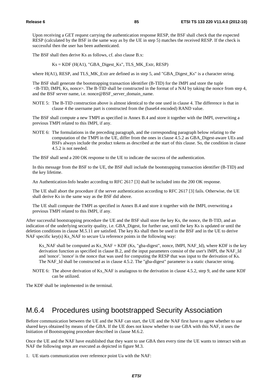Upon receiving a GET request carrying the authentication response RESP, the BSF shall check that the expected RESP (calculated by the BSF in the same way as by the UE in step 5) matches the received RESP. If the check is successful then the user has been authenticated.

The BSF shall then derive Ks as follows, cf. also clause B.x:

 $Ks = KDF$  ( $H(A1)$ , "GBA\_Digest\_ $Ks$ ", TLS\_MK\_Extr, RESP)

where H(A1), RESP, and TLS MK Extr are defined as in step 5, and "GBA Digest Ks" is a character string.

The BSF shall generate the bootstrapping transaction identifier (B-TID) for the IMPI and store the tuple  $\leq$ B-TID, IMPI, Ks, nonce $\geq$ . The B-TID shall be constructed in the format of a NAI by taking the nonce from step 4, and the BSF server name, i.e. nonce@BSF\_server\_domain\_name.

NOTE 5: The B-TID construction above is almost identical to the one used in clause 4. The difference is that in clause 4 the username part is constructed from the (base64 encoded) RAND value.

The BSF shall compute a new TMPI as specified in Annex B.4 and store it together with the IMPI, overwriting a previous TMPI related to this IMPI, if any.

NOTE 6: The formulations in the preceding paragraph, and the corresponding paragraph below relating to the computation of the TMPI in the UE, differ from the ones in clause 4.5.2 as GBA\_Digest-aware UEs and BSFs always include the product tokens as described at the start of this clause. So, the condition in clause 4.5.2 is not needed.

The BSF shall send a 200 OK response to the UE to indicate the success of the authentication.

In this message from the BSF to the UE, the BSF shall include the bootstrapping transaction identifier (B-TID) and the key lifetime.

An Authentication-Info header according to RFC 2617 [3] shall be included into the 200 OK response.

The UE shall abort the procedure if the server authentication according to RFC 2617 [3] fails. Otherwise, the UE shall derive Ks in the same way as the BSF did above.

The UE shall compute the TMPI as specified in Annex B.4 and store it together with the IMPI, overwriting a previous TMPI related to this IMPI, if any.

After successful bootstrapping procedure the UE and the BSF shall store the key Ks, the nonce, the B-TID, and an indication of the underlying security quality, i.e. GBA\_Digest, for further use, until the key Ks is updated or until the deletion conditions in clause M.5.11 are satisfied. The key Ks shall then be used in the BSF and in the UE to derive NAF specific key(s) Ks\_NAF to secure Ua reference points in the following way:

Ks NAF shall be computed as Ks, NAF = KDF (Ks, "gba-digest", nonce, IMPI, NAF, Id), where KDF is the key derivation function as specified in clause B.2, and the input parameters consist of the user's IMPI, the NAF\_Id and 'nonce'. 'nonce' is the nonce that was used for computing the RESP that was input to the derivation of Ks. The NAF\_Id shall be constructed as in clause 4.5.2. The "gba-digest" parameter is a static character string.

NOTE 6: The above derivation of Ks\_NAF is analagous to the derivation in clause 4.5.2, step 9, and the same KDF can be utilized.

The KDF shall be implemented in the terminal.

### M.6.4 Procedures using bootstrapped Security Association

Before communication between the UE and the NAF can start, the UE and the NAF first have to agree whether to use shared keys obtained by means of the GBA. If the UE does not know whether to use GBA with this NAF, it uses the Initiation of Bootstrapping procedure described in clause M.6.2.

Once the UE and the NAF have established that they want to use GBA then every time the UE wants to interact with an NAF the following steps are executed as depicted in figure M.3.

1. UE starts communication over reference point Ua with the NAF: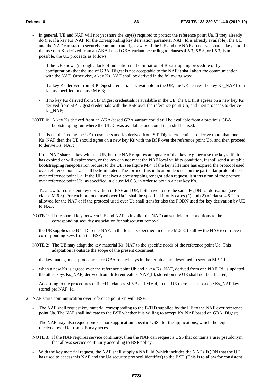- in general, UE and NAF will not yet share the key(s) required to protect the reference point Ua. If they already do (i.e. if a key Ks\_NAF for the corresponding key derivation parameter NAF\_Id is already available), the UE and the NAF can start to securely communicate right away. If the UE and the NAF do not yet share a key, and if the use of a Ks derived from an AKA-based GBA variant according to clauses 4.5.3, 5.5.3, or I.5.3, is not possible, the UE proceeds as follows:
	- if the UE knows (through a lack of indication in the Initiation of Bootstrapping procedure or by configuration) that the use of GBA\_Digest is not acceptable to the NAF it shall abort the communication with the NAF. Otherwise, a key Ks\_NAF shall be derived in the following way:
	- if a key Ks derived from SIP Digest credentials is available in the UE, the UE derives the key Ks\_NAF from Ks, as specified in clause M.6.3;
	- if no key Ks derived from SIP Digest credentials is available in the UE, the UE first agrees on a new key Ks derived from SIP Digest credentials with the BSF over the reference point Ub, and then proceeds to derive Ks\_NAF;
- NOTE 0: A key Ks derived from an AKA-based GBA variant could still be available from a previous GBA bootstrapping run where the UICC was available, and could then still be used.

If it is not desired by the UE to use the same Ks derived from SIP Digest credentials to derive more than one Ks NAF then the UE should agree on a new key Ks with the BSF over the reference point Ub, and then proceed to derive Ks\_NAF;

if the NAF shares a key with the UE, but the NAF requires an update of that key, e.g. because the key's lifetime has expired or will expire soon, or the key can not meet the NAF local validity condition, it shall send a suitable bootstrapping renegotiation request to the UE, see figure M.4. If the key's lifetime has expired the protocol used over reference point Ua shall be terminated. The form of this indication depends on the particular protocol used over reference point Ua. If the UE receives a bootstrapping renegotiation request, it starts a run of the protocol over reference point Ub, as specified in clause M.6.3, in order to obtain a new key Ks.

To allow for consistent key derivation in BSF and UE, both have to use the same FQDN for derivation (see clause M.6.3). For each protocol used over Ua it shall be specified if only cases (1) and (2) of clause 4.5.2 are allowed for the NAF or if the protocol used over Ua shall transfer also the FQDN used for key derivation by UE to NAF.

- NOTE 1: If the shared key between UE and NAF is invalid, the NAF can set deletion conditions to the corresponding security association for subsequent removal.
- the UE supplies the B-TID to the NAF, in the form as specified in clause M.5.8, to allow the NAF to retrieve the corresponding keys from the BSF;
- NOTE 2: The UE may adapt the key material Ks\_NAF to the specific needs of the reference point Ua. This adaptation is outside the scope of the present document.
- the key management procedures for GBA related keys in the terminal are described in section M.5.11.
- when a new Ks is agreed over the reference point Ub and a key Ks\_NAF, derived from one NAF\_Id, is updated, the other keys Ks\_NAF, derived from different values NAF\_Id, stored on the UE shall not be affected;

 According to the procedures defined in clauses M.6.3 and M.6.4, in the UE there is at most one Ks\_NAF key stored per NAF\_Id.

- 2. NAF starts communication over reference point Zn with BSF:
	- The NAF shall request key material corresponding to the B-TID supplied by the UE to the NAF over reference point Ua. The NAF shall indicate to the BSF whether it is willing to accept Ks\_NAF based on GBA\_Digest;
	- The NAF may also request one or more application-specific USSs for the applications, which the request received over Ua from UE may access;
	- NOTE 3: If the NAF requires service continuity, then the NAF can request a USS that contains a user pseudonym that allows service continuity according to BSF policy.
	- With the key material request, the NAF shall supply a NAF\_Id (which includes the NAF's FQDN that the UE has used to access this NAF and the Ua security protocol identifier) to the BSF. (This is to allow for consistent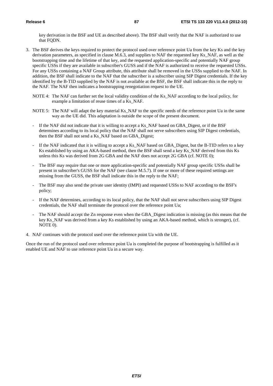key derivation in the BSF and UE as described above). The BSF shall verify that the NAF is authorized to use that FODN.

- 3. The BSF derives the keys required to protect the protocol used over reference point Ua from the key Ks and the key derivation parameters, as specified in clause M.6.3, and supplies to NAF the requested key Ks\_NAF, as well as the bootstrapping time and the lifetime of that key, and the requested application-specific and potentially NAF group specific USSs if they are available in subscriber's GUSS and if the NAF is authorized to receive the requested USSs. For any USSs containing a NAF Group attribute, this attribute shall be removed in the USSs supplied to the NAF. In addition, the BSF shall indicate to the NAF that the subscriber is a subscriber using SIP Digest credentials. If the key identified by the B-TID supplied by the NAF is not available at the BSF, the BSF shall indicate this in the reply to the NAF. The NAF then indicates a bootstrapping renegotiation request to the UE.
	- NOTE 4: The NAF can further set the local validity condition of the Ks\_NAF according to the local policy, for example a limitation of reuse times of a Ks\_NAF.
	- NOTE 5: The NAF will adapt the key material Ks\_NAF to the specific needs of the reference point Ua in the same way as the UE did. This adaptation is outside the scope of the present document.
	- If the NAF did not indicate that it is willing to accept a Ks\_NAF based on GBA\_Digest, or if the BSF determines according to its local policy that the NAF shall not serve subscribers using SIP Digest credentials, then the BSF shall not send a Ks\_NAF based on GBA\_Digest;
	- If the NAF indicated that it is willing to accept a Ks\_NAF based on GBA\_Digest, but the B-TID refers to a key Ks established by using an AKA-based method, then the BSF shall send a key Ks\_NAF derived from this Ks unless this Ks was derived from 2G GBA and the NAF does not accept 2G GBA (cf. NOTE 0);
	- The BSF may require that one or more application-specific and potentially NAF group specific USSs shall be present in subscriber's GUSS for the NAF (see clause M.5.7). If one or more of these required settings are missing from the GUSS, the BSF shall indicate this in the reply to the NAF;
	- The BSF may also send the private user identity (IMPI) and requested USSs to NAF according to the BSF's policy;
	- If the NAF determines, according to its local policy, that the NAF shall not serve subscribers using SIP Digest credentials, the NAF shall terminate the protocol over the reference point Ua;
	- The NAF should accept the Zn response even when the GBA Digest indication is missing (as this means that the key Ks\_NAF was derived from a key Ks established by using an AKA-based method, which is stronger), (cf. NOTE 0).
- 4. NAF continues with the protocol used over the reference point Ua with the UE.

Once the run of the protocol used over reference point Ua is completed the purpose of bootstrapping is fulfilled as it enabled UE and NAF to use reference point Ua in a secure way.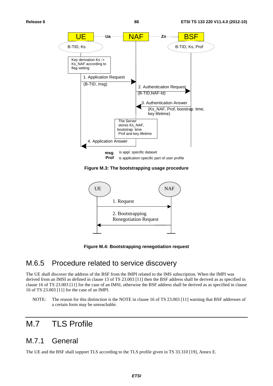

**Figure M.3: The bootstrapping usage procedure** 



**Figure M.4: Bootstrapping renegotiation request** 

### M.6.5 Procedure related to service discovery

The UE shall discover the address of the BSF from the IMPI related to the IMS subscription. When the IMPI was derived from an IMSI as defined in clause 13 of TS 23.003 [11] then the BSF address shall be derived as as specified in clause 16 of TS 23.003 [11] for the case of an IMSI, otherwise the BSF address shall be derived as as specified in clause 16 of TS 23.003 [11] for the case of an IMPI.

NOTE: The reason for this distinction is the NOTE in clause 16 of TS 23.003 [11] warning that BSF addresses of a certain form may be unreachable.

# M.7 TLS Profile

### M.7.1 General

The UE and the BSF shall support TLS according to the TLS profile given in TS 33.310 [19], Annex E.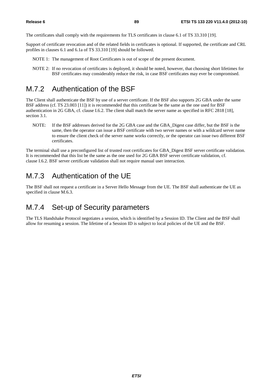The certificates shall comply with the requirements for TLS certificates in clause 6.1 of TS 33.310 [19].

Support of certificate revocation and of the related fields in certificates is optional. If supported, the certificate and CRL profiles in clauses 6.1 and 6.1a of TS 33.310 [19] should be followed.

- NOTE 1: The management of Root Certificates is out of scope of the present document.
- NOTE 2: If no revocation of certificates is deployed, it should be noted, however, that choosing short lifetimes for BSF certificates may considerably reduce the risk, in case BSF certificates may ever be compromised.

### M.7.2 Authentication of the BSF

The Client shall authenticate the BSF by use of a server certificate. If the BSF also supports 2G GBA under the same BSF address (cf. TS 23.003 [11]) it is recommended that this certificate be the same as the one used for BSF authentication in 2G GBA, cf. clause I.6.2. The client shall match the server name as specified in RFC 2818 [18], section 3.1.

NOTE: If the BSF addresses derived for the 2G GBA case and the GBA\_Digest case differ, but the BSF is the same, then the operator can issue a BSF certificate with two server names or with a wildcard server name to ensure the client check of the server name works correctly, or the operator can issue two different BSF certificates.

The terminal shall use a preconfigured list of trusted root certificates for GBA\_Digest BSF server certificate validation. It is recommended that this list be the same as the one used for 2G GBA BSF server certificate validation, cf. clause I.6.2. BSF server certificate validation shall not require manual user interaction.

### M.7.3 Authentication of the UE

The BSF shall not request a certificate in a Server Hello Message from the UE. The BSF shall authenticate the UE as specified in clause M.6.3.

## M.7.4 Set-up of Security parameters

The TLS Handshake Protocol negotiates a session, which is identified by a Session ID. The Client and the BSF shall allow for resuming a session. The lifetime of a Session ID is subject to local policies of the UE and the BSF.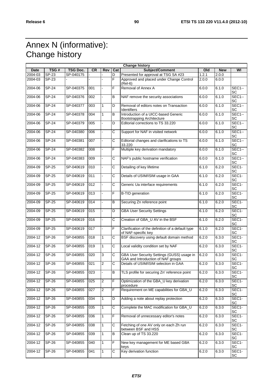# Annex N (informative): Change history

| <b>Change history</b> |              |                 |           |                |                         |                                                                                  |       |            |                          |
|-----------------------|--------------|-----------------|-----------|----------------|-------------------------|----------------------------------------------------------------------------------|-------|------------|--------------------------|
| Date                  | TSG#         | <b>TSG Doc.</b> | <b>CR</b> | Rev            | Cat                     | Subject/Comment                                                                  | Old   | <b>New</b> | WI                       |
| 2004-03               | $SP-23$      | SP-040175       |           |                | D                       | Presented for approval at TSG SA #23                                             | 1.2.1 | 2.0.0      |                          |
| 2004-03               | SP-23        |                 |           |                | F                       | Approved and placed under Change Control<br>(Rel-6)                              | 2.0.0 | 6.0.0      |                          |
| 2004-06               | <b>SP-24</b> | SP-040375       | 001       | $\overline{a}$ | $\overline{\mathsf{F}}$ | Removal of Annex A                                                               | 6.0.0 | 6.1.0      | $SEC1 -$<br>SC           |
| 2004-06               | <b>SP-24</b> | SP-040376       | 002       |                | B                       | NAF remove the security associations                                             | 6.0.0 | 6.1.0      | <b>SEC1--</b><br>SC      |
| 2004-06               | <b>SP-24</b> | SP-040377       | 003       | $\mathbf{1}$   | D                       | Removal of editors notes on Transaction<br>Identifiers                           | 6.0.0 | 6.1.0      | <b>SEC1--</b><br>SC      |
| 2004-06               | <b>SP-24</b> | SP-040378       | 004       | $\mathbf{1}$   | B                       | Introduction of a UICC-based Generic<br><b>Bootstrapping Architecture</b>        | 6.0.0 | 6.1.0      | <b>SEC1--</b><br>SC      |
| 2004-06               | <b>SP-24</b> | SP-040379       | 005       | ÷,             | D                       | Editorial corrections to TS 33.220                                               | 6.0.0 | 6.1.0      | $SEC1 -$<br>SC           |
| 2004-06               | $SP-24$      | SP-040380       | 006       | $\blacksquare$ | C                       | Support for NAF in visited network                                               | 6.0.0 | 6.1.0      | $SEC1 -$<br>SC           |
| 2004-06               | $SP-24$      | SP-040381       | 007       | ä,             | $\overline{c}$          | Editorial changes and clarifications to TS<br>33.220                             | 6.0.0 | 6.1.0      | $SEC1 -$<br>SC           |
| 2004-06               | $SP-24$      | SP-040382       | 008       | ÷,             | F                       | Multiple key derivation mandatory                                                | 6.0.0 | 6.1.0      | $SEC1 -$<br>SC           |
| 2004-06               | $SP-24$      | SP-040383       | 009       |                | С                       | NAF's public hostname verification                                               | 6.0.0 | 6.1.0      | $SEC1 -$<br>SC           |
| 2004-09               | SP-25        | SP-040619       | 010       | ÷,             | С                       | Detailing of key lifetime                                                        | 6.1.0 | 6.2.0      | SEC1-<br>SC              |
| 2004-09               | $SP-25$      | SP-040619       | 011       | $\blacksquare$ | $\overline{\text{c}}$   | Details of USIM/ISIM usage in GAA                                                | 6.1.0 | 6.2.0      | SEC1-<br>SC              |
| 2004-09               | SP-25        | SP-040619       | 012       | L.             | $\overline{\text{c}}$   | Generic Ua interface requirements                                                | 6.1.0 | 6.2.0      | SEC1-<br>SC              |
| 2004-09               | SP-25        | SP-040619       | 013       |                | F                       | <b>B-TID</b> generation                                                          | 6.1.0 | 6.2.0      | SEC1-<br>SC              |
| 2004-09               | SP-25        | SP-040619       | 014       | ÷.             | B                       | Securing Zn reference point                                                      | 6.1.0 | 6.2.0      | SEC1-<br>SC              |
| 2004-09               | SP-25        | SP-040619       | 015       | ÷,             | D                       | <b>GBA User Security Settings</b>                                                | 6.1.0 | 6.2.0      | SEC <sub>1</sub> -<br>SC |
| 2004-09               | <b>SP-25</b> | SP-040619       | 016       | $\blacksquare$ | $\overline{c}$          | Creation of GBA_U AV in the BSF                                                  | 6.1.0 | 6.2.0      | SEC1-<br>SC              |
| 2004-09               | SP-25        | SP-040619       | 017       | $\overline{a}$ | F                       | Clarification of the definition of a default type<br>of NAF-specific key         | 6.1.0 | 6.2.0      | SEC <sub>1</sub> -<br>SC |
| 2004-12               | $SP-26$      | SP-040855       | 018       | $\mathbf{1}$   | C                       | BSF discovery using default domain method                                        | 6.2.0 | 6.3.0      | SEC1-<br>SC              |
| 2004-12               | <b>SP-26</b> | SP-040855       | 019       | $\mathbf{1}$   | С                       | Local validity condition set by NAF                                              | 6.2.0 | 6.3.0      | SEC1-<br>SC              |
| 2004-12               | $SP-26$      | SP-040855       | 020       | 3              | C                       | GBA User Security Settings (GUSS) usage in<br>GAA and Introduction of NAF groups | 6.2.0 | 6.3.0      | SEC1-<br>SC              |
| 2004-12               | $SP-26$      | SP-040855       | 021       | $\overline{2}$ | C                       | Details of USIM/ISIM selection in GAA                                            | 6.2.0 | 6.3.0      | SEC1-<br>SC              |
| 2004-12               | SP-26        | SP-040855       | 023       |                | В                       | TLS profile for securing Zn' reference point                                     | 6.2.0 | 6.3.0      | SEC1-<br>SC              |
| 2004-12               | $SP-26$      | SP-040855       | 025       | $\overline{2}$ | F                       | Optimization of the GBA_U key derivation<br>procedure                            | 6.2.0 | 6.3.0      | SEC1-<br>SC              |
| 2004-12               | SP-26        | SP-040855       | 027       | $\overline{2}$ | F.                      | Requirement on ME capabilities for GBA_U                                         | 6.2.0 | 6.3.0      | SEC1-<br>SC              |
| 2004-12               | SP-26        | SP-040855       | 034       | 1              | D                       | Adding a note about replay protection                                            | 6.2.0 | 6.3.0      | SEC <sub>1</sub> -<br>SC |
| 2004-12               | SP-26        | SP-040855       | 035       | $\mathbf{1}$   | С                       | Complete the MAC modification for GBA_U                                          | 6.2.0 | 6.3.0      | SEC1-<br>SC              |
| 2004-12               | $SP-26$      | SP-040855       | 036       | $\mathbf{1}$   | F                       | Removal of unnecessary editor's notes                                            | 6.2.0 | 6.3.0      | SEC1-<br>SC              |
| 2004-12               | SP-26        | SP-040855       | 038       | $\mathbf{1}$   | С                       | Fetching of one AV only on each Zh run<br>between BSF and HSS                    | 6.2.0 | 6.3.0      | SEC1-<br>SC              |
| 2004-12               | SP-26        | SP-040855       | 039       | $\mathbf{1}$   | B                       | Clean up of TS 33.220                                                            | 6.2.0 | 6.3.0      | SEC1-<br>SC              |
| 2004-12               | SP-26        | SP-040855       | 040       | $\mathbf{1}$   | F                       | New key management for ME based GBA<br>keys                                      | 6.2.0 | 6.3.0      | SEC1-<br>SC              |
| 2004-12               | $SP-26$      | SP-040855       | 041       | 1              | $\overline{C}$          | Key derivation function                                                          | 6.2.0 | 6.3.0      | SEC1-<br>SC              |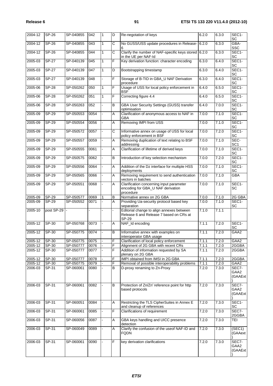| Release 6 |  |
|-----------|--|
|           |  |

| 2004-12     | <b>SP-26</b> | SP-040855 | 042  | $\mathbf{1}$             | D                     | Re-negotation of keys                                                                         | 6.2.0 | 6.3.0 | SEC1-<br><b>SC</b>        |
|-------------|--------------|-----------|------|--------------------------|-----------------------|-----------------------------------------------------------------------------------------------|-------|-------|---------------------------|
| 2004-12     | <b>SP-26</b> | SP-040855 | 043  | 1                        | $\mathsf{C}$          | No GUSS/USS update procedures in Release-<br>6                                                | 6.2.0 | 6.3.0 | GBA-<br><b>SSC</b>        |
| 2004-12     | <b>SP-26</b> | SP-040855 | 044  | $\mathbf{1}$             | C                     | Clarify the number of NAF-specific keys stored 6.2.0<br>in the UE per NAF-Id                  |       | 6.3.0 | SEC1-<br><b>SC</b>        |
| 2005-03     | <b>SP-27</b> | SP-040139 | 045  | 1                        | F                     | Key derivation function: character encoding                                                   | 6.3.0 | 6.4.0 | SEC1-<br>SC               |
| 2005-03     | <b>SP-27</b> | SP-040139 | 047  | $\mathbf{1}$             | D                     | Bootstrapping timestamp                                                                       | 6.3.0 | 6.4.0 | SEC1-<br>SC               |
| 2005-03     | <b>SP-27</b> | SP-040139 | 048  | $\overline{a}$           | $\overline{F}$        | Storage of B-TID in GBA_U NAF Derivation<br>procedure                                         | 6.3.0 | 6.4.0 | SEC1-<br>SC               |
| 2005-06     | <b>SP-28</b> | SP-050262 | 050  | $\mathbf{1}$             | F                     | Usage of USS for local policy enforcement in<br><b>BSF</b>                                    | 6.4.0 | 6.5.0 | SEC1-<br>SC               |
| 2005-06     | <b>SP-28</b> | SP-050262 | 051  | $\mathbf{1}$             | $\overline{F}$        | Correcting figure 4.4                                                                         | 6.4.0 | 6.5.0 | SEC1-<br>SC               |
| 2005-06     | $SP-28$      | SP-050263 | 052  | ÷.                       | B                     | <b>GBA User Security Settings (GUSS) transfer</b><br>optimisation                             | 6.4.0 | 7.0.0 | SEC1-<br><b>SC</b>        |
| 2005-09     | <b>SP-29</b> | SP-050553 | 0054 | $\blacksquare$           | A                     | Clarification of anonymous access to NAF in<br>GBA                                            | 7.0.0 | 7.1.0 | SEC1-<br><b>SC</b>        |
| 2005-09     | $SP-29$      | SP-050554 | 0056 | $\overline{\phantom{a}}$ | $\overline{A}$        | Removing IMPI from USS                                                                        | 7.0.0 | 7.1.0 | SEC1-<br>SC               |
| 2005-09     | $SP-29$      | SP-050572 | 0057 |                          | $\overline{\text{c}}$ | Informative annex on usage of USS for local<br>policy enforcement in BSF                      | 7.0.0 | 7.2.0 | SEC1-<br>SC               |
| 2005-09     | <b>SP-29</b> | SP-050557 | 0059 | $\blacksquare$           | A                     | Removing duplication of text relating to BSF<br>addressing                                    | 7.0.0 | 7.1.0 | SEC-<br>SC1               |
| 2005-09     | SP-29        | SP-050555 | 0061 | ÷.                       | Α                     | Clarification of lifetime of derived keys                                                     | 7.0.0 | 7.1.0 | SEC1-<br>SC               |
| 2005-09     | <b>SP-29</b> | SP-050575 | 0062 | ÷.                       | B                     | Introduction of key selection mechanism                                                       | 7.0.0 | 7.2.0 | SEC1-<br><b>SC</b>        |
| 2005-09     | <b>SP-29</b> | SP-050556 | 0064 |                          | A                     | Addition of the Dz interface for multiple HSS<br>deployments                                  | 7.0.0 | 7.1.0 | SEC1-<br>SC               |
| 2005-09     | SP-29        | SP-050565 | 0066 |                          | Α                     | Removing requirement to send authentication<br>vectors in batches                             | 7.0.0 | 7.1.0 | <b>GBA</b>                |
| 2005-09     | SP-29        | SP-050551 | 0068 |                          | A                     | Clarification concerning input parameter<br>encoding for GBA_U NAF derivation<br>procedure    | 7.0.0 | 7.1.0 | SEC1-<br>SC.              |
| $2005 - 09$ | SP-29        | SP-050577 | 0069 | 1                        | $\overline{B}$        | Normative annex on 2G GBA                                                                     | 7.0.0 | 7.1.0 | 2G GBA                    |
| 2005-09     | $SP-29$      | SP-050552 | 0071 |                          | A                     | Providing Ua-security protocol based key<br>separation                                        | 7.0.0 | 7.1.0 | SEC1-<br><b>SC</b>        |
| 2005-10     | post SP-29   |           |      |                          |                       | Editorial change to align annexes between<br>Release 6 and Release 7 based on CRs at<br>SP-29 | 7.1.0 | 7.1.1 |                           |
| 2005-12     | SP-30        | SP-050768 | 0073 | L.                       | A                     | NAF_Id encoding                                                                               | 7.1.1 | 7.2.0 | SEC1-<br>SC               |
| 2005-12     | SP-30        | SP-050775 | 0074 | ä,                       | $\, {\bf B}$          | Informative annex with examples on<br>interoperator GBA usage                                 | 7.1.1 | 7.2.0 | GAA2                      |
| 2005-12     | SP-30        | SP-050775 | 0075 |                          | F                     | Clarification of local policy enforcement                                                     | 7.1.1 | 7.2.0 | GAA2                      |
| $2005 - 12$ | SP-30        | SP-050777 | 0076 |                          | F                     | Alignment of 2G GBA with recent CRs                                                           | 7.1.1 | 7.2.0 | 2GGBA                     |
| 2005-12     | SP-30        | SP-050777 | 0077 | ÷.                       | F                     | Addition of information requested by SA<br>plenary on 2G GBA                                  | 7.1.1 | 7.2.0 | 2GGBA                     |
| 2005-12     | SP-30        | SP-050777 | 0078 |                          | F                     | IMPI obtained from IMSI in 2G GBA                                                             | 7.1.1 | 7.2.0 | 2GGBA                     |
| 2005-12     | SP-30        | SP-050775 | 0079 |                          | F                     | Removal of possible interoperability problems                                                 | 7.1.1 | 7.2.0 | GAA2                      |
| 2006-03     | SP-31        | SP-060061 | 0080 |                          | B                     | D-proxy renaming to Zn-Proxy                                                                  | 7.2.0 | 7.3.0 | SEC7-<br>GAA2<br>(GAAExt) |
| 2006-03     | SP-31        | SP-060061 | 0082 |                          | B                     | Protection of Zn/Zn' reference point for http<br>based protocols                              | 7.2.0 | 7.3.0 | SEC7-<br>GAA2<br>(GAAExt  |
| 2006-03     | SP-31        | SP-060051 | 0084 | $\blacksquare$           | A                     | Restricting the TLS CipherSuites in Annex E<br>and cleanup of references                      | 7.2.0 | 7.3.0 | SEC1-<br>SC               |
| 2006-03     | SP-31        | SP-060061 | 0085 |                          | F                     | Clarifications of requirement                                                                 | 7.2.0 | 7.3.0 | SEC7-<br>2GGBA            |
| 2006-03     | SP-31        | SP-060056 | 0087 | $\blacksquare$           | A                     | GBA keys handling and UICC presence<br>detection                                              | 7.2.0 | 7.3.0 | TEI                       |
| 2006-03     | SP-31        | SP-060049 | 0089 |                          | A                     | Clarify the confusion of the useof NAF-ID and<br><b>FQDN</b>                                  | 7.2.0 | 7.3.0 | (SEC1)<br>(GAAext         |
| 2006-03     | SP-31        | SP-060061 | 0090 |                          | F                     | key derivation clarifications                                                                 | 7.2.0 | 7.3.0 | SEC7-                     |
|             |              |           |      |                          |                       |                                                                                               |       |       | GAA2<br>(GAAExt)          |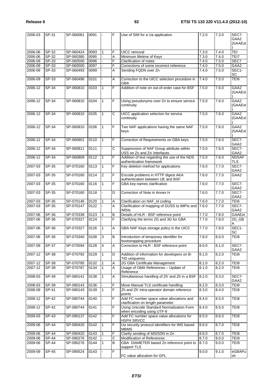| 2006-03     | SP-31                     | SP-060061 | 0091 |                | F              | Use of SIM for a Ua application                                                | 7.2.0 | 7.3.0 | SEC7-<br>GAA2       |
|-------------|---------------------------|-----------|------|----------------|----------------|--------------------------------------------------------------------------------|-------|-------|---------------------|
|             |                           |           |      |                |                |                                                                                |       |       | (GAAExt)            |
| 2006-06     | SP-32                     | SP-060424 | 0093 | $\mathbf{1}$   | F              | UICC removal                                                                   | 7.3.0 | 7.4.0 | <b>TEI</b>          |
| 2006-06     | SP-32                     | SP-060380 | 0095 |                | Α              | Minimum lifetime of Keys                                                       | 7.3.0 | 7.4.0 | TEI7                |
| 2006-09     | SP-33                     | SP-060500 | 0096 |                | F              | Clarification of notes                                                         | 7.4.0 | 7.5.0 | SEC7                |
| 2006-09     | SP-33                     | SP-060500 | 0097 |                | F              | Corrections of some incorrect reference                                        | 7.4.0 | 7.5.0 | GAA2                |
| 2006-09     | SP-33                     | SP-060493 | 0099 |                | A              | Sending FQDN over Zn                                                           | 7.4.0 | 7.5.0 | SEC1-<br>SC         |
| 2006-09     | $SP-33$                   | SP-060496 | 0101 | ÷.             | A              | Correction to the UICC selection procedure in<br><b>GBA</b>                    | 7.4.0 | 7.5.0 | TEI6                |
| 2006-12     | SP-34                     | SP-060810 | 0103 | $\mathbf{1}$   | $\overline{F}$ | Addition of note on out-of-order case for BSF                                  | 7.5.0 | 7.6.0 | GAA2<br>(GAAExt)    |
| 2006-12     | SP-34                     | SP-060810 | 0104 | $\mathbf{1}$   | F              | Using pseudonyms over Zn to ensure service<br>continuity                       | 7.5.0 | 7.6.0 | GAA2<br>(GAAExt)    |
| 2006-12     | $SP-34$                   | SP-060810 | 0105 | $\overline{1}$ | $\overline{c}$ | UICC application selection for service<br>continuity                           | 7.5.0 | 7.6.0 | GAA2<br>(GAAExt)    |
| 2006-12     | SP-34                     | SP-060810 | 0106 | $\mathbf{1}$   | F              | Two NAF applications having the same NAF<br>keys                               | 7.5.0 | 7.6.0 | GAA2<br>(GAAExt)    |
| 2006-12     | $SP-34$                   | SP-060801 | 0110 | $\mathbf{1}$   | F              | Correction of Requirements on GBA keys                                         | 7.5.0 | 7.6.0 | SEC7-<br>GAA2       |
| 2006-12     | SP-34                     | SP-060811 | 0111 |                | C              | Suppression of NAF Group attribute within<br>USS on Zn and Zn' interfaces      | 7.5.0 | 7.6.0 | SEC7-<br>GAA2       |
| 2006-12     | SP-34                     | SP-060809 | 0112 | 1              | F              | Addition of text regarding the use of the NDS<br>authentication framework      | 7.5.0 | 7.6.0 | <b>NDSAF</b><br>TLS |
| 2007-03     | SP-35                     | SP-070160 | 0113 | $\mathbf{1}$   | $\overline{F}$ | Key deletion method for applications                                           | 7.6.0 | 7.7.0 | SEC7-<br>GAA2       |
| 2007-03     | SP-35                     | SP-070160 | 0114 | 2              | F              | Encode problems in HTTP digest AKA<br>authentication between UE and BSF        | 7.6.0 | 7.7.0 | GAA2                |
| 2007-03     | SP-35                     | SP-070160 | 0116 | 1              | F              | GBA key names clarification                                                    | 7.6.0 | 7.7.0 | SEC7-<br>GAA2       |
| 2007-03     | SP-35                     | SP-070160 | 0118 |                | D              | Correction of Note in Annex H                                                  | 7.6.0 | 7.7.0 | SEC7-<br>GAA2       |
| 2007-03     | SP-35                     | SP-070146 | 0120 | 1              | Α              | Clarification on NAF_Id coding                                                 | 7.6.0 | 7.7.0 | TEI6                |
| 2007-03     | SP-35                     | SP-070147 | 0122 | ÷.             | A              | Clarification of mapping of GUSS to IMPIs and<br><b>IMSIs</b>                  | 7.6.0 | 7.7.0 | SEC7-<br>GAA2       |
| 2007-06     | SP-36                     | SP-070338 | 0123 | 1              | B              | Details of HLR - BSF reference point                                           | 7.7.0 | 7.8.0 | GAAExt              |
| 2007-06     | SP-36                     | SP-070327 | 0124 |                | F              | Clarifying the terms 2G and 3G for GBA                                         | 7.7.0 | 7.8.0 | 2G_GB<br>Α          |
| 2007-06     | SP-36                     | SP-070327 | 0126 | $\mathbf{1}$   | A              | GBA NAF Keys storage policy in the UICC                                        | 7.7.0 | 7.8.0 | SEC1-<br>SC         |
| 2007-06     | <b>SP-36</b>              | SP-070340 | 0108 | ဒ              | B              | Introduction of temporary identifier for<br>bootstrapping procedure            | 7.8.0 | 8.0.0 | TEI8                |
| 2007-09     | $SP-37$                   | SP-070594 | 0128 | $\overline{4}$ | A              | Correction to HLR - BSF reference point                                        | 8.0.0 | 8.1.0 | SEC7-<br>GAA2       |
| 2007-12     | <b>SP-38</b>              | SP-070792 | 0129 | 1              | D              | Addition of information for developers on B-<br>TID uniquenss                  | 8.1.0 | 8.2.0 | TEI8                |
| $2007 - 12$ | SP-38                     | SP-070785 | 0132 | 1              | Α              | 2G GBA Certificate Management                                                  | 8.1.0 | 8.2.0 | TE18                |
| $2007 - 12$ | SP-38                     | SP-070787 | 0134 | $\overline{1}$ | A              | Usage of OMA References - Update of<br>Reference                               | 8.1.0 | 8.2.0 | TEI8                |
| 2008-03     | $SP-39$                   | SP-080141 | 0138 | $\mathbf{1}$   | A              | Simultaneous handling of Zh' and Zh in a BSF                                   | 8.2.0 | 8.3.0 | SEC7-<br>GAA2       |
| 2008-03     | SP-39                     | SP-080143 | 0136 |                | F              | Move Manual TLS certificate handling                                           | 8.2.0 | 8.3.0 | TEI8                |
| 2008-09     | SP-41                     | SP-080143 | 0139 | $\mathbf{1}$   | F              | Zh and Zh' intra-operator domain reference<br>points                           | 8.3.0 | 8.4.0 | TEI8                |
| 2008-12     | SP-42                     | SP-080744 | 0140 |                | $\overline{F}$ | Add FC number space value allocations and<br>clarification on length parameter | 8.4.0 | 8.5.0 | TEI8                |
| 2008-12     | SP-42                     | SP-080744 | 0141 |                | F.             | Using Unicode Standard Normalization Form<br>when encoding using UTF-8         | 8.4.0 | 8.5.0 | TEI8                |
| 2009-03     | SP-43                     | SP-090137 | 0142 |                | F              | Add FC number space value allocations for<br><b>HSPA SRVCC</b>                 | 8.5.0 | 8.6.0 | TEI8                |
| 2009-06     | <b>SP-44</b>              | SP-090420 | 0142 | $\mathbf{1}$   | F              | Ua security protocol identifiers for IMS based<br><b>MBMS</b>                  | 8.6.0 | 8.7.0 | TEI8                |
| 2009-06     | $SP-44$                   | SP-090420 | 0143 | 1              | F              | Clarify sending of MSISDN in Zn                                                | 8.6.0 | 8.7.0 | TEI8                |
| 2009-06     | SP-44                     | SP-090276 | 0142 |                | $\overline{C}$ | Modification of References                                                     | 8.7.0 | 9.0.0 | TEI9                |
| 2009-06     | $\overline{\text{SP-44}}$ | SP-090276 | 0144 | 1              | B              | GBA DIAMETER based Zn reference point to<br>support TLS                        | 8.7.0 | 9.0.0 | TEI9                |
| 2009-09     | SP-45                     | SP-090524 | 0143 |                | $\overline{F}$ | FC value allocation for GPL                                                    | 9.0.0 | 9.1.0 | eGBAPu<br>sh        |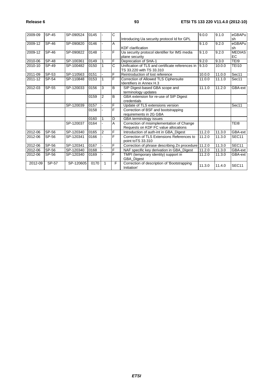| 2009-09 | SP-45        | SP-090524 | 0145 |                | Ć              | Introducing Ua security protocol Id for GPL                                       | 9.0.0  | 9.1.0  | eGBAPu<br>sh        |
|---------|--------------|-----------|------|----------------|----------------|-----------------------------------------------------------------------------------|--------|--------|---------------------|
| 2009-12 | SP-46        | SP-090820 | 0146 |                | A              | <b>KDF</b> clarification                                                          | 9.1.0  | 9.2.0  | eGBAPu<br>sh        |
| 2009-12 | SP-46        | SP-090822 | 0148 |                | F              | Ua security protocol identifier for IMS media<br>plane security                   | 9.1.0  | 9.2.0  | <b>MEDIAS</b><br>EC |
| 2010-06 | <b>SP-48</b> | SP-100361 | 0149 | $\mathbf{1}$   | F              | Deprecation of SHA-1                                                              | 9.2.0  | 9.3.0  | TEI9                |
| 2010-10 | SP-49        | SP-100482 | 0150 |                | C              | Unification of TLS and certificate references in<br>TS 33.220 with TS 33.310      | 9.3.0  | 10.0.0 | <b>TEI10</b>        |
| 2011-09 | SP-53        | SP-110563 | 0151 |                | F              | Reintroduction of lost reference                                                  | 10.0.0 | 11.0.0 | Sec11               |
| 2011-12 | SP-54        | SP-110848 | 0153 | 1              | F              | Correction of Allowed TLS Ciphersuite<br>Identifiers in Annex H.3                 | 11.0.0 | 11.1.0 | Sec11               |
| 2012-03 | SP-55        | SP-120033 | 0156 | 3              | B              | SIP Digest-based GBA scope and<br>terminology updates                             | 11.1.0 | 11.2.0 | GBA-ext             |
|         |              |           | 0159 | $\overline{2}$ | B              | GBA extension for re-use of SIP Digest<br>credentials                             |        |        |                     |
|         |              | SP-120039 | 0157 |                | F              | Update of TLS extensions version                                                  |        |        | Sec11               |
|         |              |           | 0158 |                | F              | Correction of BSF and bootstrapping<br>requirements in 2G GBA                     |        |        |                     |
|         |              |           | 0160 | 1              | D              | GBA terminology issues                                                            |        |        |                     |
|         |              | SP-120037 | 0164 |                | $\overline{A}$ | Correction of misimplementation of Change<br>Requests on KDF FC value allocations |        |        | TEI8                |
| 2012-06 | SP-56        | SP-120340 | 0165 | $\overline{2}$ | F              | Introduction of auth-int in GBA Digest                                            | 11.2.0 | 11.3.0 | GBA-ext             |
| 2012-06 | SP-56        | SP-120341 | 0166 |                | F              | Correction of TLS Extensions References to<br>point to TS 33.310                  | 11.2.0 | 11.3.0 | SEC11               |
| 2012-06 | SP-56        | SP-120341 | 0167 | ÷.             | F              | Correction of phrase describing Zn procedure                                      | 11.2.0 | 11.3.0 | SEC11               |
| 2012-06 | SP-56        | SP-120340 | 0168 |                | F              | NAF specific key derivation in GBA_Digest                                         | 11.2.0 | 11.3.0 | GBA-ext             |
| 2012-06 | SP-56        | SP-120340 | 0169 |                | F              | TMPI (temporary identity) support in<br><b>GBA Digest</b>                         | 11.2.0 | 11.3.0 | GBA-ext             |
| 2012-09 | SP-57        | SP-120605 | 0170 | 1              | F              | Correction of description of 'Bootstrapping<br>Initiation'                        | 11.3.0 | 11.4.0 | SEC <sub>11</sub>   |